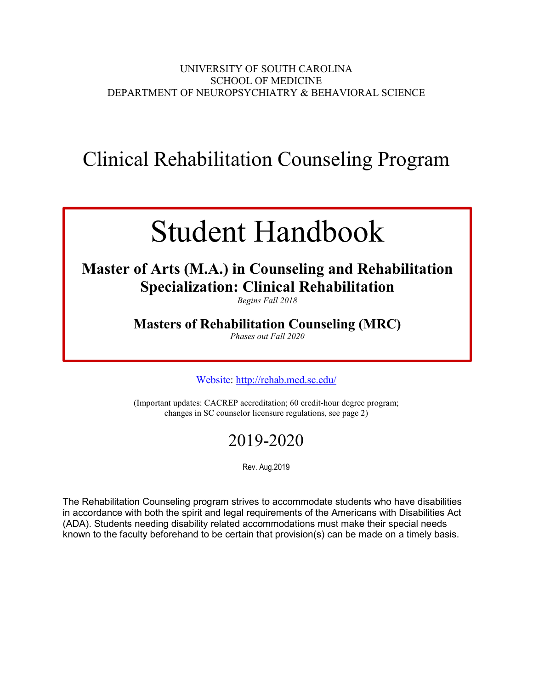## UNIVERSITY OF SOUTH CAROLINA SCHOOL OF MEDICINE DEPARTMENT OF NEUROPSYCHIATRY & BEHAVIORAL SCIENCE

## Clinical Rehabilitation Counseling Program

# Student Handbook

## **Master of Arts (M.A.) in Counseling and Rehabilitation Specialization: Clinical Rehabilitation**

*Begins Fall 2018*

## **Masters of Rehabilitation Counseling (MRC)**

*Phases out Fall 2020*

Website: <http://rehab.med.sc.edu/>

(Important updates: CACREP accreditation; 60 credit-hour degree program; changes in SC counselor licensure regulations, see page 2)

## 2019-2020

Rev. Aug.2019

The Rehabilitation Counseling program strives to accommodate students who have disabilities in accordance with both the spirit and legal requirements of the Americans with Disabilities Act (ADA). Students needing disability related accommodations must make their special needs known to the faculty beforehand to be certain that provision(s) can be made on a timely basis.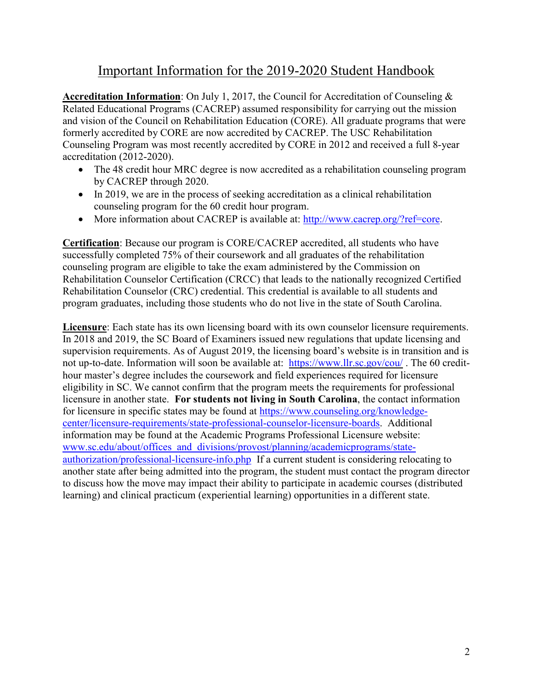## Important Information for the 2019-2020 Student Handbook

**Accreditation Information**: On July 1, 2017, the Council for Accreditation of Counseling & Related Educational Programs (CACREP) assumed responsibility for carrying out the mission and vision of the Council on Rehabilitation Education (CORE). All graduate programs that were formerly accredited by CORE are now accredited by CACREP. The USC Rehabilitation Counseling Program was most recently accredited by CORE in 2012 and received a full 8-year accreditation (2012-2020).

- The 48 credit hour MRC degree is now accredited as a rehabilitation counseling program by CACREP through 2020.
- In 2019, we are in the process of seeking accreditation as a clinical rehabilitation counseling program for the 60 credit hour program.
- More information about CACREP is available at: [http://www.cacrep.org/?ref=core.](http://www.cacrep.org/?ref=core)

**Certification**: Because our program is CORE/CACREP accredited, all students who have successfully completed 75% of their coursework and all graduates of the rehabilitation counseling program are eligible to take the exam administered by the Commission on Rehabilitation Counselor Certification (CRCC) that leads to the nationally recognized Certified Rehabilitation Counselor (CRC) credential. This credential is available to all students and program graduates, including those students who do not live in the state of South Carolina.

**Licensure**: Each state has its own licensing board with its own counselor licensure requirements. In 2018 and 2019, the SC Board of Examiners issued new regulations that update licensing and supervision requirements. As of August 2019, the licensing board's website is in transition and is not up-to-date. Information will soon be available at: <https://www.llr.sc.gov/cou/>. The 60 credithour master's degree includes the coursework and field experiences required for licensure eligibility in SC. We cannot confirm that the program meets the requirements for professional licensure in another state. **For students not living in South Carolina**, the contact information for licensure in specific states may be found at [https://www.counseling.org/knowledge](https://www.counseling.org/knowledge-center/licensure-requirements/state-professional-counselor-licensure-boards)[center/licensure-requirements/state-professional-counselor-licensure-boards.](https://www.counseling.org/knowledge-center/licensure-requirements/state-professional-counselor-licensure-boards) Additional information may be found at the Academic Programs Professional Licensure website: [www.sc.edu/about/offices\\_and\\_divisions/provost/planning/academicprograms/state](http://www.sc.edu/about/offices_and_divisions/provost/planning/academicprograms/state-authorization/professional-licensure-info.php)[authorization/professional-licensure-info.php](http://www.sc.edu/about/offices_and_divisions/provost/planning/academicprograms/state-authorization/professional-licensure-info.php) If a current student is considering relocating to another state after being admitted into the program, the student must contact the program director to discuss how the move may impact their ability to participate in academic courses (distributed learning) and clinical practicum (experiential learning) opportunities in a different state.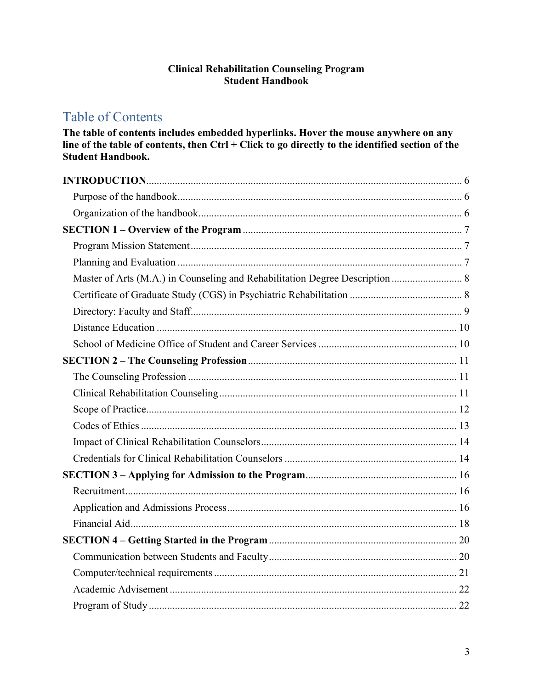## **Clinical Rehabilitation Counseling Program Student Handbook**

## **Table of Contents**

The table of contents includes embedded hyperlinks. Hover the mouse anywhere on any line of the table of contents, then Ctrl + Click to go directly to the identified section of the **Student Handbook.** 

| Master of Arts (M.A.) in Counseling and Rehabilitation Degree Description  8 |  |
|------------------------------------------------------------------------------|--|
|                                                                              |  |
|                                                                              |  |
|                                                                              |  |
|                                                                              |  |
|                                                                              |  |
|                                                                              |  |
|                                                                              |  |
|                                                                              |  |
|                                                                              |  |
|                                                                              |  |
|                                                                              |  |
|                                                                              |  |
|                                                                              |  |
|                                                                              |  |
|                                                                              |  |
|                                                                              |  |
|                                                                              |  |
|                                                                              |  |
|                                                                              |  |
|                                                                              |  |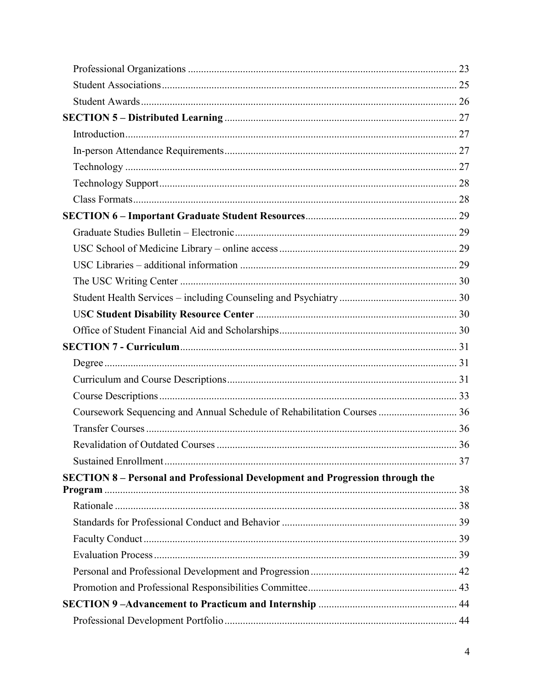| Coursework Sequencing and Annual Schedule of Rehabilitation Courses  36              |  |
|--------------------------------------------------------------------------------------|--|
|                                                                                      |  |
|                                                                                      |  |
|                                                                                      |  |
| <b>SECTION 8 - Personal and Professional Development and Progression through the</b> |  |
| Program                                                                              |  |
|                                                                                      |  |
|                                                                                      |  |
|                                                                                      |  |
|                                                                                      |  |
|                                                                                      |  |
|                                                                                      |  |
|                                                                                      |  |
|                                                                                      |  |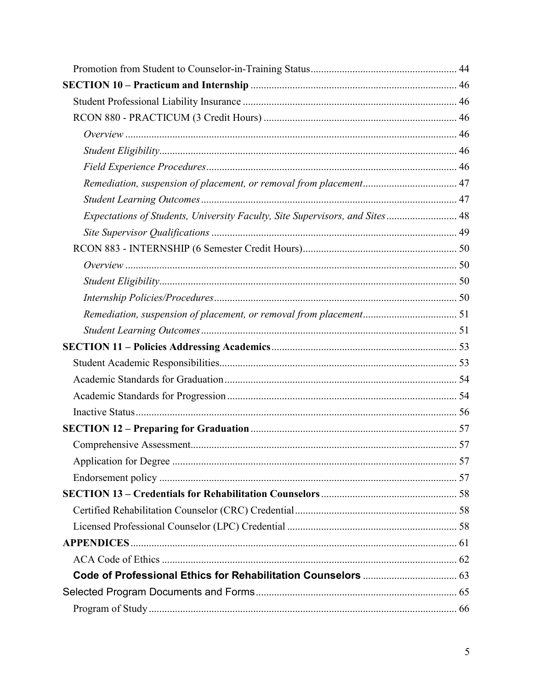| Expectations of Students, University Faculty, Site Supervisors, and Sites  48 |  |
|-------------------------------------------------------------------------------|--|
|                                                                               |  |
|                                                                               |  |
|                                                                               |  |
|                                                                               |  |
|                                                                               |  |
|                                                                               |  |
|                                                                               |  |
|                                                                               |  |
|                                                                               |  |
|                                                                               |  |
|                                                                               |  |
|                                                                               |  |
|                                                                               |  |
|                                                                               |  |
|                                                                               |  |
|                                                                               |  |
|                                                                               |  |
|                                                                               |  |
|                                                                               |  |
|                                                                               |  |
|                                                                               |  |
|                                                                               |  |
|                                                                               |  |
|                                                                               |  |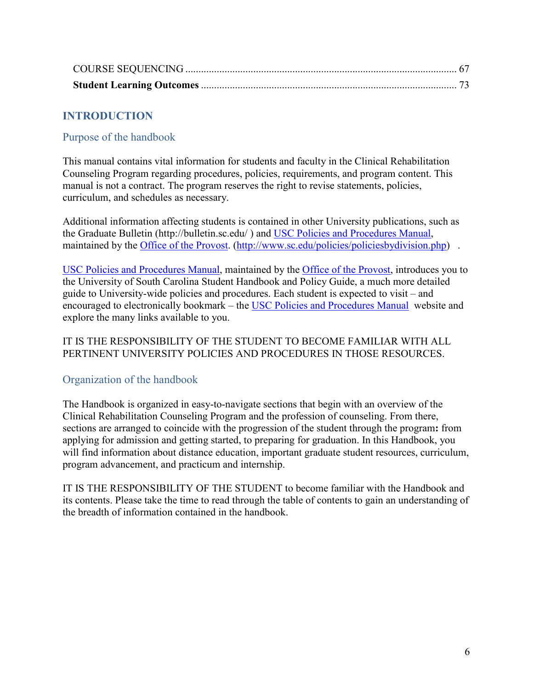## <span id="page-5-0"></span>**INTRODUCTION**

## <span id="page-5-1"></span>Purpose of the handbook

This manual contains vital information for students and faculty in the Clinical Rehabilitation Counseling Program regarding procedures, policies, requirements, and program content. This manual is not a contract. The program reserves the right to revise statements, policies, curriculum, and schedules as necessary.

Additional information affecting students is contained in other University publications, such as the Graduate Bulletin (http://bulletin.sc.edu/ ) and USC Policies and Procedures Manual, maintained by the Office of the Provost. [\(http://www.sc.edu/policies/policiesbydivision.php\)](http://www.sc.edu/policies/policiesbydivision.php).

USC Policies and [Procedures](http://www.sc.edu/policies/policiesbydivision.php) Manual, maintained by the Office of the [Provost,](http://www.sc.edu/about/offices_and_divisions/provost/index.php) introduces you to the University of South Carolina Student Handbook and Policy Guide, a much more detailed guide to University-wide policies and procedures. Each student is expected to visit – and encouraged to electronically bookmark – the USC Policies and [Procedures](http://www.sc.edu/policies/policiesbydivision.php) Manual website and explore the many links available to you.

## IT IS THE RESPONSIBILITY OF THE STUDENT TO BECOME FAMILIAR WITH ALL PERTINENT UNIVERSITY POLICIES AND PROCEDURES IN THOSE RESOURCES.

## <span id="page-5-2"></span>Organization of the handbook

The Handbook is organized in easy-to-navigate sections that begin with an overview of the Clinical Rehabilitation Counseling Program and the profession of counseling. From there, sections are arranged to coincide with the progression of the student through the program**:** from applying for admission and getting started, to preparing for graduation. In this Handbook, you will find information about distance education, important graduate student resources, curriculum, program advancement, and practicum and internship.

IT IS THE RESPONSIBILITY OF THE STUDENT to become familiar with the Handbook and its contents. Please take the time to read through the table of contents to gain an understanding of the breadth of information contained in the handbook.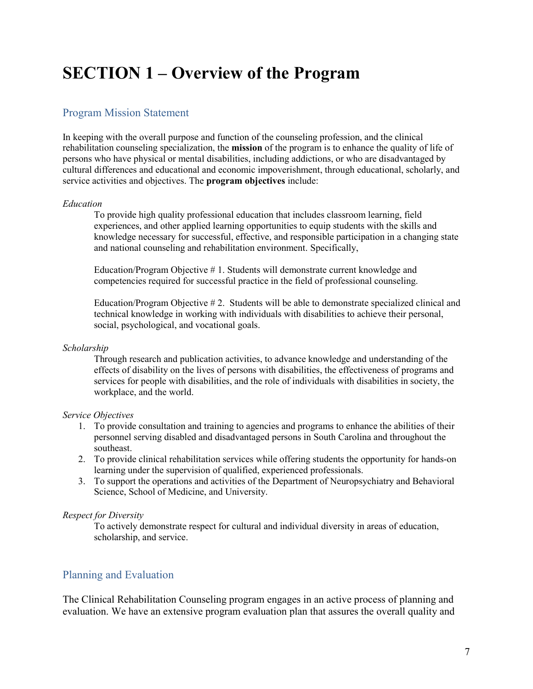## <span id="page-6-0"></span>**SECTION 1 – Overview of the Program**

## <span id="page-6-1"></span>Program Mission Statement

In keeping with the overall purpose and function of the counseling profession, and the clinical rehabilitation counseling specialization, the **mission** of the program is to enhance the quality of life of persons who have physical or mental disabilities, including addictions, or who are disadvantaged by cultural differences and educational and economic impoverishment, through educational, scholarly, and service activities and objectives. The **program objectives** include:

#### *Education*

To provide high quality professional education that includes classroom learning, field experiences, and other applied learning opportunities to equip students with the skills and knowledge necessary for successful, effective, and responsible participation in a changing state and national counseling and rehabilitation environment. Specifically,

Education/Program Objective # 1. Students will demonstrate current knowledge and competencies required for successful practice in the field of professional counseling.

Education/Program Objective # 2. Students will be able to demonstrate specialized clinical and technical knowledge in working with individuals with disabilities to achieve their personal, social, psychological, and vocational goals.

#### *Scholarship*

Through research and publication activities, to advance knowledge and understanding of the effects of disability on the lives of persons with disabilities, the effectiveness of programs and services for people with disabilities, and the role of individuals with disabilities in society, the workplace, and the world.

#### *Service Objectives*

- 1. To provide consultation and training to agencies and programs to enhance the abilities of their personnel serving disabled and disadvantaged persons in South Carolina and throughout the southeast.
- 2. To provide clinical rehabilitation services while offering students the opportunity for hands-on learning under the supervision of qualified, experienced professionals.
- 3. To support the operations and activities of the Department of Neuropsychiatry and Behavioral Science, School of Medicine, and University.

#### *Respect for Diversity*

To actively demonstrate respect for cultural and individual diversity in areas of education, scholarship, and service.

## <span id="page-6-2"></span>Planning and Evaluation

The Clinical Rehabilitation Counseling program engages in an active process of planning and evaluation. We have an extensive program evaluation plan that assures the overall quality and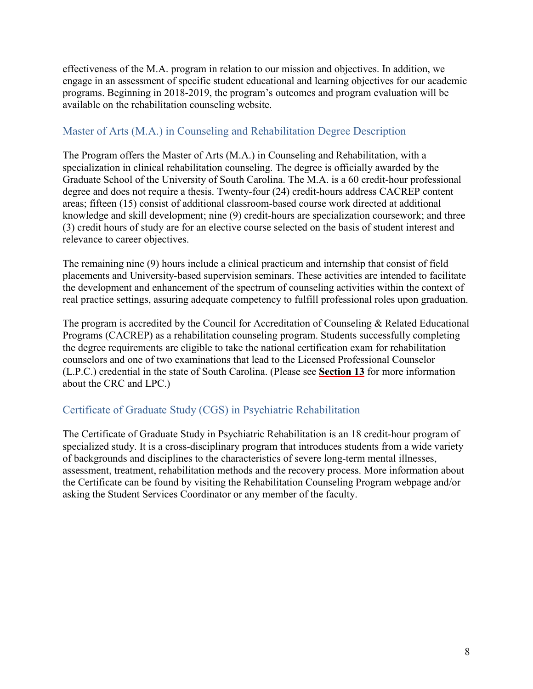effectiveness of the M.A. program in relation to our mission and objectives. In addition, we engage in an assessment of specific student educational and learning objectives for our academic programs. Beginning in 2018-2019, the program's outcomes and program evaluation will be available on the rehabilitation counseling website.

## <span id="page-7-0"></span>Master of Arts (M.A.) in Counseling and Rehabilitation Degree Description

The Program offers the Master of Arts (M.A.) in Counseling and Rehabilitation, with a specialization in clinical rehabilitation counseling. The degree is officially awarded by the Graduate School of the University of South Carolina. The M.A. is a 60 credit-hour professional degree and does not require a thesis. Twenty-four (24) credit-hours address CACREP content areas; fifteen (15) consist of additional classroom-based course work directed at additional knowledge and skill development; nine (9) credit-hours are specialization coursework; and three (3) credit hours of study are for an elective course selected on the basis of student interest and relevance to career objectives.

The remaining nine (9) hours include a clinical practicum and internship that consist of field placements and University-based supervision seminars. These activities are intended to facilitate the development and enhancement of the spectrum of counseling activities within the context of real practice settings, assuring adequate competency to fulfill professional roles upon graduation.

The program is accredited by the Council for Accreditation of Counseling & Related Educational Programs (CACREP) as a rehabilitation counseling program. Students successfully completing the degree requirements are eligible to take the national certification exam for rehabilitation counselors and one of two examinations that lead to the Licensed Professional Counselor (L.P.C.) credential in the state of South Carolina. (Please see **[Section](#page-57-0) 13** for more information about the CRC and LPC.)

## <span id="page-7-1"></span>Certificate of Graduate Study (CGS) in Psychiatric Rehabilitation

The Certificate of Graduate Study in Psychiatric Rehabilitation is an 18 credit-hour program of specialized study. It is a cross-disciplinary program that introduces students from a wide variety of backgrounds and disciplines to the characteristics of severe long-term mental illnesses, assessment, treatment, rehabilitation methods and the recovery process. More information about the Certificate can be found by visiting the Rehabilitation Counseling Program webpage and/or asking the Student Services Coordinator or any member of the faculty.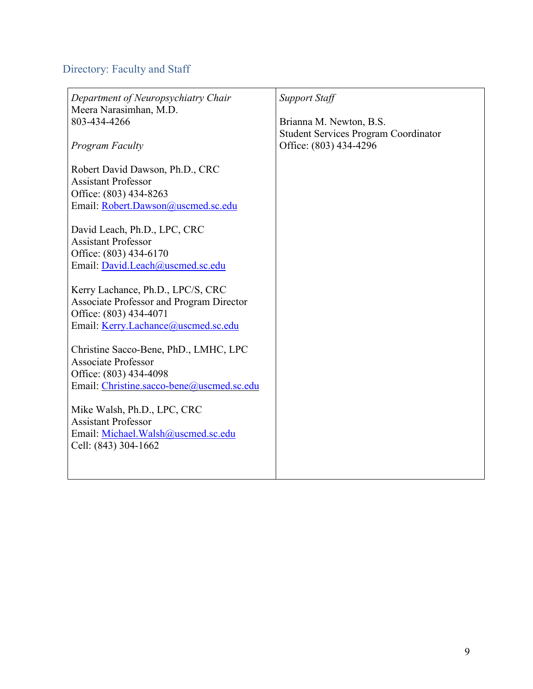## <span id="page-8-0"></span>Directory: Faculty and Staff

| Department of Neuropsychiatry Chair<br>Meera Narasimhan, M.D.<br>803-434-4266<br><b>Program Faculty</b>                                               | <b>Support Staff</b><br>Brianna M. Newton, B.S.<br><b>Student Services Program Coordinator</b><br>Office: (803) 434-4296 |
|-------------------------------------------------------------------------------------------------------------------------------------------------------|--------------------------------------------------------------------------------------------------------------------------|
| Robert David Dawson, Ph.D., CRC<br><b>Assistant Professor</b><br>Office: (803) 434-8263<br>Email: Robert.Dawson@uscmed.sc.edu                         |                                                                                                                          |
| David Leach, Ph.D., LPC, CRC<br><b>Assistant Professor</b><br>Office: (803) 434-6170<br>Email: David.Leach@uscmed.sc.edu                              |                                                                                                                          |
| Kerry Lachance, Ph.D., LPC/S, CRC<br><b>Associate Professor and Program Director</b><br>Office: (803) 434-4071<br>Email: Kerry.Lachance@uscmed.sc.edu |                                                                                                                          |
| Christine Sacco-Bene, PhD., LMHC, LPC<br><b>Associate Professor</b><br>Office: (803) 434-4098<br>Email: Christine.sacco-bene@uscmed.sc.edu            |                                                                                                                          |
| Mike Walsh, Ph.D., LPC, CRC<br><b>Assistant Professor</b><br>Email: Michael. Walsh@uscmed.sc.edu<br>Cell: (843) 304-1662                              |                                                                                                                          |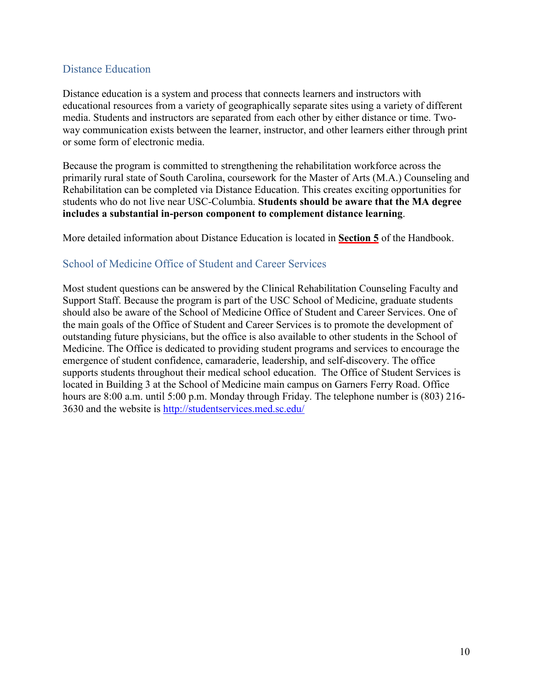## <span id="page-9-0"></span>Distance Education

Distance education is a system and process that connects learners and instructors with educational resources from a variety of geographically separate sites using a variety of different media. Students and instructors are separated from each other by either distance or time. Twoway communication exists between the learner, instructor, and other learners either through print or some form of electronic media.

Because the program is committed to strengthening the rehabilitation workforce across the primarily rural state of South Carolina, coursework for the Master of Arts (M.A.) Counseling and Rehabilitation can be completed via Distance Education. This creates exciting opportunities for students who do not live near USC-Columbia. **Students should be aware that the MA degree includes a substantial in-person component to complement distance learning**.

More detailed information about Distance Education is located in **[Section](#page-26-0) 5** of the Handbook.

## <span id="page-9-1"></span>School of Medicine Office of Student and Career Services

Most student questions can be answered by the Clinical Rehabilitation Counseling Faculty and Support Staff. Because the program is part of the USC School of Medicine, graduate students should also be aware of the School of Medicine Office of Student and Career Services. One of the main goals of the Office of Student and Career Services is to promote the development of outstanding future physicians, but the office is also available to other students in the School of Medicine. The Office is dedicated to providing student programs and services to encourage the emergence of student confidence, camaraderie, leadership, and self-discovery. The office supports students throughout their medical school education. The Office of Student Services is located in Building 3 at the School of Medicine main campus on Garners Ferry Road. Office hours are 8:00 a.m. until 5:00 p.m. Monday through Friday. The telephone number is (803) 216-3630 and the website is <http://studentservices.med.sc.edu/>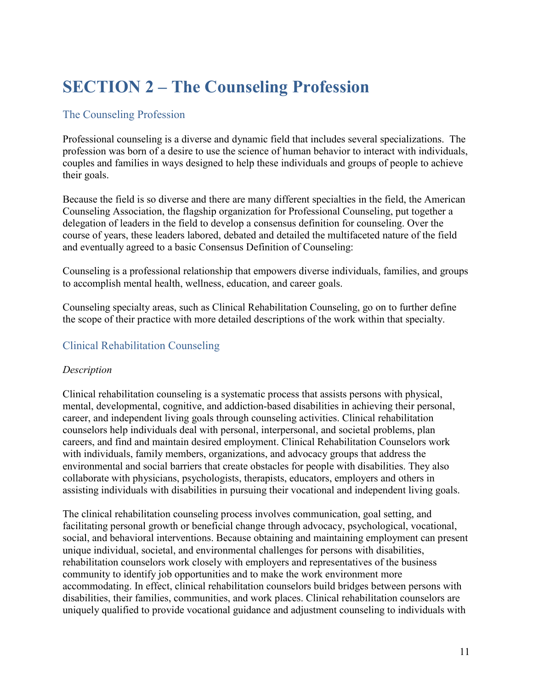## <span id="page-10-0"></span>**SECTION 2 – The Counseling Profession**

## <span id="page-10-1"></span>The Counseling Profession

Professional counseling is a diverse and dynamic field that includes several specializations. The profession was born of a desire to use the science of human behavior to interact with individuals, couples and families in ways designed to help these individuals and groups of people to achieve their goals.

Because the field is so diverse and there are many different specialties in the field, the American Counseling Association, the flagship organization for Professional Counseling, put together a delegation of leaders in the field to develop a consensus definition for counseling. Over the course of years, these leaders labored, debated and detailed the multifaceted nature of the field and eventually agreed to a basic Consensus Definition of Counseling:

Counseling is a professional relationship that empowers diverse individuals, families, and groups to accomplish mental health, wellness, education, and career goals.

Counseling specialty areas, such as Clinical Rehabilitation Counseling, go on to further define the scope of their practice with more detailed descriptions of the work within that specialty.

## <span id="page-10-2"></span>Clinical Rehabilitation Counseling

## *Description*

Clinical rehabilitation counseling is a systematic process that assists persons with physical, mental, developmental, cognitive, and addiction-based disabilities in achieving their personal, career, and independent living goals through counseling activities. Clinical rehabilitation counselors help individuals deal with personal, interpersonal, and societal problems, plan careers, and find and maintain desired employment. Clinical Rehabilitation Counselors work with individuals, family members, organizations, and advocacy groups that address the environmental and social barriers that create obstacles for people with disabilities. They also collaborate with physicians, psychologists, therapists, educators, employers and others in assisting individuals with disabilities in pursuing their vocational and independent living goals.

The clinical rehabilitation counseling process involves communication, goal setting, and facilitating personal growth or beneficial change through advocacy, psychological, vocational, social, and behavioral interventions. Because obtaining and maintaining employment can present unique individual, societal, and environmental challenges for persons with disabilities, rehabilitation counselors work closely with employers and representatives of the business community to identify job opportunities and to make the work environment more accommodating. In effect, clinical rehabilitation counselors build bridges between persons with disabilities, their families, communities, and work places. Clinical rehabilitation counselors are uniquely qualified to provide vocational guidance and adjustment counseling to individuals with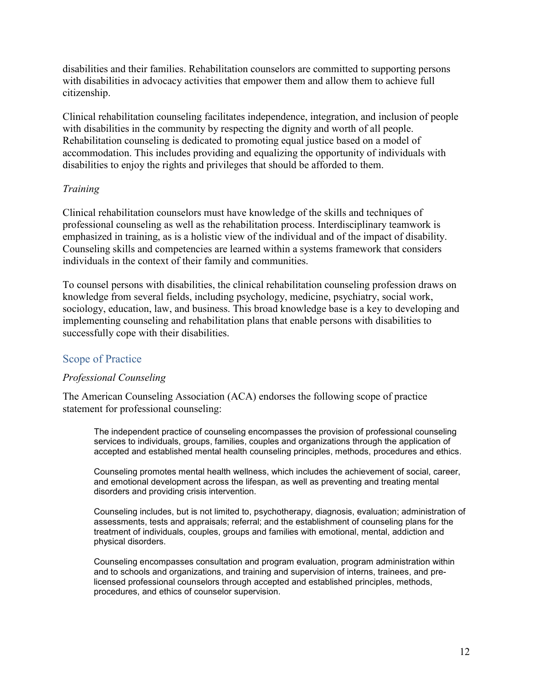disabilities and their families. Rehabilitation counselors are committed to supporting persons with disabilities in advocacy activities that empower them and allow them to achieve full citizenship.

Clinical rehabilitation counseling facilitates independence, integration, and inclusion of people with disabilities in the community by respecting the dignity and worth of all people. Rehabilitation counseling is dedicated to promoting equal justice based on a model of accommodation. This includes providing and equalizing the opportunity of individuals with disabilities to enjoy the rights and privileges that should be afforded to them.

## *Training*

Clinical rehabilitation counselors must have knowledge of the skills and techniques of professional counseling as well as the rehabilitation process. Interdisciplinary teamwork is emphasized in training, as is a holistic view of the individual and of the impact of disability. Counseling skills and competencies are learned within a systems framework that considers individuals in the context of their family and communities.

To counsel persons with disabilities, the clinical rehabilitation counseling profession draws on knowledge from several fields, including psychology, medicine, psychiatry, social work, sociology, education, law, and business. This broad knowledge base is a key to developing and implementing counseling and rehabilitation plans that enable persons with disabilities to successfully cope with their disabilities.

## <span id="page-11-0"></span>Scope of Practice

## *Professional Counseling*

The American Counseling Association (ACA) endorses the following scope of practice statement for professional counseling:

The independent practice of counseling encompasses the provision of professional counseling services to individuals, groups, families, couples and organizations through the application of accepted and established mental health counseling principles, methods, procedures and ethics.

Counseling promotes mental health wellness, which includes the achievement of social, career, and emotional development across the lifespan, as well as preventing and treating mental disorders and providing crisis intervention.

Counseling includes, but is not limited to, psychotherapy, diagnosis, evaluation; administration of assessments, tests and appraisals; referral; and the establishment of counseling plans for the treatment of individuals, couples, groups and families with emotional, mental, addiction and physical disorders.

Counseling encompasses consultation and program evaluation, program administration within and to schools and organizations, and training and supervision of interns, trainees, and prelicensed professional counselors through accepted and established principles, methods, procedures, and ethics of counselor supervision.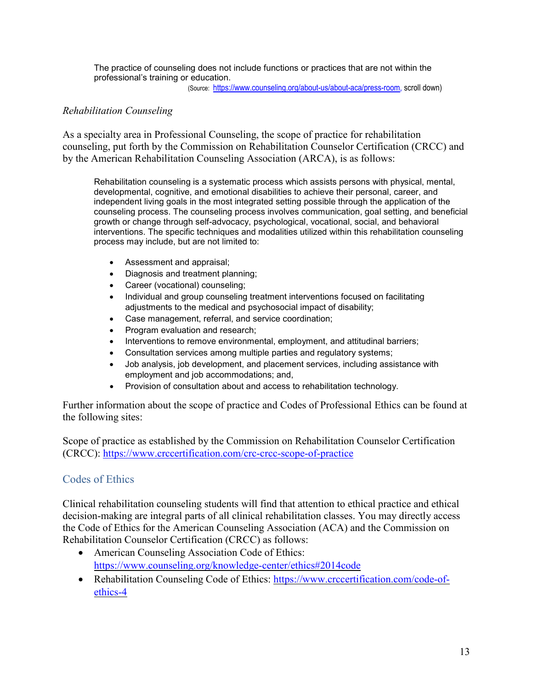The practice of counseling does not include functions or practices that are not within the professional's training or education.

(Source: [https://www.counseling.org/about-us/about-aca/press-room,](https://www.counseling.org/about-us/about-aca/press-room) scroll down)

## *Rehabilitation Counseling*

As a specialty area in Professional Counseling, the scope of practice for rehabilitation counseling, put forth by the Commission on Rehabilitation Counselor Certification (CRCC) and by the American Rehabilitation Counseling Association (ARCA), is as follows:

Rehabilitation counseling is a systematic process which assists persons with physical, mental, developmental, cognitive, and emotional disabilities to achieve their personal, career, and independent living goals in the most integrated setting possible through the application of the counseling process. The counseling process involves communication, goal setting, and beneficial growth or change through self-advocacy, psychological, vocational, social, and behavioral interventions. The specific techniques and modalities utilized within this rehabilitation counseling process may include, but are not limited to:

- Assessment and appraisal;
- Diagnosis and treatment planning;
- Career (vocational) counseling;
- Individual and group counseling treatment interventions focused on facilitating adjustments to the medical and psychosocial impact of disability;
- Case management, referral, and service coordination;
- Program evaluation and research;
- Interventions to remove environmental, employment, and attitudinal barriers;
- Consultation services among multiple parties and regulatory systems;
- Job analysis, job development, and placement services, including assistance with employment and job accommodations; and,
- Provision of consultation about and access to rehabilitation technology.

Further information about the scope of practice and Codes of Professional Ethics can be found at the following sites:

Scope of practice as established by the Commission on Rehabilitation Counselor Certification (CRCC): <https://www.crccertification.com/crc-crcc-scope-of-practice>

## <span id="page-12-0"></span>Codes of Ethics

Clinical rehabilitation counseling students will find that attention to ethical practice and ethical decision-making are integral parts of all clinical rehabilitation classes. You may directly access the Code of Ethics for the American Counseling Association (ACA) and the Commission on Rehabilitation Counselor Certification (CRCC) as follows:

- American Counseling Association Code of Ethics: <https://www.counseling.org/knowledge-center/ethics#2014code>
- Rehabilitation Counseling Code of Ethics: [https://www.crccertification.com/code-of](https://www.crccertification.com/code-of-ethics-4)[ethics-4](https://www.crccertification.com/code-of-ethics-4)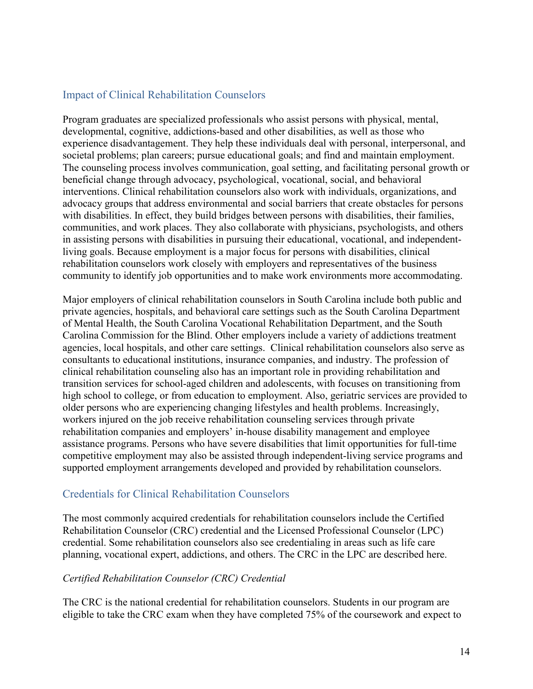## <span id="page-13-0"></span>Impact of Clinical Rehabilitation Counselors

Program graduates are specialized professionals who assist persons with physical, mental, developmental, cognitive, addictions-based and other disabilities, as well as those who experience disadvantagement. They help these individuals deal with personal, interpersonal, and societal problems; plan careers; pursue educational goals; and find and maintain employment. The counseling process involves communication, goal setting, and facilitating personal growth or beneficial change through advocacy, psychological, vocational, social, and behavioral interventions. Clinical rehabilitation counselors also work with individuals, organizations, and advocacy groups that address environmental and social barriers that create obstacles for persons with disabilities. In effect, they build bridges between persons with disabilities, their families, communities, and work places. They also collaborate with physicians, psychologists, and others in assisting persons with disabilities in pursuing their educational, vocational, and independentliving goals. Because employment is a major focus for persons with disabilities, clinical rehabilitation counselors work closely with employers and representatives of the business community to identify job opportunities and to make work environments more accommodating.

Major employers of clinical rehabilitation counselors in South Carolina include both public and private agencies, hospitals, and behavioral care settings such as the South Carolina Department of Mental Health, the South Carolina Vocational Rehabilitation Department, and the South Carolina Commission for the Blind. Other employers include a variety of addictions treatment agencies, local hospitals, and other care settings. Clinical rehabilitation counselors also serve as consultants to educational institutions, insurance companies, and industry. The profession of clinical rehabilitation counseling also has an important role in providing rehabilitation and transition services for school-aged children and adolescents, with focuses on transitioning from high school to college, or from education to employment. Also, geriatric services are provided to older persons who are experiencing changing lifestyles and health problems. Increasingly, workers injured on the job receive rehabilitation counseling services through private rehabilitation companies and employers' in-house disability management and employee assistance programs. Persons who have severe disabilities that limit opportunities for full-time competitive employment may also be assisted through independent-living service programs and supported employment arrangements developed and provided by rehabilitation counselors.

## <span id="page-13-1"></span>Credentials for Clinical Rehabilitation Counselors

The most commonly acquired credentials for rehabilitation counselors include the Certified Rehabilitation Counselor (CRC) credential and the Licensed Professional Counselor (LPC) credential. Some rehabilitation counselors also see credentialing in areas such as life care planning, vocational expert, addictions, and others. The CRC in the LPC are described here.

## *Certified Rehabilitation Counselor (CRC) Credential*

The CRC is the national credential for rehabilitation counselors. Students in our program are eligible to take the CRC exam when they have completed 75% of the coursework and expect to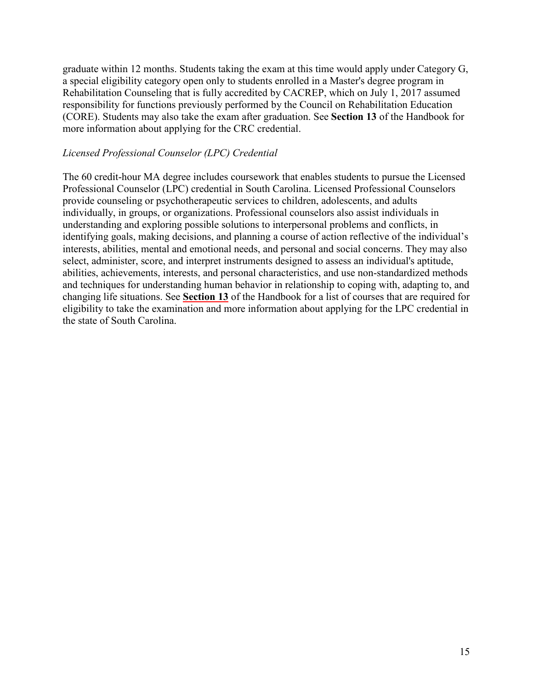graduate within 12 months. Students taking the exam at this time would apply under Category G, a special eligibility category open only to students enrolled in a Master's degree program in Rehabilitation Counseling that is fully accredited by CACREP, which on July 1, 2017 assumed responsibility for functions previously performed by the Council on Rehabilitation Education (CORE). Students may also take the exam after graduation. See **Section 13** of the Handbook for more information about applying for the CRC credential.

#### *Licensed Professional Counselor (LPC) Credential*

The 60 credit-hour MA degree includes coursework that enables students to pursue the Licensed Professional Counselor (LPC) credential in South Carolina. Licensed Professional Counselors provide counseling or psychotherapeutic services to children, adolescents, and adults individually, in groups, or organizations. Professional counselors also assist individuals in understanding and exploring possible solutions to interpersonal problems and conflicts, in identifying goals, making decisions, and planning a course of action reflective of the individual's interests, abilities, mental and emotional needs, and personal and social concerns. They may also select, administer, score, and interpret instruments designed to assess an individual's aptitude, abilities, achievements, interests, and personal characteristics, and use non-standardized methods and techniques for understanding human behavior in relationship to coping with, adapting to, and changing life situations. See **[Section](#page-57-0) 13** of the Handbook for a list of courses that are required for eligibility to take the examination and more information about applying for the LPC credential in the state of South Carolina.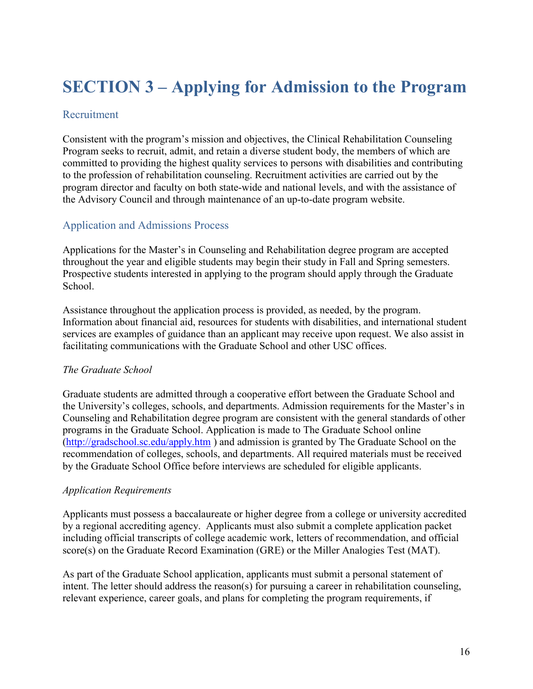## <span id="page-15-0"></span>**SECTION 3 – Applying for Admission to the Program**

## <span id="page-15-1"></span>Recruitment

Consistent with the program's mission and objectives, the Clinical Rehabilitation Counseling Program seeks to recruit, admit, and retain a diverse student body, the members of which are committed to providing the highest quality services to persons with disabilities and contributing to the profession of rehabilitation counseling. Recruitment activities are carried out by the program director and faculty on both state-wide and national levels, and with the assistance of the Advisory Council and through maintenance of an up-to-date program website.

## <span id="page-15-2"></span>Application and Admissions Process

Applications for the Master's in Counseling and Rehabilitation degree program are accepted throughout the year and eligible students may begin their study in Fall and Spring semesters. Prospective students interested in applying to the program should apply through the Graduate School.

Assistance throughout the application process is provided, as needed, by the program. Information about financial aid, resources for students with disabilities, and international student services are examples of guidance than an applicant may receive upon request. We also assist in facilitating communications with the Graduate School and other USC offices.

## *The Graduate School*

Graduate students are admitted through a cooperative effort between the Graduate School and the University's colleges, schools, and departments. Admission requirements for the Master's in Counseling and Rehabilitation degree program are consistent with the general standards of other programs in the Graduate School. Application is made to The Graduate School online [\(http://gradschool.sc.edu/apply.htm](http://gradschool.sc.edu/apply.htm) ) and admission is granted by The Graduate School on the recommendation of colleges, schools, and departments. All required materials must be received by the Graduate School Office before interviews are scheduled for eligible applicants.

## *Application Requirements*

Applicants must possess a baccalaureate or higher degree from a college or university accredited by a regional accrediting agency. Applicants must also submit a complete application packet including official transcripts of college academic work, letters of recommendation, and official score(s) on the Graduate Record Examination (GRE) or the Miller Analogies Test (MAT).

As part of the Graduate School application, applicants must submit a personal statement of intent. The letter should address the reason(s) for pursuing a career in rehabilitation counseling, relevant experience, career goals, and plans for completing the program requirements, if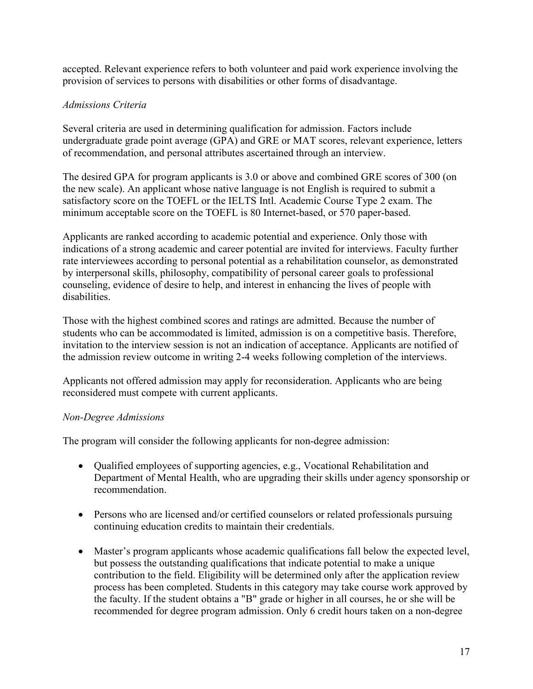accepted. Relevant experience refers to both volunteer and paid work experience involving the provision of services to persons with disabilities or other forms of disadvantage.

## *Admissions Criteria*

Several criteria are used in determining qualification for admission. Factors include undergraduate grade point average (GPA) and GRE or MAT scores, relevant experience, letters of recommendation, and personal attributes ascertained through an interview.

The desired GPA for program applicants is 3.0 or above and combined GRE scores of 300 (on the new scale). An applicant whose native language is not English is required to submit a satisfactory score on the TOEFL or the IELTS Intl. Academic Course Type 2 exam. The minimum acceptable score on the TOEFL is 80 Internet-based, or 570 paper-based.

Applicants are ranked according to academic potential and experience. Only those with indications of a strong academic and career potential are invited for interviews. Faculty further rate interviewees according to personal potential as a rehabilitation counselor, as demonstrated by interpersonal skills, philosophy, compatibility of personal career goals to professional counseling, evidence of desire to help, and interest in enhancing the lives of people with disabilities.

Those with the highest combined scores and ratings are admitted. Because the number of students who can be accommodated is limited, admission is on a competitive basis. Therefore, invitation to the interview session is not an indication of acceptance. Applicants are notified of the admission review outcome in writing 2-4 weeks following completion of the interviews.

Applicants not offered admission may apply for reconsideration. Applicants who are being reconsidered must compete with current applicants.

## *Non-Degree Admissions*

The program will consider the following applicants for non-degree admission:

- Qualified employees of supporting agencies, e.g., Vocational Rehabilitation and Department of Mental Health, who are upgrading their skills under agency sponsorship or recommendation.
- Persons who are licensed and/or certified counselors or related professionals pursuing continuing education credits to maintain their credentials.
- Master's program applicants whose academic qualifications fall below the expected level, but possess the outstanding qualifications that indicate potential to make a unique contribution to the field. Eligibility will be determined only after the application review process has been completed. Students in this category may take course work approved by the faculty. If the student obtains a "B" grade or higher in all courses, he or she will be recommended for degree program admission. Only 6 credit hours taken on a non-degree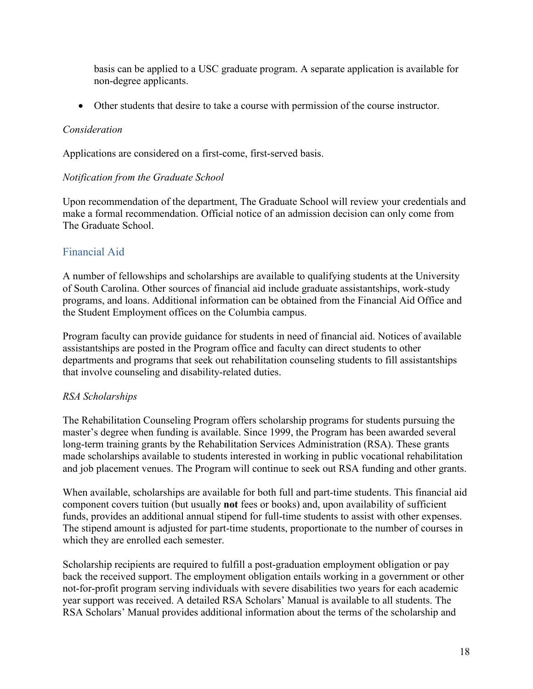basis can be applied to a USC graduate program. A separate application is available for non-degree applicants.

• Other students that desire to take a course with permission of the course instructor.

#### *Consideration*

Applications are considered on a first-come, first-served basis.

#### *Notification from the Graduate School*

Upon recommendation of the department, The Graduate School will review your credentials and make a formal recommendation. Official notice of an admission decision can only come from The Graduate School.

## <span id="page-17-0"></span>Financial Aid

A number of fellowships and scholarships are available to qualifying students at the University of South Carolina. Other sources of financial aid include graduate assistantships, work-study programs, and loans. Additional information can be obtained from the Financial Aid Office and the Student Employment offices on the Columbia campus.

Program faculty can provide guidance for students in need of financial aid. Notices of available assistantships are posted in the Program office and faculty can direct students to other departments and programs that seek out rehabilitation counseling students to fill assistantships that involve counseling and disability-related duties.

## *RSA Scholarships*

The Rehabilitation Counseling Program offers scholarship programs for students pursuing the master's degree when funding is available. Since 1999, the Program has been awarded several long-term training grants by the Rehabilitation Services Administration (RSA). These grants made scholarships available to students interested in working in public vocational rehabilitation and job placement venues. The Program will continue to seek out RSA funding and other grants.

When available, scholarships are available for both full and part-time students. This financial aid component covers tuition (but usually **not** fees or books) and, upon availability of sufficient funds, provides an additional annual stipend for full-time students to assist with other expenses. The stipend amount is adjusted for part-time students, proportionate to the number of courses in which they are enrolled each semester.

Scholarship recipients are required to fulfill a post-graduation employment obligation or pay back the received support. The employment obligation entails working in a government or other not-for-profit program serving individuals with severe disabilities two years for each academic year support was received. A detailed RSA Scholars' Manual is available to all students. The RSA Scholars' Manual provides additional information about the terms of the scholarship and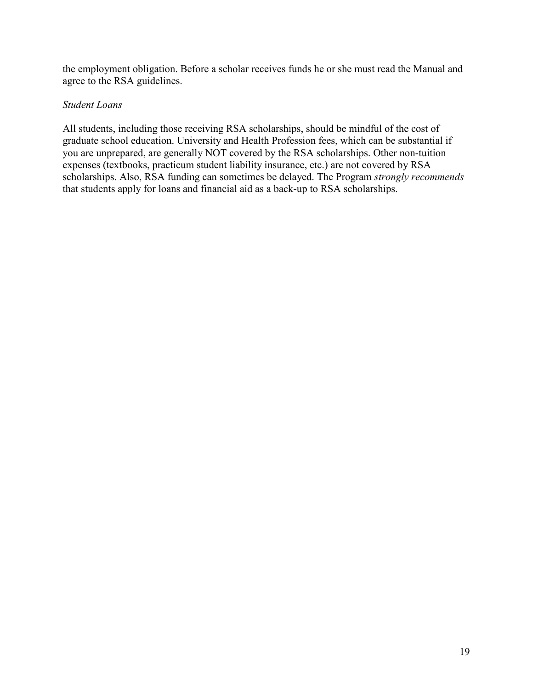the employment obligation. Before a scholar receives funds he or she must read the Manual and agree to the RSA guidelines.

#### *Student Loans*

All students, including those receiving RSA scholarships, should be mindful of the cost of graduate school education. University and Health Profession fees, which can be substantial if you are unprepared, are generally NOT covered by the RSA scholarships. Other non-tuition expenses (textbooks, practicum student liability insurance, etc.) are not covered by RSA scholarships. Also, RSA funding can sometimes be delayed. The Program *strongly recommends* that students apply for loans and financial aid as a back-up to RSA scholarships.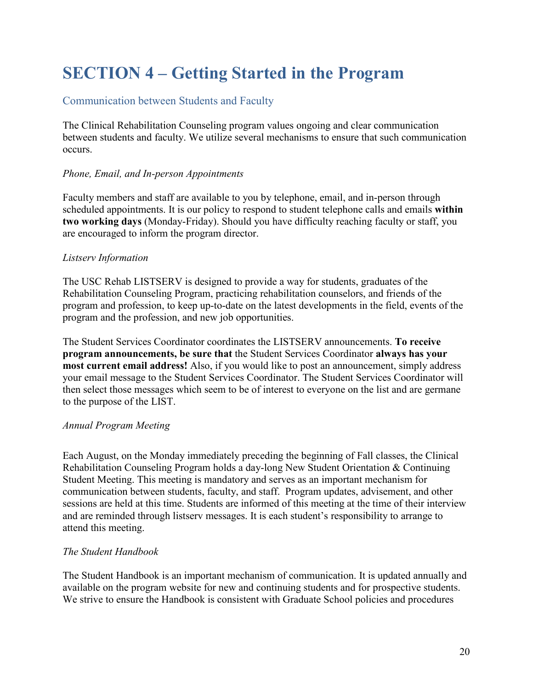## <span id="page-19-0"></span>**SECTION 4 – Getting Started in the Program**

## <span id="page-19-1"></span>Communication between Students and Faculty

The Clinical Rehabilitation Counseling program values ongoing and clear communication between students and faculty. We utilize several mechanisms to ensure that such communication occurs.

## *Phone, Email, and In-person Appointments*

Faculty members and staff are available to you by telephone, email, and in-person through scheduled appointments. It is our policy to respond to student telephone calls and emails **within two working days** (Monday-Friday). Should you have difficulty reaching faculty or staff, you are encouraged to inform the program director.

## *Listserv Information*

The USC Rehab LISTSERV is designed to provide a way for students, graduates of the Rehabilitation Counseling Program, practicing rehabilitation counselors, and friends of the program and profession, to keep up-to-date on the latest developments in the field, events of the program and the profession, and new job opportunities.

The Student Services Coordinator coordinates the LISTSERV announcements. **To receive program announcements, be sure that** the Student Services Coordinator **always has your most current email address!** Also, if you would like to post an announcement, simply address your email message to the Student Services Coordinator. The Student Services Coordinator will then select those messages which seem to be of interest to everyone on the list and are germane to the purpose of the LIST.

## *Annual Program Meeting*

Each August, on the Monday immediately preceding the beginning of Fall classes, the Clinical Rehabilitation Counseling Program holds a day-long New Student Orientation & Continuing Student Meeting. This meeting is mandatory and serves as an important mechanism for communication between students, faculty, and staff. Program updates, advisement, and other sessions are held at this time. Students are informed of this meeting at the time of their interview and are reminded through listserv messages. It is each student's responsibility to arrange to attend this meeting.

## *The Student Handbook*

The Student Handbook is an important mechanism of communication. It is updated annually and available on the program website for new and continuing students and for prospective students. We strive to ensure the Handbook is consistent with Graduate School policies and procedures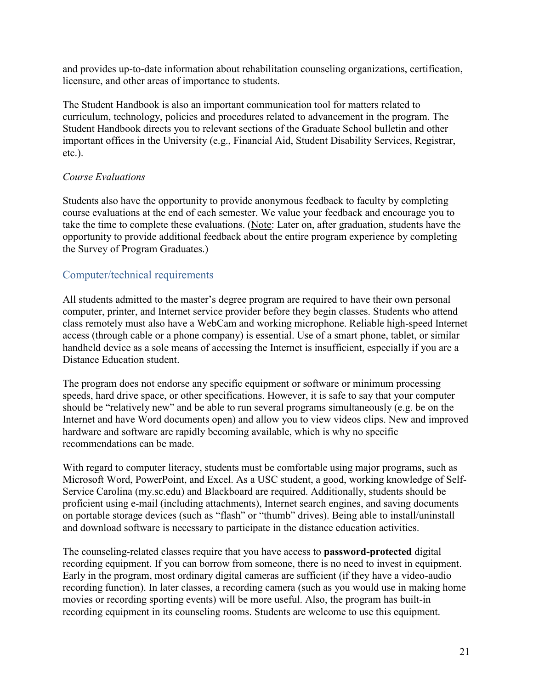and provides up-to-date information about rehabilitation counseling organizations, certification, licensure, and other areas of importance to students.

The Student Handbook is also an important communication tool for matters related to curriculum, technology, policies and procedures related to advancement in the program. The Student Handbook directs you to relevant sections of the Graduate School bulletin and other important offices in the University (e.g., Financial Aid, Student Disability Services, Registrar, etc.).

#### *Course Evaluations*

Students also have the opportunity to provide anonymous feedback to faculty by completing course evaluations at the end of each semester. We value your feedback and encourage you to take the time to complete these evaluations. (Note: Later on, after graduation, students have the opportunity to provide additional feedback about the entire program experience by completing the Survey of Program Graduates.)

## <span id="page-20-0"></span>Computer/technical requirements

All students admitted to the master's degree program are required to have their own personal computer, printer, and Internet service provider before they begin classes. Students who attend class remotely must also have a WebCam and working microphone. Reliable high-speed Internet access (through cable or a phone company) is essential. Use of a smart phone, tablet, or similar handheld device as a sole means of accessing the Internet is insufficient, especially if you are a Distance Education student.

The program does not endorse any specific equipment or software or minimum processing speeds, hard drive space, or other specifications. However, it is safe to say that your computer should be "relatively new" and be able to run several programs simultaneously (e.g. be on the Internet and have Word documents open) and allow you to view videos clips. New and improved hardware and software are rapidly becoming available, which is why no specific recommendations can be made.

With regard to computer literacy, students must be comfortable using major programs, such as Microsoft Word, PowerPoint, and Excel. As a USC student, a good, working knowledge of Self-Service Carolina (my.sc.edu) and Blackboard are required. Additionally, students should be proficient using e-mail (including attachments), Internet search engines, and saving documents on portable storage devices (such as "flash" or "thumb" drives). Being able to install/uninstall and download software is necessary to participate in the distance education activities.

The counseling-related classes require that you have access to **password-protected** digital recording equipment. If you can borrow from someone, there is no need to invest in equipment. Early in the program, most ordinary digital cameras are sufficient (if they have a video-audio recording function). In later classes, a recording camera (such as you would use in making home movies or recording sporting events) will be more useful. Also, the program has built-in recording equipment in its counseling rooms. Students are welcome to use this equipment.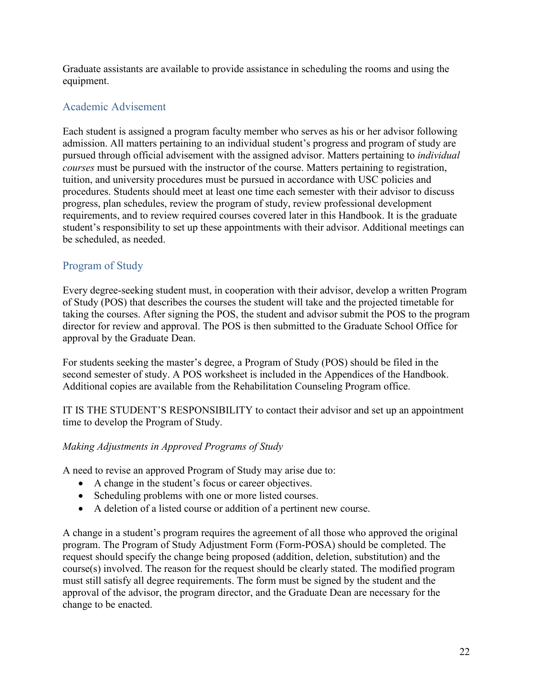Graduate assistants are available to provide assistance in scheduling the rooms and using the equipment.

## <span id="page-21-0"></span>Academic Advisement

Each student is assigned a program faculty member who serves as his or her advisor following admission. All matters pertaining to an individual student's progress and program of study are pursued through official advisement with the assigned advisor. Matters pertaining to *individual courses* must be pursued with the instructor of the course. Matters pertaining to registration, tuition, and university procedures must be pursued in accordance with USC policies and procedures. Students should meet at least one time each semester with their advisor to discuss progress, plan schedules, review the program of study, review professional development requirements, and to review required courses covered later in this Handbook. It is the graduate student's responsibility to set up these appointments with their advisor. Additional meetings can be scheduled, as needed.

## <span id="page-21-1"></span>Program of Study

Every degree-seeking student must, in cooperation with their advisor, develop a written Program of Study (POS) that describes the courses the student will take and the projected timetable for taking the courses. After signing the POS, the student and advisor submit the POS to the program director for review and approval. The POS is then submitted to the Graduate School Office for approval by the Graduate Dean.

For students seeking the master's degree, a Program of Study (POS) should be filed in the second semester of study. A POS worksheet is included in the Appendices of the Handbook. Additional copies are available from the Rehabilitation Counseling Program office.

IT IS THE STUDENT'S RESPONSIBILITY to contact their advisor and set up an appointment time to develop the Program of Study.

## *Making Adjustments in Approved Programs of Study*

A need to revise an approved Program of Study may arise due to:

- A change in the student's focus or career objectives.
- Scheduling problems with one or more listed courses.
- A deletion of a listed course or addition of a pertinent new course.

A change in a student's program requires the agreement of all those who approved the original program. The Program of Study Adjustment Form (Form-POSA) should be completed. The request should specify the change being proposed (addition, deletion, substitution) and the course(s) involved. The reason for the request should be clearly stated. The modified program must still satisfy all degree requirements. The form must be signed by the student and the approval of the advisor, the program director, and the Graduate Dean are necessary for the change to be enacted.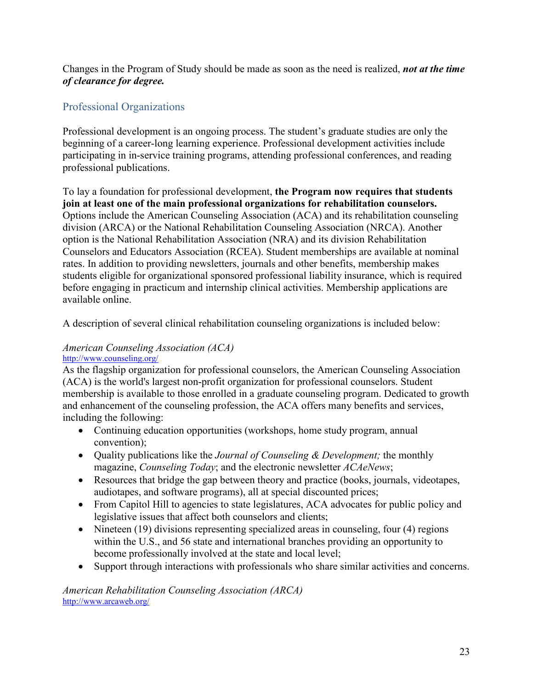Changes in the Program of Study should be made as soon as the need is realized, *not at the time of clearance for degree.*

## <span id="page-22-0"></span>Professional Organizations

Professional development is an ongoing process. The student's graduate studies are only the beginning of a career-long learning experience. Professional development activities include participating in in-service training programs, attending professional conferences, and reading professional publications.

To lay a foundation for professional development, **the Program now requires that students join at least one of the main professional organizations for rehabilitation counselors.** Options include the American Counseling Association (ACA) and its rehabilitation counseling division (ARCA) or the National Rehabilitation Counseling Association (NRCA). Another option is the National Rehabilitation Association (NRA) and its division Rehabilitation Counselors and Educators Association (RCEA). Student memberships are available at nominal rates. In addition to providing newsletters, journals and other benefits, membership makes students eligible for organizational sponsored professional liability insurance, which is required before engaging in practicum and internship clinical activities. Membership applications are available online.

A description of several clinical rehabilitation counseling organizations is included below:

#### *American Counseling Association (ACA)* <http://www.counseling.org/>

As the flagship organization for professional counselors, the American Counseling Association (ACA) is the world's largest non-profit organization for professional counselors. Student membership is available to those enrolled in a graduate counseling program. Dedicated to growth and enhancement of the counseling profession, the ACA offers many benefits and services, including the following:

- Continuing education opportunities (workshops, home study program, annual convention);
- Quality publications like the *Journal of Counseling & Development;* the monthly magazine, *Counseling Today*; and the electronic newsletter *ACAeNews*;
- Resources that bridge the gap between theory and practice (books, journals, videotapes, audiotapes, and software programs), all at special discounted prices;
- From Capitol Hill to agencies to state legislatures, ACA advocates for public policy and legislative issues that affect both counselors and clients;
- Nineteen (19) divisions representing specialized areas in counseling, four (4) regions within the U.S., and 56 state and international branches providing an opportunity to become professionally involved at the state and local level;
- Support through interactions with professionals who share similar activities and concerns.

*American Rehabilitation Counseling Association (ARCA)* <http://www.arcaweb.org/>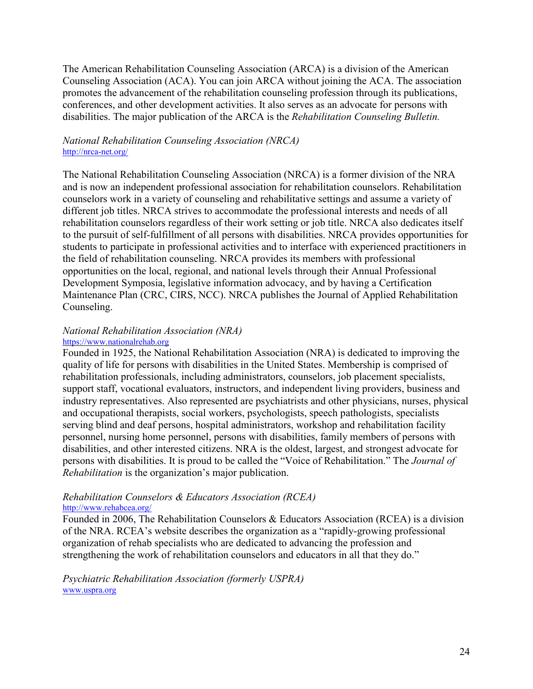The American Rehabilitation Counseling Association (ARCA) is a division of the American Counseling Association (ACA). You can join ARCA without joining the ACA. The association promotes the advancement of the rehabilitation counseling profession through its publications, conferences, and other development activities. It also serves as an advocate for persons with disabilities. The major publication of the ARCA is the *Rehabilitation Counseling Bulletin.*

#### *National Rehabilitation Counseling Association (NRCA)* <http://nrca-net.org/>

The National Rehabilitation Counseling Association (NRCA) is a former division of the NRA and is now an independent professional association for rehabilitation counselors. Rehabilitation counselors work in a variety of counseling and rehabilitative settings and assume a variety of different job titles. NRCA strives to accommodate the professional interests and needs of all rehabilitation counselors regardless of their work setting or job title. NRCA also dedicates itself to the pursuit of self-fulfillment of all persons with disabilities. NRCA provides opportunities for students to participate in professional activities and to interface with experienced practitioners in the field of rehabilitation counseling. NRCA provides its members with professional opportunities on the local, regional, and national levels through their Annual Professional Development Symposia, legislative information advocacy, and by having a Certification Maintenance Plan (CRC, CIRS, NCC). NRCA publishes the Journal of Applied Rehabilitation Counseling.

#### *National Rehabilitation Association (NRA)* [https://www.nationalrehab.org](https://www.nationalrehab.org/)

Founded in 1925, the National Rehabilitation Association (NRA) is dedicated to improving the quality of life for persons with disabilities in the United States. Membership is comprised of rehabilitation professionals, including administrators, counselors, job placement specialists, support staff, vocational evaluators, instructors, and independent living providers, business and industry representatives. Also represented are psychiatrists and other physicians, nurses, physical and occupational therapists, social workers, psychologists, speech pathologists, specialists serving blind and deaf persons, hospital administrators, workshop and rehabilitation facility personnel, nursing home personnel, persons with disabilities, family members of persons with disabilities, and other interested citizens. NRA is the oldest, largest, and strongest advocate for persons with disabilities. It is proud to be called the "Voice of Rehabilitation." The *Journal of Rehabilitation* is the organization's major publication.

## *Rehabilitation Counselors & Educators Association (RCEA)*

#### <http://www.rehabcea.org/>

Founded in 2006, The Rehabilitation Counselors & Educators Association (RCEA) is a division of the NRA. RCEA's website describes the organization as a "rapidly-growing professional organization of rehab specialists who are dedicated to advancing the profession and strengthening the work of rehabilitation counselors and educators in all that they do."

*Psychiatric Rehabilitation Association (formerly USPRA)* [www.uspra.org](http://www.uspra.org/)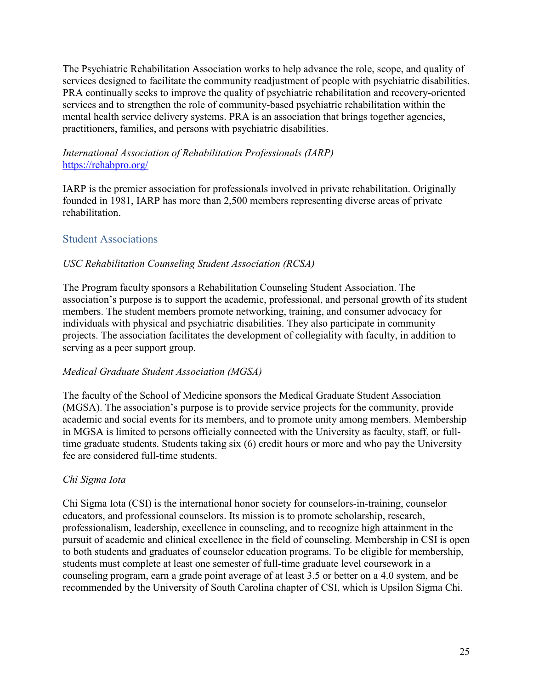The Psychiatric Rehabilitation Association works to help advance the role, scope, and quality of services designed to facilitate the community readjustment of people with psychiatric disabilities. PRA continually seeks to improve the quality of psychiatric rehabilitation and recovery-oriented services and to strengthen the role of community-based psychiatric rehabilitation within the mental health service delivery systems. PRA is an association that brings together agencies, practitioners, families, and persons with psychiatric disabilities.

## *International Association of Rehabilitation Professionals (IARP)* <https://rehabpro.org/>

IARP is the premier association for professionals involved in private rehabilitation. Originally founded in 1981, IARP has more than 2,500 members representing diverse areas of private rehabilitation.

## <span id="page-24-0"></span>Student Associations

## *USC Rehabilitation Counseling Student Association (RCSA)*

The Program faculty sponsors a Rehabilitation Counseling Student Association. The association's purpose is to support the academic, professional, and personal growth of its student members. The student members promote networking, training, and consumer advocacy for individuals with physical and psychiatric disabilities. They also participate in community projects. The association facilitates the development of collegiality with faculty, in addition to serving as a peer support group.

## *Medical Graduate Student Association (MGSA)*

The faculty of the School of Medicine sponsors the Medical Graduate Student Association (MGSA). The association's purpose is to provide service projects for the community, provide academic and social events for its members, and to promote unity among members. Membership in MGSA is limited to persons officially connected with the University as faculty, staff, or fulltime graduate students. Students taking six (6) credit hours or more and who pay the University fee are considered full-time students.

## *Chi Sigma Iota*

Chi Sigma Iota (CSI) is the international honor society for counselors-in-training, counselor educators, and professional counselors. Its mission is to promote scholarship, research, professionalism, leadership, excellence in counseling, and to recognize high attainment in the pursuit of academic and clinical excellence in the field of counseling. Membership in CSI is open to both students and graduates of counselor education programs. To be eligible for membership, students must complete at least one semester of full-time graduate level coursework in a counseling program, earn a grade point average of at least 3.5 or better on a 4.0 system, and be recommended by the University of South Carolina chapter of CSI, which is Upsilon Sigma Chi.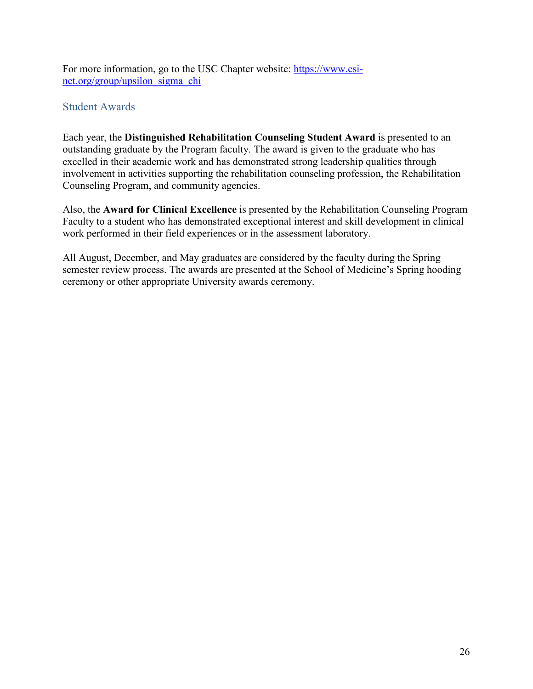For more information, go to the USC Chapter website: [https://www.csi](https://www.csi-net.org/group/upsilon_sigma_chi)[net.org/group/upsilon\\_sigma\\_chi](https://www.csi-net.org/group/upsilon_sigma_chi)

## <span id="page-25-0"></span>Student Awards

Each year, the **Distinguished Rehabilitation Counseling Student Award** is presented to an outstanding graduate by the Program faculty. The award is given to the graduate who has excelled in their academic work and has demonstrated strong leadership qualities through involvement in activities supporting the rehabilitation counseling profession, the Rehabilitation Counseling Program, and community agencies.

Also, the **Award for Clinical Excellence** is presented by the Rehabilitation Counseling Program Faculty to a student who has demonstrated exceptional interest and skill development in clinical work performed in their field experiences or in the assessment laboratory.

All August, December, and May graduates are considered by the faculty during the Spring semester review process. The awards are presented at the School of Medicine's Spring hooding ceremony or other appropriate University awards ceremony.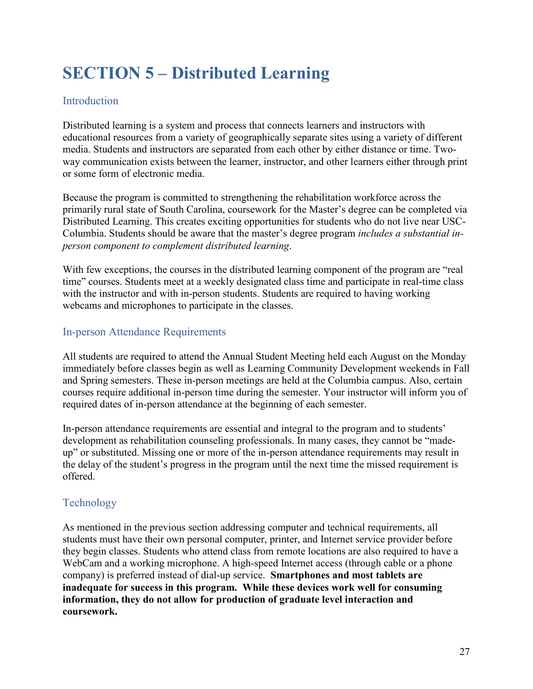## <span id="page-26-0"></span>**SECTION 5 – Distributed Learning**

## <span id="page-26-1"></span>Introduction

Distributed learning is a system and process that connects learners and instructors with educational resources from a variety of geographically separate sites using a variety of different media. Students and instructors are separated from each other by either distance or time. Twoway communication exists between the learner, instructor, and other learners either through print or some form of electronic media.

Because the program is committed to strengthening the rehabilitation workforce across the primarily rural state of South Carolina, coursework for the Master's degree can be completed via Distributed Learning. This creates exciting opportunities for students who do not live near USC-Columbia. Students should be aware that the master's degree program *includes a substantial inperson component to complement distributed learning*.

With few exceptions, the courses in the distributed learning component of the program are "real time" courses. Students meet at a weekly designated class time and participate in real-time class with the instructor and with in-person students. Students are required to having working webcams and microphones to participate in the classes.

## <span id="page-26-2"></span>In-person Attendance Requirements

All students are required to attend the Annual Student Meeting held each August on the Monday immediately before classes begin as well as Learning Community Development weekends in Fall and Spring semesters. These in-person meetings are held at the Columbia campus. Also, certain courses require additional in-person time during the semester. Your instructor will inform you of required dates of in-person attendance at the beginning of each semester.

In-person attendance requirements are essential and integral to the program and to students' development as rehabilitation counseling professionals. In many cases, they cannot be "madeup" or substituted. Missing one or more of the in-person attendance requirements may result in the delay of the student's progress in the program until the next time the missed requirement is offered.

## <span id="page-26-3"></span>Technology

As mentioned in the previous section addressing computer and technical requirements, all students must have their own personal computer, printer, and Internet service provider before they begin classes. Students who attend class from remote locations are also required to have a WebCam and a working microphone. A high-speed Internet access (through cable or a phone company) is preferred instead of dial-up service. **Smartphones and most tablets are inadequate for success in this program. While these devices work well for consuming information, they do not allow for production of graduate level interaction and coursework.**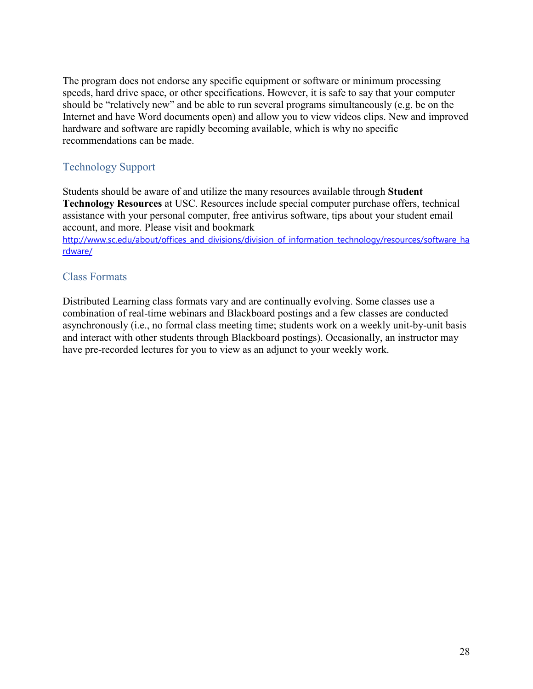The program does not endorse any specific equipment or software or minimum processing speeds, hard drive space, or other specifications. However, it is safe to say that your computer should be "relatively new" and be able to run several programs simultaneously (e.g. be on the Internet and have Word documents open) and allow you to view videos clips. New and improved hardware and software are rapidly becoming available, which is why no specific recommendations can be made.

## <span id="page-27-0"></span>Technology Support

Students should be aware of and utilize the many resources available through **Student Technology Resources** at USC. Resources include special computer purchase offers, technical assistance with your personal computer, free antivirus software, tips about your student email account, and more. Please visit and bookmark

[http://www.sc.edu/about/offices\\_and\\_divisions/division\\_of\\_information\\_technology/resources/software\\_ha](http://www.sc.edu/about/offices_and_divisions/division_of_information_technology/resources/software_hardware/) [rdware/](http://www.sc.edu/about/offices_and_divisions/division_of_information_technology/resources/software_hardware/)

## <span id="page-27-1"></span>Class Formats

Distributed Learning class formats vary and are continually evolving. Some classes use a combination of real-time webinars and Blackboard postings and a few classes are conducted asynchronously (i.e., no formal class meeting time; students work on a weekly unit-by-unit basis and interact with other students through Blackboard postings). Occasionally, an instructor may have pre-recorded lectures for you to view as an adjunct to your weekly work.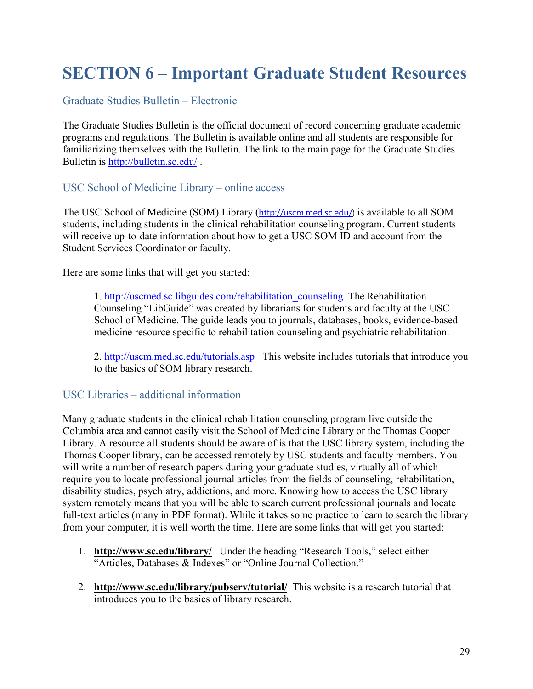## <span id="page-28-0"></span>**SECTION 6 – Important Graduate Student Resources**

## <span id="page-28-1"></span>Graduate Studies Bulletin – Electronic

The Graduate Studies Bulletin is the official document of record concerning graduate academic programs and regulations. The Bulletin is available online and all students are responsible for familiarizing themselves with the Bulletin. The link to the main page for the Graduate Studies Bulletin is <http://bulletin.sc.edu/>.

## <span id="page-28-2"></span>USC School of Medicine Library – online access

The USC School of Medicine (SOM) Library ([http://uscm.med.sc.edu/\)](http://uscm.med.sc.edu/) is available to all SOM students, including students in the clinical rehabilitation counseling program. Current students will receive up-to-date information about how to get a USC SOM ID and account from the Student Services Coordinator or faculty.

Here are some links that will get you started:

1. [http://uscmed.sc.libguides.com/rehabilitation\\_counseling](http://uscmed.sc.libguides.com/rehabilitation_counseling) The Rehabilitation Counseling "LibGuide" was created by librarians for students and faculty at the USC School of Medicine. The guide leads you to journals, databases, books, evidence-based medicine resource specific to rehabilitation counseling and psychiatric rehabilitation.

2. <http://uscm.med.sc.edu/tutorials.asp>This website includes tutorials that introduce you to the basics of SOM library research.

## <span id="page-28-3"></span>USC Libraries – additional information

Many graduate students in the clinical rehabilitation counseling program live outside the Columbia area and cannot easily visit the School of Medicine Library or the Thomas Cooper Library. A resource all students should be aware of is that the USC library system, including the Thomas Cooper library, can be accessed remotely by USC students and faculty members. You will write a number of research papers during your graduate studies, virtually all of which require you to locate professional journal articles from the fields of counseling, rehabilitation, disability studies, psychiatry, addictions, and more. Knowing how to access the USC library system remotely means that you will be able to search current professional journals and locate full-text articles (many in PDF format). While it takes some practice to learn to search the library from your computer, it is well worth the time. Here are some links that will get you started:

- 1. **<http://www.sc.edu/library/>** Under the heading "Research Tools," select either "Articles, Databases & Indexes" or "Online Journal Collection."
- 2. **<http://www.sc.edu/library/pubserv/tutorial/>** This website is a research tutorial that introduces you to the basics of library research.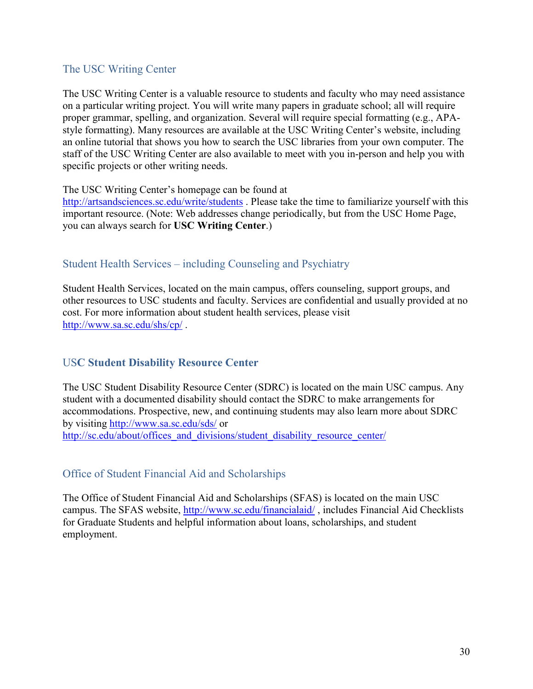## <span id="page-29-0"></span>The USC Writing Center

The USC Writing Center is a valuable resource to students and faculty who may need assistance on a particular writing project. You will write many papers in graduate school; all will require proper grammar, spelling, and organization. Several will require special formatting (e.g., APAstyle formatting). Many resources are available at the USC Writing Center's website, including an online tutorial that shows you how to search the USC libraries from your own computer. The staff of the USC Writing Center are also available to meet with you in-person and help you with specific projects or other writing needs.

The USC Writing Center's homepage can be found at

<http://artsandsciences.sc.edu/write/students> . Please take the time to familiarize yourself with this important resource. (Note: Web addresses change periodically, but from the USC Home Page, you can always search for **USC Writing Center**.)

## <span id="page-29-1"></span>Student Health Services – including Counseling and Psychiatry

Student Health Services, located on the main campus, offers counseling, support groups, and other resources to USC students and faculty. Services are confidential and usually provided at no cost. For more information about student health services, please visit <http://www.sa.sc.edu/shs/cp/> .

## <span id="page-29-2"></span>US**C Student Disability Resource Center**

The USC Student Disability Resource Center (SDRC) is located on the main USC campus. Any student with a documented disability should contact the SDRC to make arrangements for accommodations. Prospective, new, and continuing students may also learn more about SDRC by visiting <http://www.sa.sc.edu/sds/> or [http://sc.edu/about/offices\\_and\\_divisions/student\\_disability\\_resource\\_center/](http://sc.edu/about/offices_and_divisions/student_disability_resource_center/)

## <span id="page-29-3"></span>Office of Student Financial Aid and Scholarships

The Office of Student Financial Aid and Scholarships (SFAS) is located on the main USC campus. The SFAS website, <http://www.sc.edu/financialaid/>, includes Financial Aid Checklists for Graduate Students and helpful information about loans, scholarships, and student employment.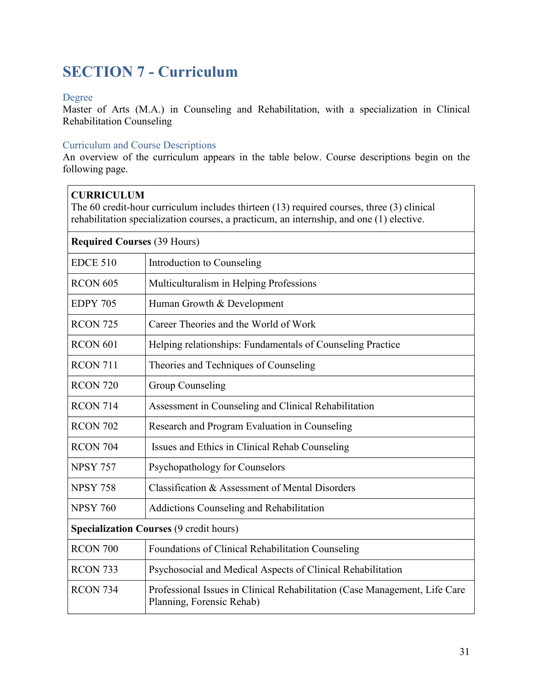## <span id="page-30-0"></span>**SECTION 7 - Curriculum**

#### <span id="page-30-1"></span>Degree

Master of Arts (M.A.) in Counseling and Rehabilitation, with a specialization in Clinical Rehabilitation Counseling

#### <span id="page-30-2"></span>Curriculum and Course Descriptions

An overview of the curriculum appears in the table below. Course descriptions begin on the following page.

| <b>CURRICULUM</b><br>The 60 credit-hour curriculum includes thirteen (13) required courses, three (3) clinical<br>rehabilitation specialization courses, a practicum, an internship, and one (1) elective. |                                                                                                         |  |
|------------------------------------------------------------------------------------------------------------------------------------------------------------------------------------------------------------|---------------------------------------------------------------------------------------------------------|--|
| <b>Required Courses (39 Hours)</b>                                                                                                                                                                         |                                                                                                         |  |
| <b>EDCE 510</b>                                                                                                                                                                                            | Introduction to Counseling                                                                              |  |
| <b>RCON 605</b>                                                                                                                                                                                            | Multiculturalism in Helping Professions                                                                 |  |
| <b>EDPY 705</b>                                                                                                                                                                                            | Human Growth & Development                                                                              |  |
| <b>RCON 725</b>                                                                                                                                                                                            | Career Theories and the World of Work                                                                   |  |
| <b>RCON 601</b>                                                                                                                                                                                            | Helping relationships: Fundamentals of Counseling Practice                                              |  |
| <b>RCON 711</b>                                                                                                                                                                                            | Theories and Techniques of Counseling                                                                   |  |
| <b>RCON 720</b>                                                                                                                                                                                            | Group Counseling                                                                                        |  |
| <b>RCON 714</b>                                                                                                                                                                                            | Assessment in Counseling and Clinical Rehabilitation                                                    |  |
| <b>RCON 702</b>                                                                                                                                                                                            | Research and Program Evaluation in Counseling                                                           |  |
| <b>RCON 704</b>                                                                                                                                                                                            | Issues and Ethics in Clinical Rehab Counseling                                                          |  |
| <b>NPSY 757</b>                                                                                                                                                                                            | Psychopathology for Counselors                                                                          |  |
| <b>NPSY 758</b>                                                                                                                                                                                            | Classification & Assessment of Mental Disorders                                                         |  |
| <b>NPSY 760</b>                                                                                                                                                                                            | Addictions Counseling and Rehabilitation                                                                |  |
| <b>Specialization Courses (9 credit hours)</b>                                                                                                                                                             |                                                                                                         |  |
| RCON 700                                                                                                                                                                                                   | Foundations of Clinical Rehabilitation Counseling                                                       |  |
| RCON <sub>733</sub>                                                                                                                                                                                        | Psychosocial and Medical Aspects of Clinical Rehabilitation                                             |  |
| RCON 734                                                                                                                                                                                                   | Professional Issues in Clinical Rehabilitation (Case Management, Life Care<br>Planning, Forensic Rehab) |  |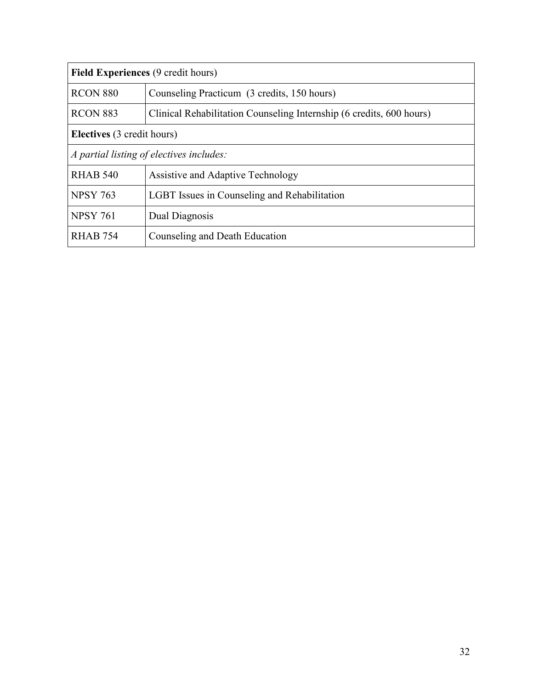| <b>Field Experiences (9 credit hours)</b> |                                                                      |
|-------------------------------------------|----------------------------------------------------------------------|
| <b>RCON 880</b>                           | Counseling Practicum (3 credits, 150 hours)                          |
| <b>RCON 883</b>                           | Clinical Rehabilitation Counseling Internship (6 credits, 600 hours) |
| <b>Electives</b> (3 credit hours)         |                                                                      |
| A partial listing of electives includes:  |                                                                      |
| <b>RHAB 540</b>                           | Assistive and Adaptive Technology                                    |
| <b>NPSY 763</b>                           | LGBT Issues in Counseling and Rehabilitation                         |
| <b>NPSY 761</b>                           | Dual Diagnosis                                                       |
| <b>RHAB 754</b>                           | Counseling and Death Education                                       |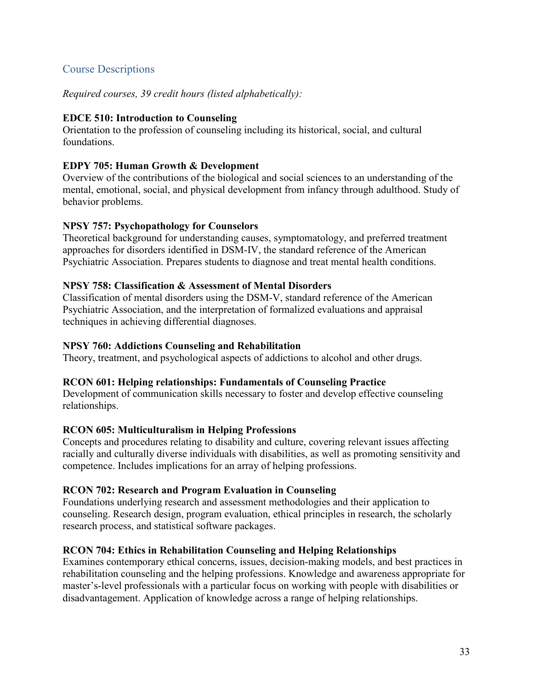## <span id="page-32-0"></span>Course Descriptions

*Required courses, 39 credit hours (listed alphabetically):*

## **EDCE 510: Introduction to Counseling**

Orientation to the profession of counseling including its historical, social, and cultural foundations.

#### **EDPY 705: Human Growth & Development**

Overview of the contributions of the biological and social sciences to an understanding of the mental, emotional, social, and physical development from infancy through adulthood. Study of behavior problems.

#### **NPSY 757: Psychopathology for Counselors**

Theoretical background for understanding causes, symptomatology, and preferred treatment approaches for disorders identified in DSM-IV, the standard reference of the American Psychiatric Association. Prepares students to diagnose and treat mental health conditions.

#### **NPSY 758: Classification & Assessment of Mental Disorders**

Classification of mental disorders using the DSM-V, standard reference of the American Psychiatric Association, and the interpretation of formalized evaluations and appraisal techniques in achieving differential diagnoses.

#### **NPSY 760: Addictions Counseling and Rehabilitation**

Theory, treatment, and psychological aspects of addictions to alcohol and other drugs.

## **RCON 601: Helping relationships: Fundamentals of Counseling Practice**

Development of communication skills necessary to foster and develop effective counseling relationships.

#### **RCON 605: Multiculturalism in Helping Professions**

Concepts and procedures relating to disability and culture, covering relevant issues affecting racially and culturally diverse individuals with disabilities, as well as promoting sensitivity and competence. Includes implications for an array of helping professions.

## **RCON 702: Research and Program Evaluation in Counseling**

Foundations underlying research and assessment methodologies and their application to counseling. Research design, program evaluation, ethical principles in research, the scholarly research process, and statistical software packages.

## **RCON 704: Ethics in Rehabilitation Counseling and Helping Relationships**

Examines contemporary ethical concerns, issues, decision-making models, and best practices in rehabilitation counseling and the helping professions. Knowledge and awareness appropriate for master's-level professionals with a particular focus on working with people with disabilities or disadvantagement. Application of knowledge across a range of helping relationships.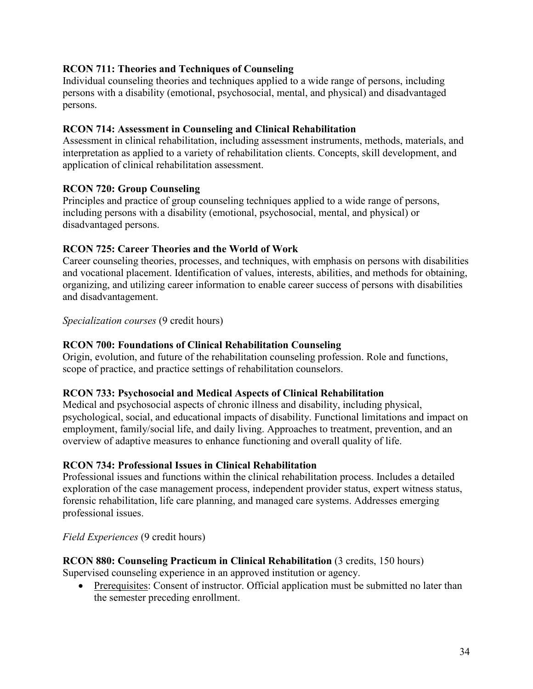## **RCON 711: Theories and Techniques of Counseling**

Individual counseling theories and techniques applied to a wide range of persons, including persons with a disability (emotional, psychosocial, mental, and physical) and disadvantaged persons.

## **RCON 714: Assessment in Counseling and Clinical Rehabilitation**

Assessment in clinical rehabilitation, including assessment instruments, methods, materials, and interpretation as applied to a variety of rehabilitation clients. Concepts, skill development, and application of clinical rehabilitation assessment.

## **RCON 720: Group Counseling**

Principles and practice of group counseling techniques applied to a wide range of persons, including persons with a disability (emotional, psychosocial, mental, and physical) or disadvantaged persons.

## **RCON 725: Career Theories and the World of Work**

Career counseling theories, processes, and techniques, with emphasis on persons with disabilities and vocational placement. Identification of values, interests, abilities, and methods for obtaining, organizing, and utilizing career information to enable career success of persons with disabilities and disadvantagement.

*Specialization courses* (9 credit hours)

## **RCON 700: Foundations of Clinical Rehabilitation Counseling**

Origin, evolution, and future of the rehabilitation counseling profession. Role and functions, scope of practice, and practice settings of rehabilitation counselors.

## **RCON 733: Psychosocial and Medical Aspects of Clinical Rehabilitation**

Medical and psychosocial aspects of chronic illness and disability, including physical, psychological, social, and educational impacts of disability. Functional limitations and impact on employment, family/social life, and daily living. Approaches to treatment, prevention, and an overview of adaptive measures to enhance functioning and overall quality of life.

## **RCON 734: Professional Issues in Clinical Rehabilitation**

Professional issues and functions within the clinical rehabilitation process. Includes a detailed exploration of the case management process, independent provider status, expert witness status, forensic rehabilitation, life care planning, and managed care systems. Addresses emerging professional issues.

*Field Experiences* (9 credit hours)

## **RCON 880: Counseling Practicum in Clinical Rehabilitation** (3 credits, 150 hours)

Supervised counseling experience in an approved institution or agency.

• Prerequisites: Consent of instructor. Official application must be submitted no later than the semester preceding enrollment.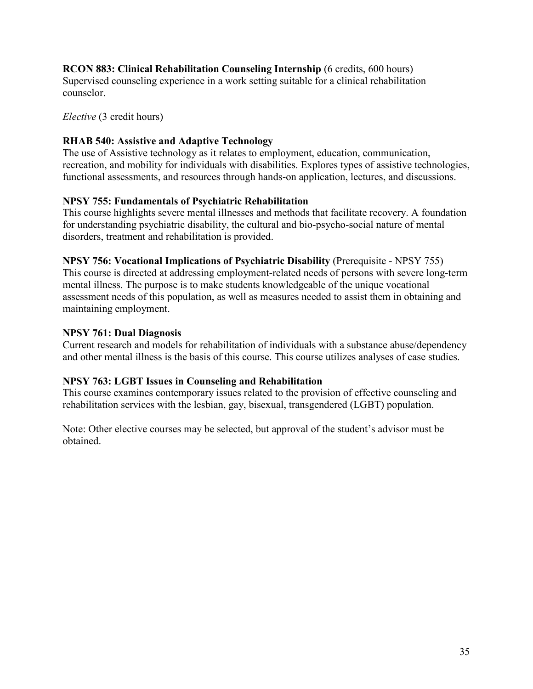## **RCON 883: Clinical Rehabilitation Counseling Internship** (6 credits, 600 hours)

Supervised counseling experience in a work setting suitable for a clinical rehabilitation counselor.

#### *Elective* (3 credit hours)

## **RHAB 540: Assistive and Adaptive Technology**

The use of Assistive technology as it relates to employment, education, communication, recreation, and mobility for individuals with disabilities. Explores types of assistive technologies, functional assessments, and resources through hands-on application, lectures, and discussions.

## **NPSY 755: Fundamentals of Psychiatric Rehabilitation**

This course highlights severe mental illnesses and methods that facilitate recovery. A foundation for understanding psychiatric disability, the cultural and bio-psycho-social nature of mental disorders, treatment and rehabilitation is provided.

## **NPSY 756: Vocational Implications of Psychiatric Disability** (Prerequisite - NPSY 755)

This course is directed at addressing employment-related needs of persons with severe long-term mental illness. The purpose is to make students knowledgeable of the unique vocational assessment needs of this population, as well as measures needed to assist them in obtaining and maintaining employment.

## **NPSY 761: Dual Diagnosis**

Current research and models for rehabilitation of individuals with a substance abuse/dependency and other mental illness is the basis of this course. This course utilizes analyses of case studies.

## **NPSY 763: LGBT Issues in Counseling and Rehabilitation**

This course examines contemporary issues related to the provision of effective counseling and rehabilitation services with the lesbian, gay, bisexual, transgendered (LGBT) population.

Note: Other elective courses may be selected, but approval of the student's advisor must be obtained.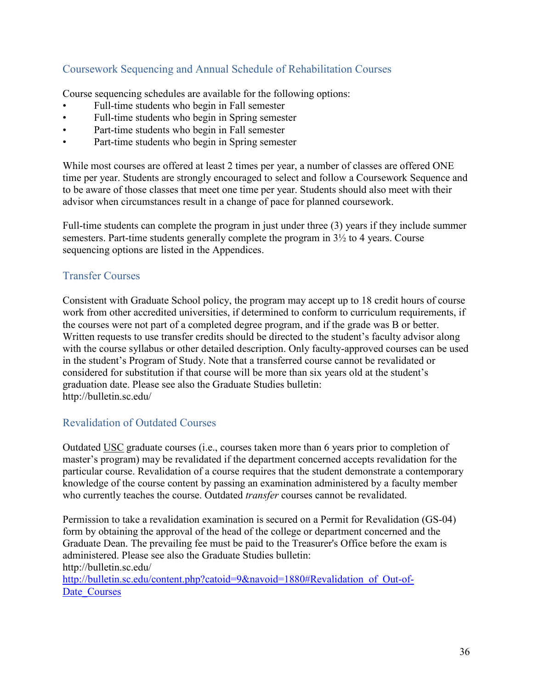## <span id="page-35-0"></span>Coursework Sequencing and Annual Schedule of Rehabilitation Courses

Course sequencing schedules are available for the following options:

- Full-time students who begin in Fall semester
- Full-time students who begin in Spring semester
- Part-time students who begin in Fall semester
- Part-time students who begin in Spring semester

While most courses are offered at least 2 times per year, a number of classes are offered ONE time per year. Students are strongly encouraged to select and follow a Coursework Sequence and to be aware of those classes that meet one time per year. Students should also meet with their advisor when circumstances result in a change of pace for planned coursework.

Full-time students can complete the program in just under three (3) years if they include summer semesters. Part-time students generally complete the program in  $3\frac{1}{2}$  to 4 years. Course sequencing options are listed in the Appendices.

## <span id="page-35-1"></span>Transfer Courses

Consistent with Graduate School policy, the program may accept up to 18 credit hours of course work from other accredited universities, if determined to conform to curriculum requirements, if the courses were not part of a completed degree program, and if the grade was B or better. Written requests to use transfer credits should be directed to the student's faculty advisor along with the course syllabus or other detailed description. Only faculty-approved courses can be used in the student's Program of Study. Note that a transferred course cannot be revalidated or considered for substitution if that course will be more than six years old at the student's graduation date. Please see also the Graduate Studies bulletin: http://bulletin.sc.edu/

## <span id="page-35-2"></span>Revalidation of Outdated Courses

Outdated USC graduate courses (i.e., courses taken more than 6 years prior to completion of master's program) may be revalidated if the department concerned accepts revalidation for the particular course. Revalidation of a course requires that the student demonstrate a contemporary knowledge of the course content by passing an examination administered by a faculty member who currently teaches the course. Outdated *transfer* courses cannot be revalidated.

Permission to take a revalidation examination is secured on a Permit for Revalidation (GS-04) form by obtaining the approval of the head of the college or department concerned and the Graduate Dean. The prevailing fee must be paid to the Treasurer's Office before the exam is administered. Please see also the Graduate Studies bulletin: http://bulletin.sc.edu/ [http://bulletin.sc.edu/content.php?catoid=9&navoid=1880#Revalidation\\_of\\_Out-of-](http://bulletin.sc.edu/content.php?catoid=9&navoid=1880%2523Revalidation_of_Out-of-Date_Courses)Date Courses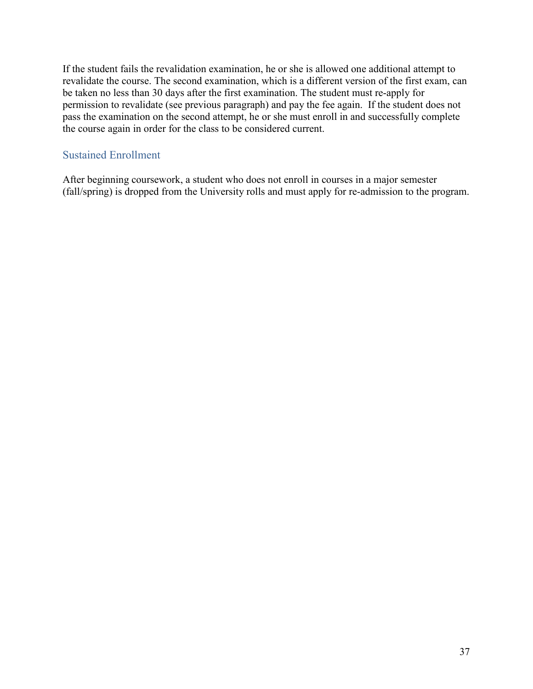If the student fails the revalidation examination, he or she is allowed one additional attempt to revalidate the course. The second examination, which is a different version of the first exam, can be taken no less than 30 days after the first examination. The student must re-apply for permission to revalidate (see previous paragraph) and pay the fee again. If the student does not pass the examination on the second attempt, he or she must enroll in and successfully complete the course again in order for the class to be considered current.

# Sustained Enrollment

After beginning coursework, a student who does not enroll in courses in a major semester (fall/spring) is dropped from the University rolls and must apply for re-admission to the program.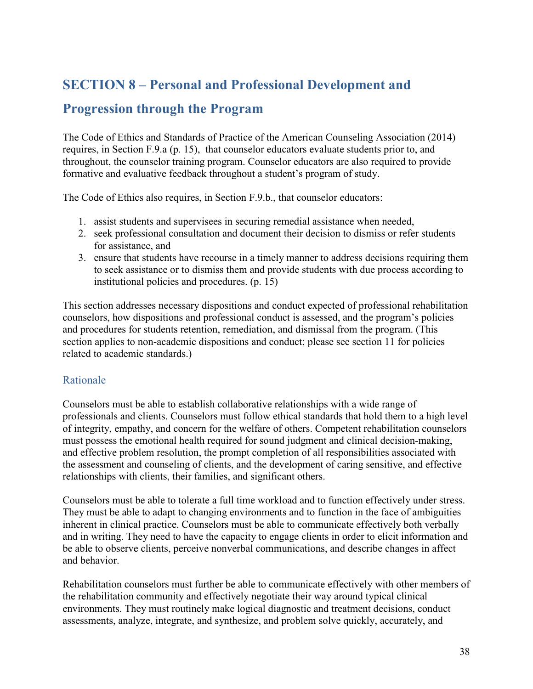# <span id="page-37-0"></span>**SECTION 8 – Personal and Professional Development and**

# **Progression through the Program**

The Code of Ethics and Standards of Practice of the American Counseling Association (2014) requires, in Section F.9.a (p. 15), that counselor educators evaluate students prior to, and throughout, the counselor training program. Counselor educators are also required to provide formative and evaluative feedback throughout a student's program of study.

The Code of Ethics also requires, in Section F.9.b., that counselor educators:

- 1. assist students and supervisees in securing remedial assistance when needed,
- 2. seek professional consultation and document their decision to dismiss or refer students for assistance, and
- 3. ensure that students have recourse in a timely manner to address decisions requiring them to seek assistance or to dismiss them and provide students with due process according to institutional policies and procedures. (p. 15)

This section addresses necessary dispositions and conduct expected of professional rehabilitation counselors, how dispositions and professional conduct is assessed, and the program's policies and procedures for students retention, remediation, and dismissal from the program. (This section applies to non-academic dispositions and conduct; please see section 11 for policies related to academic standards.)

# Rationale

Counselors must be able to establish collaborative relationships with a wide range of professionals and clients. Counselors must follow ethical standards that hold them to a high level of integrity, empathy, and concern for the welfare of others. Competent rehabilitation counselors must possess the emotional health required for sound judgment and clinical decision-making, and effective problem resolution, the prompt completion of all responsibilities associated with the assessment and counseling of clients, and the development of caring sensitive, and effective relationships with clients, their families, and significant others.

Counselors must be able to tolerate a full time workload and to function effectively under stress. They must be able to adapt to changing environments and to function in the face of ambiguities inherent in clinical practice. Counselors must be able to communicate effectively both verbally and in writing. They need to have the capacity to engage clients in order to elicit information and be able to observe clients, perceive nonverbal communications, and describe changes in affect and behavior.

Rehabilitation counselors must further be able to communicate effectively with other members of the rehabilitation community and effectively negotiate their way around typical clinical environments. They must routinely make logical diagnostic and treatment decisions, conduct assessments, analyze, integrate, and synthesize, and problem solve quickly, accurately, and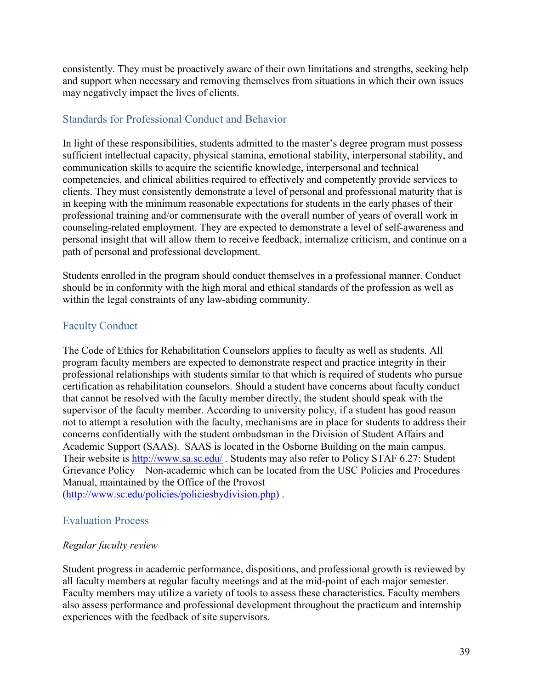consistently. They must be proactively aware of their own limitations and strengths, seeking help and support when necessary and removing themselves from situations in which their own issues may negatively impact the lives of clients.

# Standards for Professional Conduct and Behavior

In light of these responsibilities, students admitted to the master's degree program must possess sufficient intellectual capacity, physical stamina, emotional stability, interpersonal stability, and communication skills to acquire the scientific knowledge, interpersonal and technical competencies, and clinical abilities required to effectively and competently provide services to clients. They must consistently demonstrate a level of personal and professional maturity that is in keeping with the minimum reasonable expectations for students in the early phases of their professional training and/or commensurate with the overall number of years of overall work in counseling-related employment. They are expected to demonstrate a level of self-awareness and personal insight that will allow them to receive feedback, internalize criticism, and continue on a path of personal and professional development.

Students enrolled in the program should conduct themselves in a professional manner. Conduct should be in conformity with the high moral and ethical standards of the profession as well as within the legal constraints of any law-abiding community.

# Faculty Conduct

The Code of Ethics for Rehabilitation Counselors applies to faculty as well as students. All program faculty members are expected to demonstrate respect and practice integrity in their professional relationships with students similar to that which is required of students who pursue certification as rehabilitation counselors. Should a student have concerns about faculty conduct that cannot be resolved with the faculty member directly, the student should speak with the supervisor of the faculty member. According to university policy, if a student has good reason not to attempt a resolution with the faculty, mechanisms are in place for students to address their concerns confidentially with the student ombudsman in the Division of Student Affairs and Academic Support (SAAS). SAAS is located in the Osborne Building on the main campus. Their website is <http://www.sa.sc.edu/> . Students may also refer to Policy STAF 6.27: Student Grievance Policy – Non-academic which can be located from the USC Policies and Procedures Manual, maintained by the Office of the Provost

[\(http://www.sc.edu/policies/policiesbydivision.php\)](http://www.sc.edu/policies/policiesbydivision.php) .

# Evaluation Process

# *Regular faculty review*

Student progress in academic performance, dispositions, and professional growth is reviewed by all faculty members at regular faculty meetings and at the mid-point of each major semester. Faculty members may utilize a variety of tools to assess these characteristics. Faculty members also assess performance and professional development throughout the practicum and internship experiences with the feedback of site supervisors.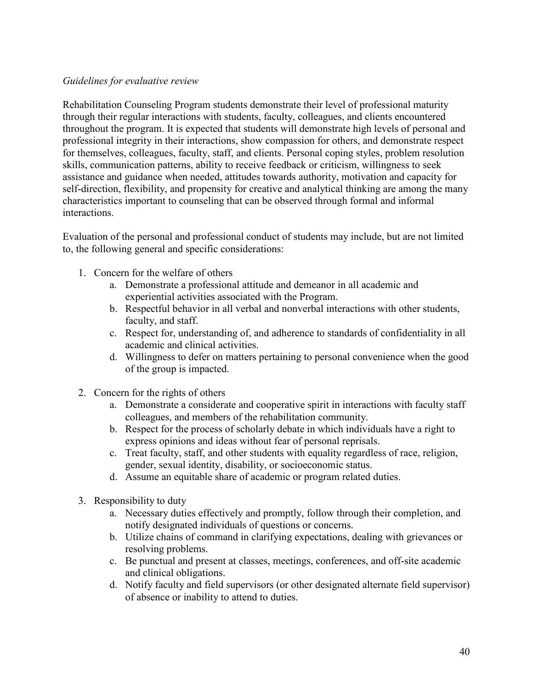#### *Guidelines for evaluative review*

Rehabilitation Counseling Program students demonstrate their level of professional maturity through their regular interactions with students, faculty, colleagues, and clients encountered throughout the program. It is expected that students will demonstrate high levels of personal and professional integrity in their interactions, show compassion for others, and demonstrate respect for themselves, colleagues, faculty, staff, and clients. Personal coping styles, problem resolution skills, communication patterns, ability to receive feedback or criticism, willingness to seek assistance and guidance when needed, attitudes towards authority, motivation and capacity for self-direction, flexibility, and propensity for creative and analytical thinking are among the many characteristics important to counseling that can be observed through formal and informal interactions.

Evaluation of the personal and professional conduct of students may include, but are not limited to, the following general and specific considerations:

- 1. Concern for the welfare of others
	- a. Demonstrate a professional attitude and demeanor in all academic and experiential activities associated with the Program.
	- b. Respectful behavior in all verbal and nonverbal interactions with other students, faculty, and staff.
	- c. Respect for, understanding of, and adherence to standards of confidentiality in all academic and clinical activities.
	- d. Willingness to defer on matters pertaining to personal convenience when the good of the group is impacted.
- 2. Concern for the rights of others
	- a. Demonstrate a considerate and cooperative spirit in interactions with faculty staff colleagues, and members of the rehabilitation community.
	- b. Respect for the process of scholarly debate in which individuals have a right to express opinions and ideas without fear of personal reprisals.
	- c. Treat faculty, staff, and other students with equality regardless of race, religion, gender, sexual identity, disability, or socioeconomic status.
	- d. Assume an equitable share of academic or program related duties.
- 3. Responsibility to duty
	- a. Necessary duties effectively and promptly, follow through their completion, and notify designated individuals of questions or concerns.
	- b. Utilize chains of command in clarifying expectations, dealing with grievances or resolving problems.
	- c. Be punctual and present at classes, meetings, conferences, and off-site academic and clinical obligations.
	- d. Notify faculty and field supervisors (or other designated alternate field supervisor) of absence or inability to attend to duties.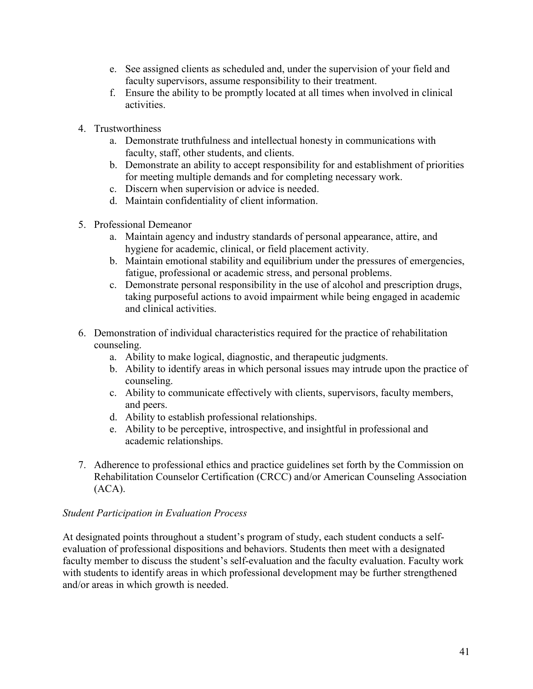- e. See assigned clients as scheduled and, under the supervision of your field and faculty supervisors, assume responsibility to their treatment.
- f. Ensure the ability to be promptly located at all times when involved in clinical activities.
- 4. Trustworthiness
	- a. Demonstrate truthfulness and intellectual honesty in communications with faculty, staff, other students, and clients.
	- b. Demonstrate an ability to accept responsibility for and establishment of priorities for meeting multiple demands and for completing necessary work.
	- c. Discern when supervision or advice is needed.
	- d. Maintain confidentiality of client information.
- 5. Professional Demeanor
	- a. Maintain agency and industry standards of personal appearance, attire, and hygiene for academic, clinical, or field placement activity.
	- b. Maintain emotional stability and equilibrium under the pressures of emergencies, fatigue, professional or academic stress, and personal problems.
	- c. Demonstrate personal responsibility in the use of alcohol and prescription drugs, taking purposeful actions to avoid impairment while being engaged in academic and clinical activities.
- 6. Demonstration of individual characteristics required for the practice of rehabilitation counseling.
	- a. Ability to make logical, diagnostic, and therapeutic judgments.
	- b. Ability to identify areas in which personal issues may intrude upon the practice of counseling.
	- c. Ability to communicate effectively with clients, supervisors, faculty members, and peers.
	- d. Ability to establish professional relationships.
	- e. Ability to be perceptive, introspective, and insightful in professional and academic relationships.
- 7. Adherence to professional ethics and practice guidelines set forth by the Commission on Rehabilitation Counselor Certification (CRCC) and/or American Counseling Association  $(ACA).$

# *Student Participation in Evaluation Process*

At designated points throughout a student's program of study, each student conducts a selfevaluation of professional dispositions and behaviors. Students then meet with a designated faculty member to discuss the student's self-evaluation and the faculty evaluation. Faculty work with students to identify areas in which professional development may be further strengthened and/or areas in which growth is needed.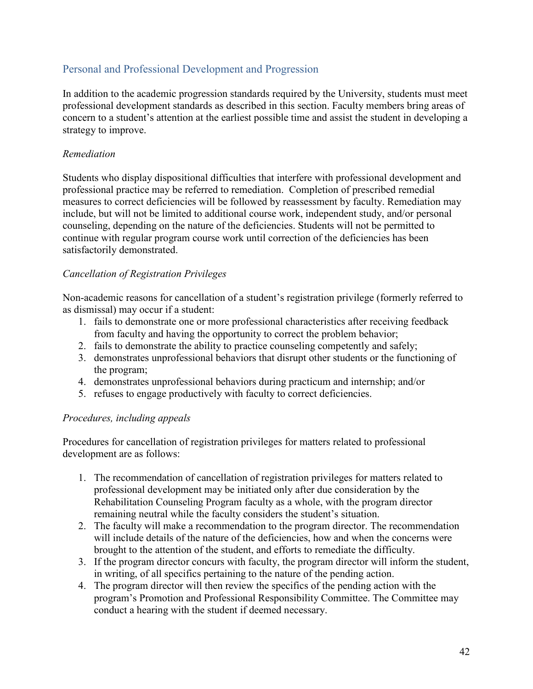# Personal and Professional Development and Progression

In addition to the academic progression standards required by the University, students must meet professional development standards as described in this section. Faculty members bring areas of concern to a student's attention at the earliest possible time and assist the student in developing a strategy to improve.

# *Remediation*

Students who display dispositional difficulties that interfere with professional development and professional practice may be referred to remediation. Completion of prescribed remedial measures to correct deficiencies will be followed by reassessment by faculty. Remediation may include, but will not be limited to additional course work, independent study, and/or personal counseling, depending on the nature of the deficiencies. Students will not be permitted to continue with regular program course work until correction of the deficiencies has been satisfactorily demonstrated.

# *Cancellation of Registration Privileges*

Non-academic reasons for cancellation of a student's registration privilege (formerly referred to as dismissal) may occur if a student:

- 1. fails to demonstrate one or more professional characteristics after receiving feedback from faculty and having the opportunity to correct the problem behavior;
- 2. fails to demonstrate the ability to practice counseling competently and safely;
- 3. demonstrates unprofessional behaviors that disrupt other students or the functioning of the program;
- 4. demonstrates unprofessional behaviors during practicum and internship; and/or
- 5. refuses to engage productively with faculty to correct deficiencies.

# *Procedures, including appeals*

Procedures for cancellation of registration privileges for matters related to professional development are as follows:

- 1. The recommendation of cancellation of registration privileges for matters related to professional development may be initiated only after due consideration by the Rehabilitation Counseling Program faculty as a whole, with the program director remaining neutral while the faculty considers the student's situation.
- 2. The faculty will make a recommendation to the program director. The recommendation will include details of the nature of the deficiencies, how and when the concerns were brought to the attention of the student, and efforts to remediate the difficulty.
- 3. If the program director concurs with faculty, the program director will inform the student, in writing, of all specifics pertaining to the nature of the pending action.
- 4. The program director will then review the specifics of the pending action with the program's Promotion and Professional Responsibility Committee. The Committee may conduct a hearing with the student if deemed necessary.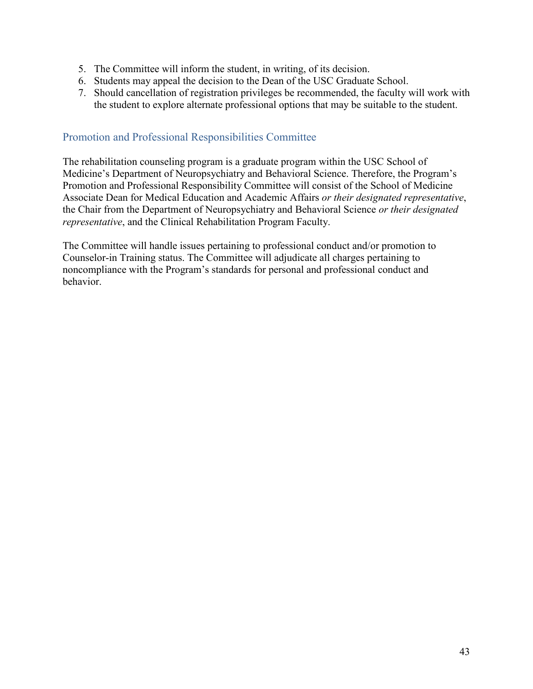- 5. The Committee will inform the student, in writing, of its decision.
- 6. Students may appeal the decision to the Dean of the USC Graduate School.
- 7. Should cancellation of registration privileges be recommended, the faculty will work with the student to explore alternate professional options that may be suitable to the student.

# Promotion and Professional Responsibilities Committee

The rehabilitation counseling program is a graduate program within the USC School of Medicine's Department of Neuropsychiatry and Behavioral Science. Therefore, the Program's Promotion and Professional Responsibility Committee will consist of the School of Medicine Associate Dean for Medical Education and Academic Affairs *or their designated representative*, the Chair from the Department of Neuropsychiatry and Behavioral Science *or their designated representative*, and the Clinical Rehabilitation Program Faculty.

The Committee will handle issues pertaining to professional conduct and/or promotion to Counselor-in Training status. The Committee will adjudicate all charges pertaining to noncompliance with the Program's standards for personal and professional conduct and behavior.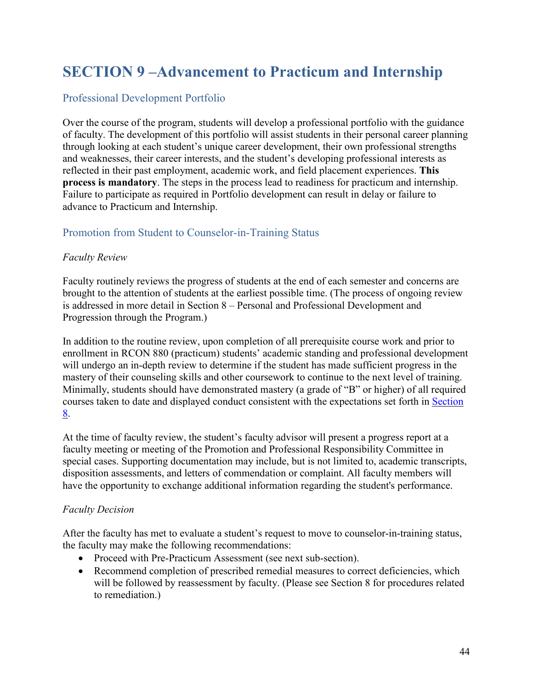# **SECTION 9 –Advancement to Practicum and Internship**

# Professional Development Portfolio

Over the course of the program, students will develop a professional portfolio with the guidance of faculty. The development of this portfolio will assist students in their personal career planning through looking at each student's unique career development, their own professional strengths and weaknesses, their career interests, and the student's developing professional interests as reflected in their past employment, academic work, and field placement experiences. **This process is mandatory**. The steps in the process lead to readiness for practicum and internship. Failure to participate as required in Portfolio development can result in delay or failure to advance to Practicum and Internship.

# Promotion from Student to Counselor-in-Training Status

#### *Faculty Review*

Faculty routinely reviews the progress of students at the end of each semester and concerns are brought to the attention of students at the earliest possible time. (The process of ongoing review is addressed in more detail in Section 8 – Personal and Professional Development and Progression through the Program.)

In addition to the routine review, upon completion of all prerequisite course work and prior to enrollment in RCON 880 (practicum) students' academic standing and professional development will undergo an in-depth review to determine if the student has made sufficient progress in the mastery of their counseling skills and other coursework to continue to the next level of training. Minimally, students should have demonstrated mastery (a grade of "B" or higher) of all required courses taken to date and displayed conduct consistent with the expectations set forth in [Section](#page-37-0) [8.](#page-37-0)

At the time of faculty review, the student's faculty advisor will present a progress report at a faculty meeting or meeting of the Promotion and Professional Responsibility Committee in special cases. Supporting documentation may include, but is not limited to, academic transcripts, disposition assessments, and letters of commendation or complaint. All faculty members will have the opportunity to exchange additional information regarding the student's performance.

#### *Faculty Decision*

After the faculty has met to evaluate a student's request to move to counselor-in-training status, the faculty may make the following recommendations:

- Proceed with Pre-Practicum Assessment (see next sub-section).
- Recommend completion of prescribed remedial measures to correct deficiencies, which will be followed by reassessment by faculty. (Please see Section 8 for procedures related to remediation.)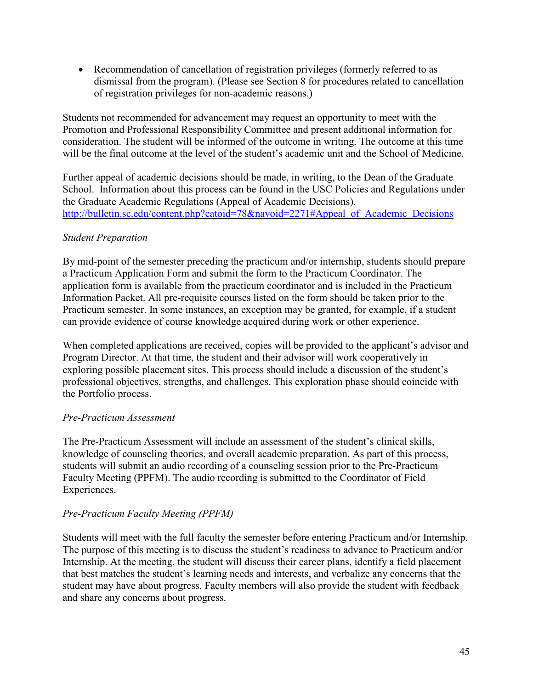• Recommendation of cancellation of registration privileges (formerly referred to as dismissal from the program). (Please see Section 8 for procedures related to cancellation of registration privileges for non-academic reasons.)

Students not recommended for advancement may request an opportunity to meet with the Promotion and Professional Responsibility Committee and present additional information for consideration. The student will be informed of the outcome in writing. The outcome at this time will be the final outcome at the level of the student's academic unit and the School of Medicine.

Further appeal of academic decisions should be made, in writing, to the Dean of the Graduate School. Information about this process can be found in the USC Policies and Regulations under the Graduate Academic Regulations (Appeal of Academic Decisions). [http://bulletin.sc.edu/content.php?catoid=78&navoid=2271#Appeal\\_of\\_Academic\\_Decisions](http://bulletin.sc.edu/content.php?catoid=78&navoid=2271#Appeal_of_Academic_Decisions)

# *Student Preparation*

By mid-point of the semester preceding the practicum and/or internship, students should prepare a Practicum Application Form and submit the form to the Practicum Coordinator. The application form is available from the practicum coordinator and is included in the Practicum Information Packet. All pre-requisite courses listed on the form should be taken prior to the Practicum semester. In some instances, an exception may be granted, for example, if a student can provide evidence of course knowledge acquired during work or other experience.

When completed applications are received, copies will be provided to the applicant's advisor and Program Director. At that time, the student and their advisor will work cooperatively in exploring possible placement sites. This process should include a discussion of the student's professional objectives, strengths, and challenges. This exploration phase should coincide with the Portfolio process.

#### *Pre-Practicum Assessment*

The Pre-Practicum Assessment will include an assessment of the student's clinical skills, knowledge of counseling theories, and overall academic preparation. As part of this process, students will submit an audio recording of a counseling session prior to the Pre-Practicum Faculty Meeting (PPFM). The audio recording is submitted to the Coordinator of Field Experiences.

# *Pre-Practicum Faculty Meeting (PPFM)*

Students will meet with the full faculty the semester before entering Practicum and/or Internship. The purpose of this meeting is to discuss the student's readiness to advance to Practicum and/or Internship. At the meeting, the student will discuss their career plans, identify a field placement that best matches the student's learning needs and interests, and verbalize any concerns that the student may have about progress. Faculty members will also provide the student with feedback and share any concerns about progress.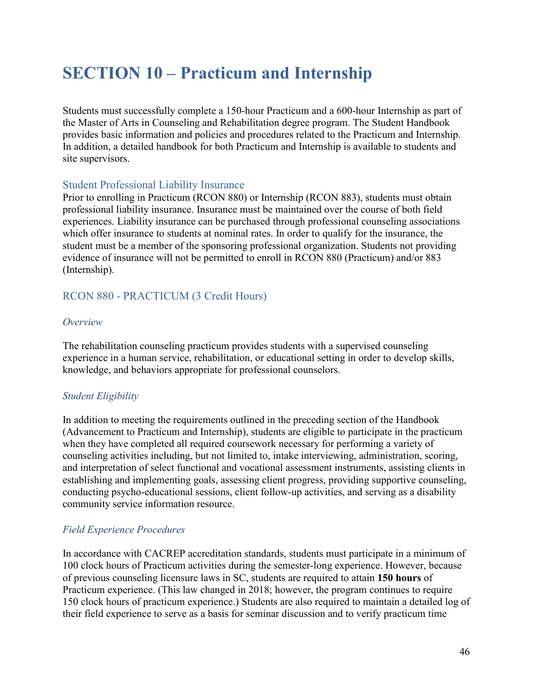# **SECTION 10 – Practicum and Internship**

Students must successfully complete a 150-hour Practicum and a 600-hour Internship as part of the Master of Arts in Counseling and Rehabilitation degree program. The Student Handbook provides basic information and policies and procedures related to the Practicum and Internship. In addition, a detailed handbook for both Practicum and Internship is available to students and site supervisors.

# Student Professional Liability Insurance

Prior to enrolling in Practicum (RCON 880) or Internship (RCON 883), students must obtain professional liability insurance. Insurance must be maintained over the course of both field experiences. Liability insurance can be purchased through professional counseling associations which offer insurance to students at nominal rates. In order to qualify for the insurance, the student must be a member of the sponsoring professional organization. Students not providing evidence of insurance will not be permitted to enroll in RCON 880 (Practicum) and/or 883 (Internship).

# RCON 880 - PRACTICUM (3 Credit Hours)

#### *Overview*

The rehabilitation counseling practicum provides students with a supervised counseling experience in a human service, rehabilitation, or educational setting in order to develop skills, knowledge, and behaviors appropriate for professional counselors.

# *Student Eligibility*

In addition to meeting the requirements outlined in the preceding section of the Handbook (Advancement to Practicum and Internship), students are eligible to participate in the practicum when they have completed all required coursework necessary for performing a variety of counseling activities including, but not limited to, intake interviewing, administration, scoring, and interpretation of select functional and vocational assessment instruments, assisting clients in establishing and implementing goals, assessing client progress, providing supportive counseling, conducting psycho-educational sessions, client follow-up activities, and serving as a disability community service information resource.

# *Field Experience Procedures*

In accordance with CACREP accreditation standards, students must participate in a minimum of 100 clock hours of Practicum activities during the semester-long experience. However, because of previous counseling licensure laws in SC, students are required to attain **150 hours** of Practicum experience. (This law changed in 2018; however, the program continues to require 150 clock hours of practicum experience.) Students are also required to maintain a detailed log of their field experience to serve as a basis for seminar discussion and to verify practicum time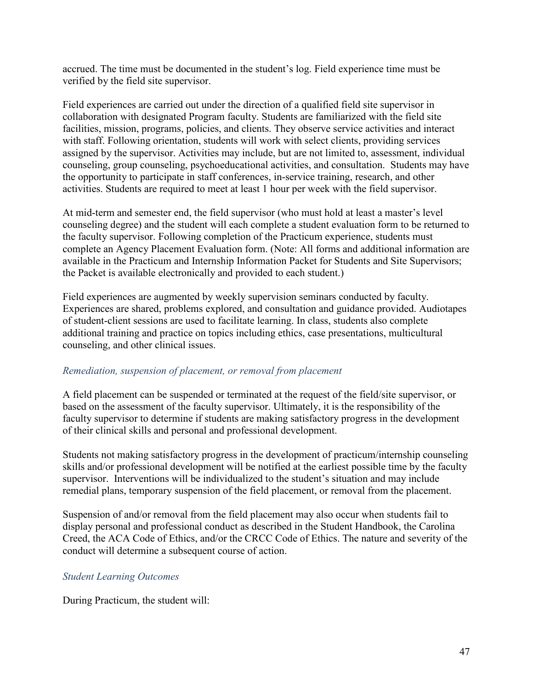accrued. The time must be documented in the student's log. Field experience time must be verified by the field site supervisor.

Field experiences are carried out under the direction of a qualified field site supervisor in collaboration with designated Program faculty. Students are familiarized with the field site facilities, mission, programs, policies, and clients. They observe service activities and interact with staff. Following orientation, students will work with select clients, providing services assigned by the supervisor. Activities may include, but are not limited to, assessment, individual counseling, group counseling, psychoeducational activities, and consultation. Students may have the opportunity to participate in staff conferences, in-service training, research, and other activities. Students are required to meet at least 1 hour per week with the field supervisor.

At mid-term and semester end, the field supervisor (who must hold at least a master's level counseling degree) and the student will each complete a student evaluation form to be returned to the faculty supervisor. Following completion of the Practicum experience, students must complete an Agency Placement Evaluation form. (Note: All forms and additional information are available in the Practicum and Internship Information Packet for Students and Site Supervisors; the Packet is available electronically and provided to each student.)

Field experiences are augmented by weekly supervision seminars conducted by faculty. Experiences are shared, problems explored, and consultation and guidance provided. Audiotapes of student-client sessions are used to facilitate learning. In class, students also complete additional training and practice on topics including ethics, case presentations, multicultural counseling, and other clinical issues.

# *Remediation, suspension of placement, or removal from placement*

A field placement can be suspended or terminated at the request of the field/site supervisor, or based on the assessment of the faculty supervisor. Ultimately, it is the responsibility of the faculty supervisor to determine if students are making satisfactory progress in the development of their clinical skills and personal and professional development.

Students not making satisfactory progress in the development of practicum/internship counseling skills and/or professional development will be notified at the earliest possible time by the faculty supervisor. Interventions will be individualized to the student's situation and may include remedial plans, temporary suspension of the field placement, or removal from the placement.

Suspension of and/or removal from the field placement may also occur when students fail to display personal and professional conduct as described in the Student Handbook, the Carolina Creed, the ACA Code of Ethics, and/or the CRCC Code of Ethics. The nature and severity of the conduct will determine a subsequent course of action.

#### *Student Learning Outcomes*

During Practicum, the student will: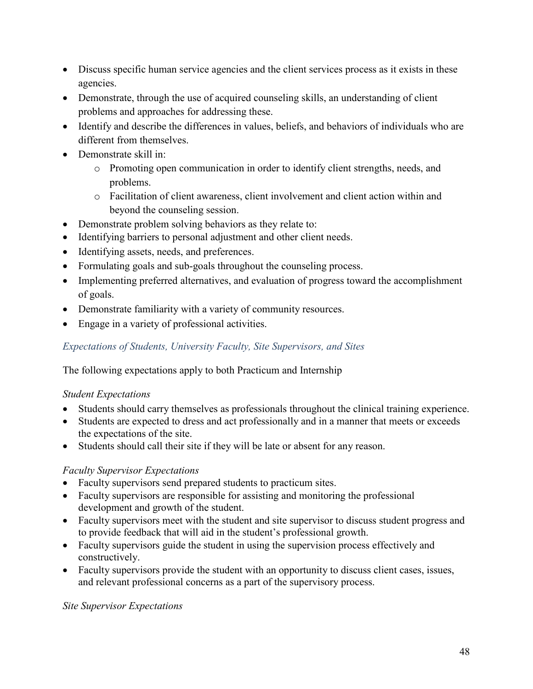- Discuss specific human service agencies and the client services process as it exists in these agencies.
- Demonstrate, through the use of acquired counseling skills, an understanding of client problems and approaches for addressing these.
- Identify and describe the differences in values, beliefs, and behaviors of individuals who are different from themselves.
- Demonstrate skill in:
	- o Promoting open communication in order to identify client strengths, needs, and problems.
	- o Facilitation of client awareness, client involvement and client action within and beyond the counseling session.
- Demonstrate problem solving behaviors as they relate to:
- Identifying barriers to personal adjustment and other client needs.
- Identifying assets, needs, and preferences.
- Formulating goals and sub-goals throughout the counseling process.
- Implementing preferred alternatives, and evaluation of progress toward the accomplishment of goals.
- Demonstrate familiarity with a variety of community resources.
- Engage in a variety of professional activities.

# *Expectations of Students, University Faculty, Site Supervisors, and Sites*

The following expectations apply to both Practicum and Internship

# *Student Expectations*

- Students should carry themselves as professionals throughout the clinical training experience.
- Students are expected to dress and act professionally and in a manner that meets or exceeds the expectations of the site.
- Students should call their site if they will be late or absent for any reason.

# *Faculty Supervisor Expectations*

- Faculty supervisors send prepared students to practicum sites.
- Faculty supervisors are responsible for assisting and monitoring the professional development and growth of the student.
- Faculty supervisors meet with the student and site supervisor to discuss student progress and to provide feedback that will aid in the student's professional growth.
- Faculty supervisors guide the student in using the supervision process effectively and constructively.
- Faculty supervisors provide the student with an opportunity to discuss client cases, issues, and relevant professional concerns as a part of the supervisory process.

# *Site Supervisor Expectations*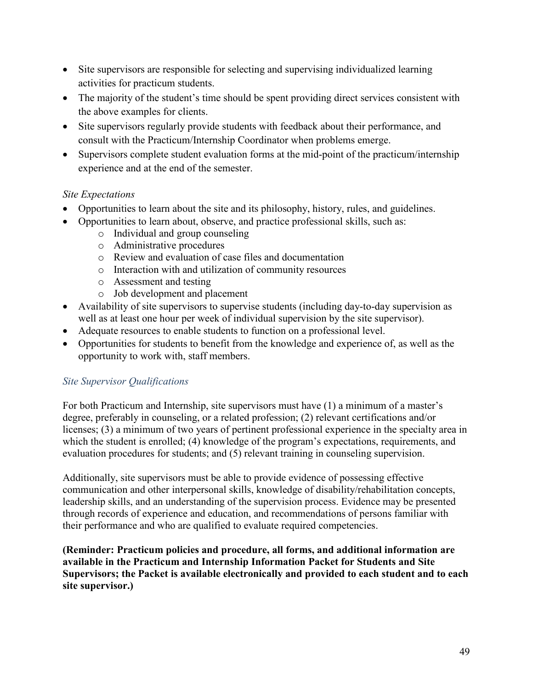- Site supervisors are responsible for selecting and supervising individualized learning activities for practicum students.
- The majority of the student's time should be spent providing direct services consistent with the above examples for clients.
- Site supervisors regularly provide students with feedback about their performance, and consult with the Practicum/Internship Coordinator when problems emerge.
- Supervisors complete student evaluation forms at the mid-point of the practicum/internship experience and at the end of the semester.

# *Site Expectations*

- Opportunities to learn about the site and its philosophy, history, rules, and guidelines.
- Opportunities to learn about, observe, and practice professional skills, such as:
	- o Individual and group counseling
	- o Administrative procedures
	- o Review and evaluation of case files and documentation
	- o Interaction with and utilization of community resources
	- o Assessment and testing
	- o Job development and placement
- Availability of site supervisors to supervise students (including day-to-day supervision as well as at least one hour per week of individual supervision by the site supervisor).
- Adequate resources to enable students to function on a professional level.
- Opportunities for students to benefit from the knowledge and experience of, as well as the opportunity to work with, staff members.

# *Site Supervisor Qualifications*

For both Practicum and Internship, site supervisors must have (1) a minimum of a master's degree, preferably in counseling, or a related profession; (2) relevant certifications and/or licenses; (3) a minimum of two years of pertinent professional experience in the specialty area in which the student is enrolled; (4) knowledge of the program's expectations, requirements, and evaluation procedures for students; and (5) relevant training in counseling supervision.

Additionally, site supervisors must be able to provide evidence of possessing effective communication and other interpersonal skills, knowledge of disability/rehabilitation concepts, leadership skills, and an understanding of the supervision process. Evidence may be presented through records of experience and education, and recommendations of persons familiar with their performance and who are qualified to evaluate required competencies.

**(Reminder: Practicum policies and procedure, all forms, and additional information are available in the Practicum and Internship Information Packet for Students and Site Supervisors; the Packet is available electronically and provided to each student and to each site supervisor.)**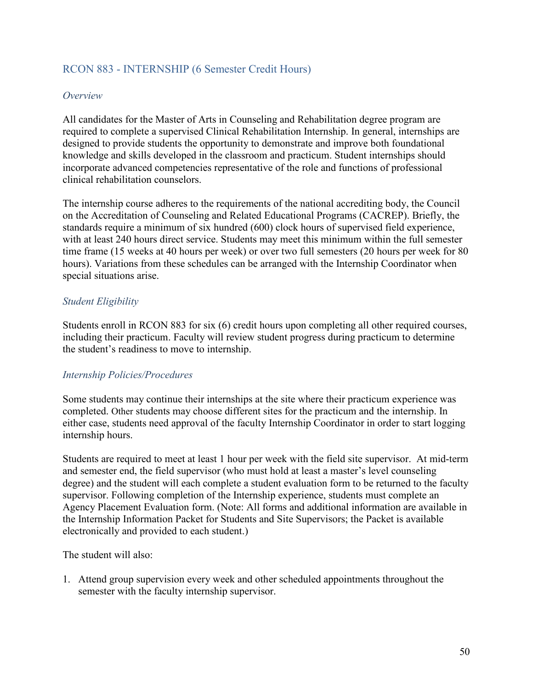# RCON 883 - INTERNSHIP (6 Semester Credit Hours)

#### *Overview*

All candidates for the Master of Arts in Counseling and Rehabilitation degree program are required to complete a supervised Clinical Rehabilitation Internship. In general, internships are designed to provide students the opportunity to demonstrate and improve both foundational knowledge and skills developed in the classroom and practicum. Student internships should incorporate advanced competencies representative of the role and functions of professional clinical rehabilitation counselors.

The internship course adheres to the requirements of the national accrediting body, the Council on the Accreditation of Counseling and Related Educational Programs (CACREP). Briefly, the standards require a minimum of six hundred (600) clock hours of supervised field experience, with at least 240 hours direct service. Students may meet this minimum within the full semester time frame (15 weeks at 40 hours per week) or over two full semesters (20 hours per week for 80 hours). Variations from these schedules can be arranged with the Internship Coordinator when special situations arise.

# *Student Eligibility*

Students enroll in RCON 883 for six (6) credit hours upon completing all other required courses, including their practicum. Faculty will review student progress during practicum to determine the student's readiness to move to internship.

#### *Internship Policies/Procedures*

Some students may continue their internships at the site where their practicum experience was completed. Other students may choose different sites for the practicum and the internship. In either case, students need approval of the faculty Internship Coordinator in order to start logging internship hours.

Students are required to meet at least 1 hour per week with the field site supervisor. At mid-term and semester end, the field supervisor (who must hold at least a master's level counseling degree) and the student will each complete a student evaluation form to be returned to the faculty supervisor. Following completion of the Internship experience, students must complete an Agency Placement Evaluation form. (Note: All forms and additional information are available in the Internship Information Packet for Students and Site Supervisors; the Packet is available electronically and provided to each student.)

The student will also:

1. Attend group supervision every week and other scheduled appointments throughout the semester with the faculty internship supervisor.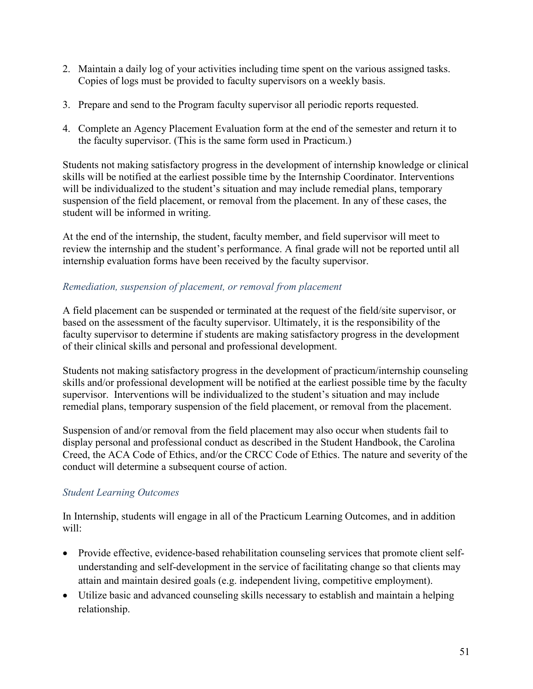- 2. Maintain a daily log of your activities including time spent on the various assigned tasks. Copies of logs must be provided to faculty supervisors on a weekly basis.
- 3. Prepare and send to the Program faculty supervisor all periodic reports requested.
- 4. Complete an Agency Placement Evaluation form at the end of the semester and return it to the faculty supervisor. (This is the same form used in Practicum.)

Students not making satisfactory progress in the development of internship knowledge or clinical skills will be notified at the earliest possible time by the Internship Coordinator. Interventions will be individualized to the student's situation and may include remedial plans, temporary suspension of the field placement, or removal from the placement. In any of these cases, the student will be informed in writing.

At the end of the internship, the student, faculty member, and field supervisor will meet to review the internship and the student's performance. A final grade will not be reported until all internship evaluation forms have been received by the faculty supervisor.

#### *Remediation, suspension of placement, or removal from placement*

A field placement can be suspended or terminated at the request of the field/site supervisor, or based on the assessment of the faculty supervisor. Ultimately, it is the responsibility of the faculty supervisor to determine if students are making satisfactory progress in the development of their clinical skills and personal and professional development.

Students not making satisfactory progress in the development of practicum/internship counseling skills and/or professional development will be notified at the earliest possible time by the faculty supervisor. Interventions will be individualized to the student's situation and may include remedial plans, temporary suspension of the field placement, or removal from the placement.

Suspension of and/or removal from the field placement may also occur when students fail to display personal and professional conduct as described in the Student Handbook, the Carolina Creed, the ACA Code of Ethics, and/or the CRCC Code of Ethics. The nature and severity of the conduct will determine a subsequent course of action.

# *Student Learning Outcomes*

In Internship, students will engage in all of the Practicum Learning Outcomes, and in addition will:

- Provide effective, evidence-based rehabilitation counseling services that promote client selfunderstanding and self-development in the service of facilitating change so that clients may attain and maintain desired goals (e.g. independent living, competitive employment).
- Utilize basic and advanced counseling skills necessary to establish and maintain a helping relationship.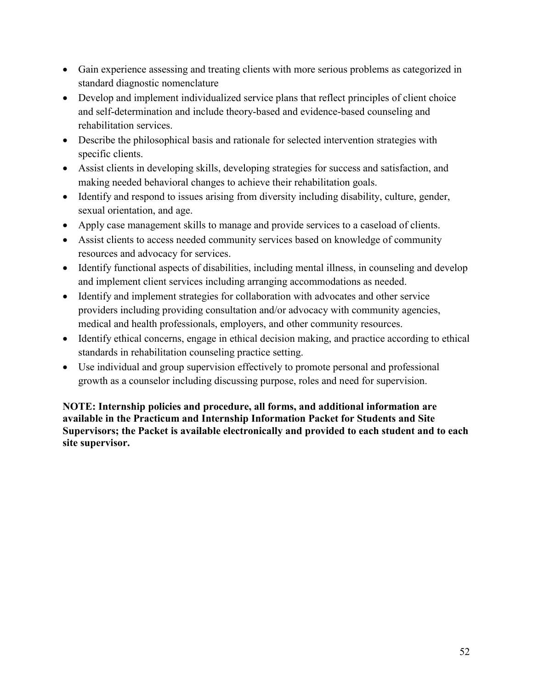- Gain experience assessing and treating clients with more serious problems as categorized in standard diagnostic nomenclature
- Develop and implement individualized service plans that reflect principles of client choice and self-determination and include theory-based and evidence-based counseling and rehabilitation services.
- Describe the philosophical basis and rationale for selected intervention strategies with specific clients.
- Assist clients in developing skills, developing strategies for success and satisfaction, and making needed behavioral changes to achieve their rehabilitation goals.
- Identify and respond to issues arising from diversity including disability, culture, gender, sexual orientation, and age.
- Apply case management skills to manage and provide services to a caseload of clients.
- Assist clients to access needed community services based on knowledge of community resources and advocacy for services.
- Identify functional aspects of disabilities, including mental illness, in counseling and develop and implement client services including arranging accommodations as needed.
- Identify and implement strategies for collaboration with advocates and other service providers including providing consultation and/or advocacy with community agencies, medical and health professionals, employers, and other community resources.
- Identify ethical concerns, engage in ethical decision making, and practice according to ethical standards in rehabilitation counseling practice setting.
- Use individual and group supervision effectively to promote personal and professional growth as a counselor including discussing purpose, roles and need for supervision.

**NOTE: Internship policies and procedure, all forms, and additional information are available in the Practicum and Internship Information Packet for Students and Site Supervisors; the Packet is available electronically and provided to each student and to each site supervisor.**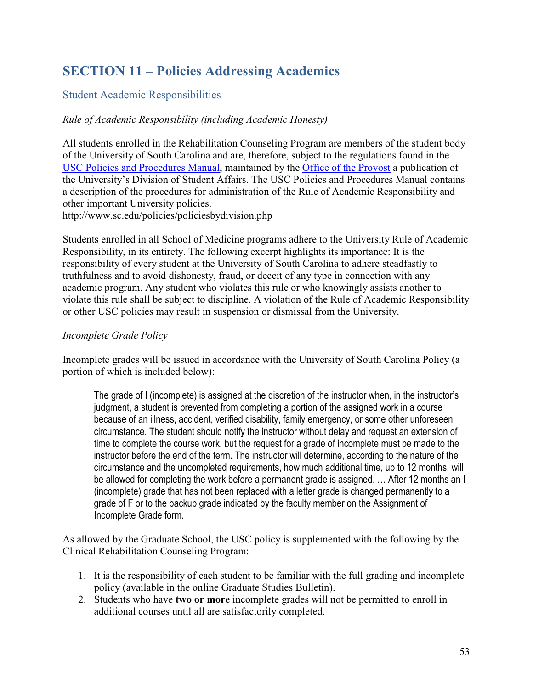# **SECTION 11 – Policies Addressing Academics**

# Student Academic Responsibilities

# *Rule of Academic Responsibility (including Academic Honesty)*

All students enrolled in the Rehabilitation Counseling Program are members of the student body of the University of South Carolina and are, therefore, subject to the regulations found in the USC Policies and Procedures Manual, maintained by the Office of the [Provost](http://www.sc.edu/about/offices_and_divisions/provost/index.php) a publication of the University's Division of Student Affairs. The USC Policies and Procedures Manual contains a description of the procedures for administration of the Rule of Academic Responsibility and other important University policies.

http://www.sc.edu/policies/policiesbydivision.php

Students enrolled in all School of Medicine programs adhere to the University Rule of Academic Responsibility, in its entirety. The following excerpt highlights its importance: It is the responsibility of every student at the University of South Carolina to adhere steadfastly to truthfulness and to avoid dishonesty, fraud, or deceit of any type in connection with any academic program. Any student who violates this rule or who knowingly assists another to violate this rule shall be subject to discipline. A violation of the Rule of Academic Responsibility or other USC policies may result in suspension or dismissal from the University.

# *Incomplete Grade Policy*

Incomplete grades will be issued in accordance with the University of South Carolina Policy (a portion of which is included below):

The grade of I (incomplete) is assigned at the discretion of the instructor when, in the instructor's judgment, a student is prevented from completing a portion of the assigned work in a course because of an illness, accident, verified disability, family emergency, or some other unforeseen circumstance. The student should notify the instructor without delay and request an extension of time to complete the course work, but the request for a grade of incomplete must be made to the instructor before the end of the term. The instructor will determine, according to the nature of the circumstance and the uncompleted requirements, how much additional time, up to 12 months, will be allowed for completing the work before a permanent grade is assigned. … After 12 months an I (incomplete) grade that has not been replaced with a letter grade is changed permanently to a grade of F or to the backup grade indicated by the faculty member on the Assignment of Incomplete Grade form.

As allowed by the Graduate School, the USC policy is supplemented with the following by the Clinical Rehabilitation Counseling Program:

- 1. It is the responsibility of each student to be familiar with the full grading and incomplete policy (available in the online Graduate Studies Bulletin).
- 2. Students who have **two or more** incomplete grades will not be permitted to enroll in additional courses until all are satisfactorily completed.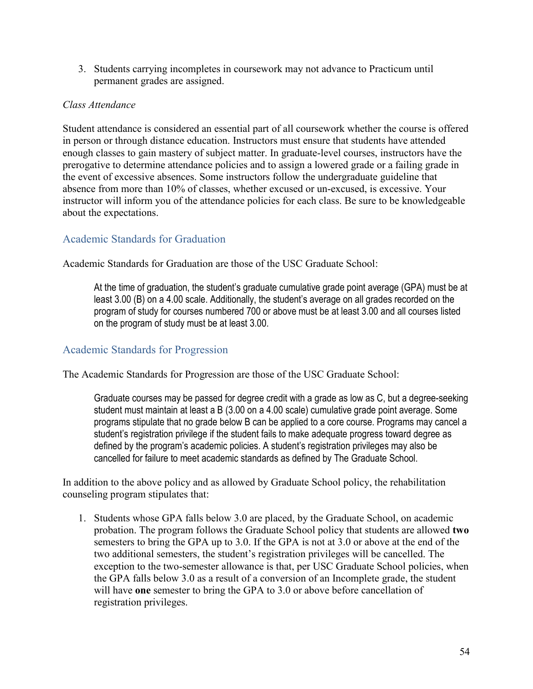3. Students carrying incompletes in coursework may not advance to Practicum until permanent grades are assigned.

#### *Class Attendance*

Student attendance is considered an essential part of all coursework whether the course is offered in person or through distance education. Instructors must ensure that students have attended enough classes to gain mastery of subject matter. In graduate-level courses, instructors have the prerogative to determine attendance policies and to assign a lowered grade or a failing grade in the event of excessive absences. Some instructors follow the undergraduate guideline that absence from more than 10% of classes, whether excused or un-excused, is excessive. Your instructor will inform you of the attendance policies for each class. Be sure to be knowledgeable about the expectations.

# Academic Standards for Graduation

Academic Standards for Graduation are those of the USC Graduate School:

At the time of graduation, the student's graduate cumulative grade point average (GPA) must be at least 3.00 (B) on a 4.00 scale. Additionally, the student's average on all grades recorded on the program of study for courses numbered 700 or above must be at least 3.00 and all courses listed on the program of study must be at least 3.00.

# Academic Standards for Progression

The Academic Standards for Progression are those of the USC Graduate School:

Graduate courses may be passed for degree credit with a grade as low as C, but a degree-seeking student must maintain at least a B (3.00 on a 4.00 scale) cumulative grade point average. Some programs stipulate that no grade below B can be applied to a core course. Programs may cancel a student's registration privilege if the student fails to make adequate progress toward degree as defined by the program's academic policies. A student's registration privileges may also be cancelled for failure to meet academic standards as defined by The Graduate School.

In addition to the above policy and as allowed by Graduate School policy, the rehabilitation counseling program stipulates that:

1. Students whose GPA falls below 3.0 are placed, by the Graduate School, on academic probation. The program follows the Graduate School policy that students are allowed **two** semesters to bring the GPA up to 3.0. If the GPA is not at 3.0 or above at the end of the two additional semesters, the student's registration privileges will be cancelled. The exception to the two-semester allowance is that, per USC Graduate School policies, when the GPA falls below 3.0 as a result of a conversion of an Incomplete grade, the student will have **one** semester to bring the GPA to 3.0 or above before cancellation of registration privileges.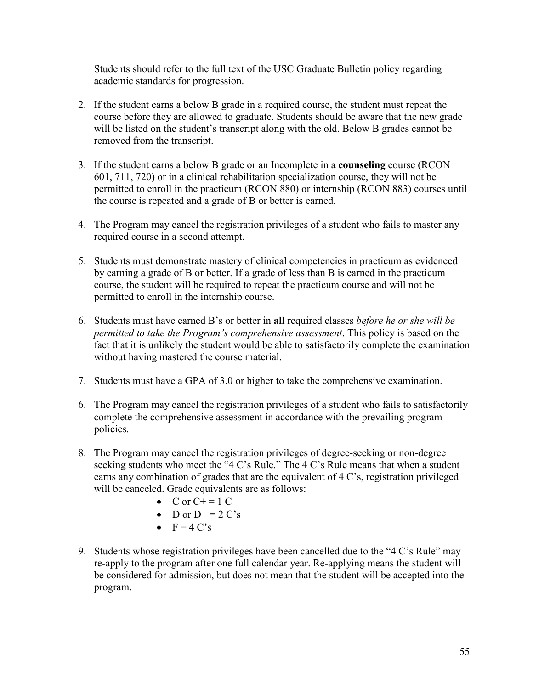Students should refer to the full text of the USC Graduate Bulletin policy regarding academic standards for progression.

- 2. If the student earns a below B grade in a required course, the student must repeat the course before they are allowed to graduate. Students should be aware that the new grade will be listed on the student's transcript along with the old. Below B grades cannot be removed from the transcript.
- 3. If the student earns a below B grade or an Incomplete in a **counseling** course (RCON 601, 711, 720) or in a clinical rehabilitation specialization course, they will not be permitted to enroll in the practicum (RCON 880) or internship (RCON 883) courses until the course is repeated and a grade of B or better is earned.
- 4. The Program may cancel the registration privileges of a student who fails to master any required course in a second attempt.
- 5. Students must demonstrate mastery of clinical competencies in practicum as evidenced by earning a grade of B or better. If a grade of less than B is earned in the practicum course, the student will be required to repeat the practicum course and will not be permitted to enroll in the internship course.
- 6. Students must have earned B's or better in **all** required classes *before he or she will be permitted to take the Program's comprehensive assessment*. This policy is based on the fact that it is unlikely the student would be able to satisfactorily complete the examination without having mastered the course material.
- 7. Students must have a GPA of 3.0 or higher to take the comprehensive examination.
- 6. The Program may cancel the registration privileges of a student who fails to satisfactorily complete the comprehensive assessment in accordance with the prevailing program policies.
- 8. The Program may cancel the registration privileges of degree-seeking or non-degree seeking students who meet the "4 C's Rule." The 4 C's Rule means that when a student earns any combination of grades that are the equivalent of 4 C's, registration privileged will be canceled. Grade equivalents are as follows:
	- C or  $C+ = 1$  C
	- D or  $D^+=2 C's$
	- $F = 4 C's$
- 9. Students whose registration privileges have been cancelled due to the "4 C's Rule" may re-apply to the program after one full calendar year. Re-applying means the student will be considered for admission, but does not mean that the student will be accepted into the program.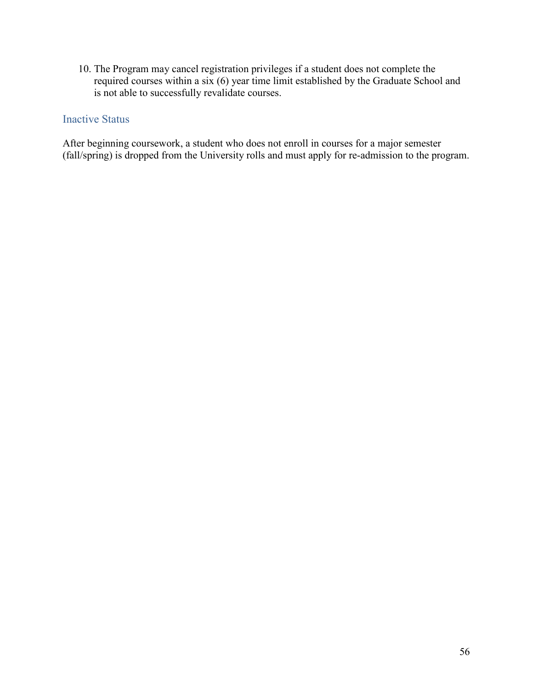10. The Program may cancel registration privileges if a student does not complete the required courses within a six (6) year time limit established by the Graduate School and is not able to successfully revalidate courses.

# Inactive Status

After beginning coursework, a student who does not enroll in courses for a major semester (fall/spring) is dropped from the University rolls and must apply for re-admission to the program.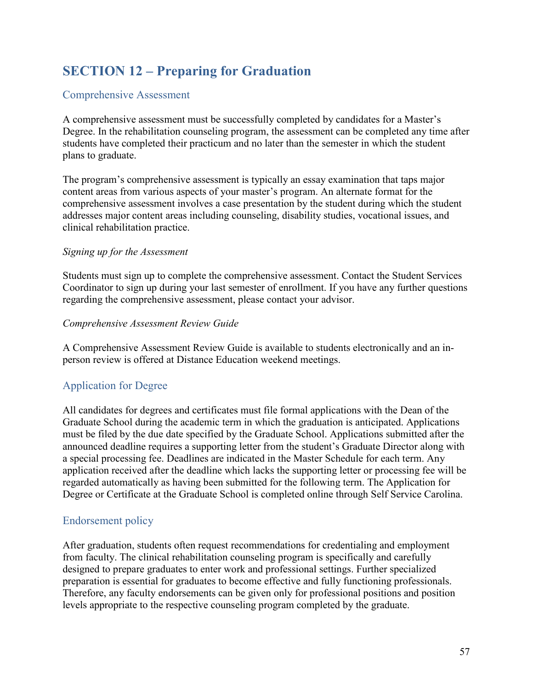# **SECTION 12 – Preparing for Graduation**

# Comprehensive Assessment

A comprehensive assessment must be successfully completed by candidates for a Master's Degree. In the rehabilitation counseling program, the assessment can be completed any time after students have completed their practicum and no later than the semester in which the student plans to graduate.

The program's comprehensive assessment is typically an essay examination that taps major content areas from various aspects of your master's program. An alternate format for the comprehensive assessment involves a case presentation by the student during which the student addresses major content areas including counseling, disability studies, vocational issues, and clinical rehabilitation practice.

# *Signing up for the Assessment*

Students must sign up to complete the comprehensive assessment. Contact the Student Services Coordinator to sign up during your last semester of enrollment. If you have any further questions regarding the comprehensive assessment, please contact your advisor.

#### *Comprehensive Assessment Review Guide*

A Comprehensive Assessment Review Guide is available to students electronically and an inperson review is offered at Distance Education weekend meetings.

# Application for Degree

All candidates for degrees and certificates must file formal applications with the Dean of the Graduate School during the academic term in which the graduation is anticipated. Applications must be filed by the due date specified by the Graduate School. Applications submitted after the announced deadline requires a supporting letter from the student's Graduate Director along with a special processing fee. Deadlines are indicated in the Master Schedule for each term. Any application received after the deadline which lacks the supporting letter or processing fee will be regarded automatically as having been submitted for the following term. The Application for Degree or Certificate at the Graduate School is completed online through Self Service Carolina.

# Endorsement policy

After graduation, students often request recommendations for credentialing and employment from faculty. The clinical rehabilitation counseling program is specifically and carefully designed to prepare graduates to enter work and professional settings. Further specialized preparation is essential for graduates to become effective and fully functioning professionals. Therefore, any faculty endorsements can be given only for professional positions and position levels appropriate to the respective counseling program completed by the graduate.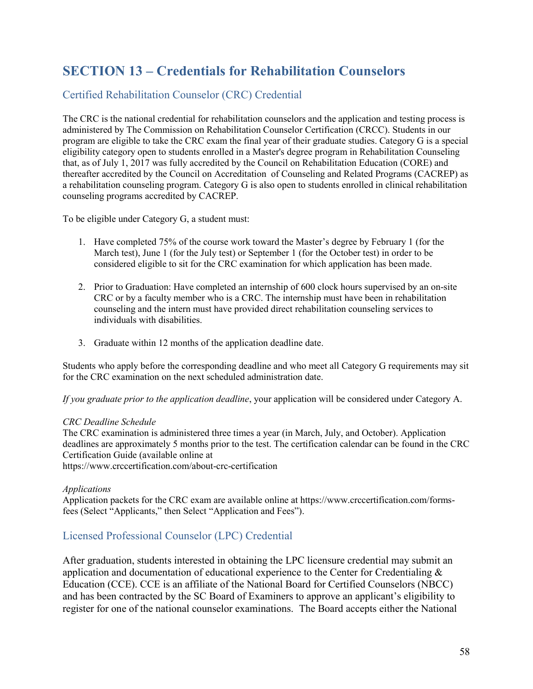# **SECTION 13 – Credentials for Rehabilitation Counselors**

# Certified Rehabilitation Counselor (CRC) Credential

The CRC is the national credential for rehabilitation counselors and the application and testing process is administered by The Commission on Rehabilitation Counselor Certification (CRCC). Students in our program are eligible to take the CRC exam the final year of their graduate studies. Category G is a special eligibility category open to students enrolled in a Master's degree program in Rehabilitation Counseling that, as of July 1, 2017 was fully accredited by the Council on Rehabilitation Education (CORE) and thereafter accredited by the Council on Accreditation of Counseling and Related Programs (CACREP) as a rehabilitation counseling program. Category G is also open to students enrolled in clinical rehabilitation counseling programs accredited by CACREP.

To be eligible under Category G, a student must:

- 1. Have completed 75% of the course work toward the Master's degree by February 1 (for the March test), June 1 (for the July test) or September 1 (for the October test) in order to be considered eligible to sit for the CRC examination for which application has been made.
- 2. Prior to Graduation: Have completed an internship of 600 clock hours supervised by an on-site CRC or by a faculty member who is a CRC. The internship must have been in rehabilitation counseling and the intern must have provided direct rehabilitation counseling services to individuals with disabilities.
- 3. Graduate within 12 months of the application deadline date.

Students who apply before the corresponding deadline and who meet all Category G requirements may sit for the CRC examination on the next scheduled administration date.

*If you graduate prior to the application deadline*, your application will be considered under Category A.

#### *CRC Deadline Schedule*

The CRC examination is administered three times a year (in March, July, and October). Application deadlines are approximately 5 months prior to the test. The certification calendar can be found in the CRC Certification Guide (available online at

https://www.crccertification.com/about-crc-certification

#### *Applications*

Application packets for the CRC exam are available online at https://www.crccertification.com/formsfees (Select "Applicants," then Select "Application and Fees").

# Licensed Professional Counselor (LPC) Credential

After graduation, students interested in obtaining the LPC licensure credential may submit an application and documentation of educational experience to the Center for Credentialing  $\&$ Education (CCE). CCE is an affiliate of the National Board for Certified Counselors (NBCC) and has been contracted by the SC Board of Examiners to approve an applicant's eligibility to register for one of the national counselor examinations. The Board accepts either the National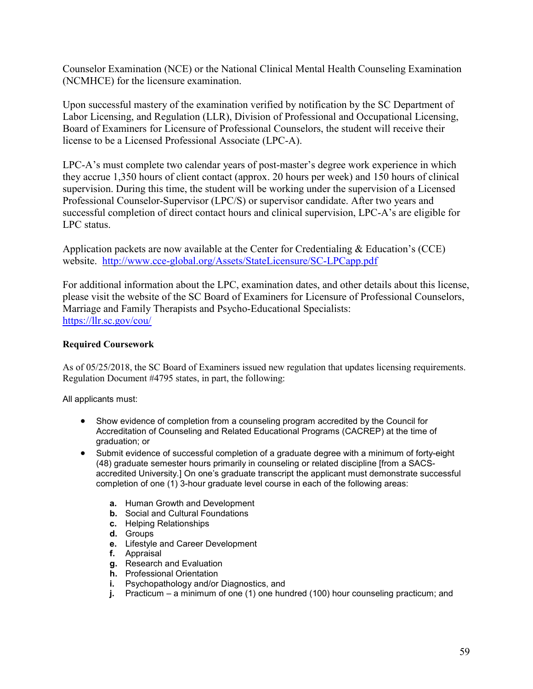Counselor Examination (NCE) or the National Clinical Mental Health Counseling Examination (NCMHCE) for the licensure examination.

Upon successful mastery of the examination verified by notification by the SC Department of Labor Licensing, and Regulation (LLR), Division of Professional and Occupational Licensing, Board of Examiners for Licensure of Professional Counselors, the student will receive their license to be a Licensed Professional Associate (LPC-A).

LPC-A's must complete two calendar years of post-master's degree work experience in which they accrue 1,350 hours of client contact (approx. 20 hours per week) and 150 hours of clinical supervision. During this time, the student will be working under the supervision of a Licensed Professional Counselor-Supervisor (LPC/S) or supervisor candidate. After two years and successful completion of direct contact hours and clinical supervision, LPC-A's are eligible for LPC status.

Application packets are now available at the Center for Credentialing & Education's (CCE) website. <http://www.cce-global.org/Assets/StateLicensure/SC-LPCapp.pdf>

For additional information about the LPC, examination dates, and other details about this license, please visit the website of the SC Board of Examiners for Licensure of Professional Counselors, Marriage and Family Therapists and Psycho-Educational Specialists: <https://llr.sc.gov/cou/>

#### **Required Coursework**

As of 05/25/2018, the SC Board of Examiners issued new regulation that updates licensing requirements. Regulation Document #4795 states, in part, the following:

All applicants must:

- Show evidence of completion from a counseling program accredited by the Council for Accreditation of Counseling and Related Educational Programs (CACREP) at the time of graduation; or
- Submit evidence of successful completion of a graduate degree with a minimum of forty-eight (48) graduate semester hours primarily in counseling or related discipline [from a SACSaccredited University.] On one's graduate transcript the applicant must demonstrate successful completion of one (1) 3-hour graduate level course in each of the following areas:
	- **a.** Human Growth and Development
	- **b.** Social and Cultural Foundations
	- **c.** Helping Relationships
	- **d.** Groups
	- **e.** Lifestyle and Career Development
	- **f.** Appraisal
	- **g.** Research and Evaluation
	- **h.** Professional Orientation
	- **i.** Psychopathology and/or Diagnostics, and
	- **j.** Practicum a minimum of one (1) one hundred (100) hour counseling practicum; and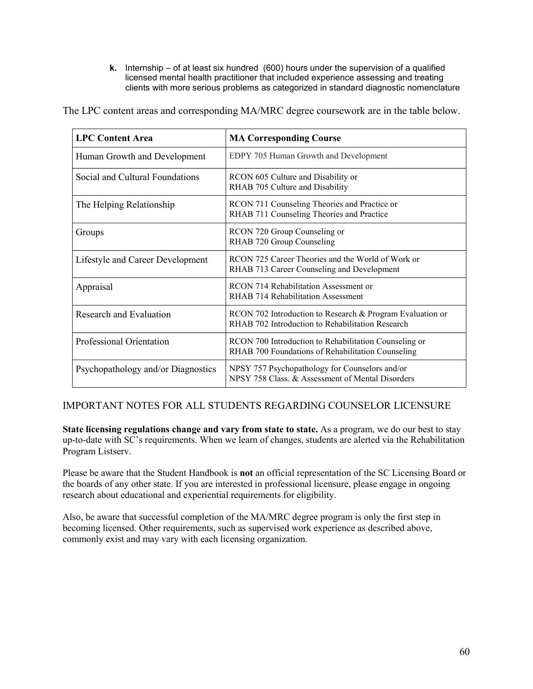**k.** Internship – of at least six hundred (600) hours under the supervision of a qualified licensed mental health practitioner that included experience assessing and treating clients with more serious problems as categorized in standard diagnostic nomenclature

The LPC content areas and corresponding MA/MRC degree coursework are in the table below.

| <b>LPC Content Area</b>            | <b>MA Corresponding Course</b>                                                                                |  |  |  |  |
|------------------------------------|---------------------------------------------------------------------------------------------------------------|--|--|--|--|
| Human Growth and Development       | EDPY 705 Human Growth and Development                                                                         |  |  |  |  |
| Social and Cultural Foundations    | RCON 605 Culture and Disability or<br>RHAB 705 Culture and Disability                                         |  |  |  |  |
| The Helping Relationship           | RCON 711 Counseling Theories and Practice or<br>RHAB 711 Counseling Theories and Practice                     |  |  |  |  |
| Groups                             | RCON 720 Group Counseling or<br>RHAB 720 Group Counseling                                                     |  |  |  |  |
| Lifestyle and Career Development   | RCON 725 Career Theories and the World of Work or<br>RHAB 713 Career Counseling and Development               |  |  |  |  |
| Appraisal                          | RCON 714 Rehabilitation Assessment or<br>RHAB 714 Rehabilitation Assessment                                   |  |  |  |  |
| Research and Evaluation            | RCON 702 Introduction to Research & Program Evaluation or<br>RHAB 702 Introduction to Rehabilitation Research |  |  |  |  |
| Professional Orientation           | RCON 700 Introduction to Rehabilitation Counseling or<br>RHAB 700 Foundations of Rehabilitation Counseling    |  |  |  |  |
| Psychopathology and/or Diagnostics | NPSY 757 Psychopathology for Counselors and/or<br>NPSY 758 Class. & Assessment of Mental Disorders            |  |  |  |  |

#### IMPORTANT NOTES FOR ALL STUDENTS REGARDING COUNSELOR LICENSURE

**State licensing regulations change and vary from state to state.** As a program, we do our best to stay up-to-date with SC's requirements. When we learn of changes, students are alerted via the Rehabilitation Program Listserv.

Please be aware that the Student Handbook is **not** an official representation of the SC Licensing Board or the boards of any other state. If you are interested in professional licensure, please engage in ongoing research about educational and experiential requirements for eligibility.

Also, be aware that successful completion of the MA/MRC degree program is only the first step in becoming licensed. Other requirements, such as supervised work experience as described above, commonly exist and may vary with each licensing organization.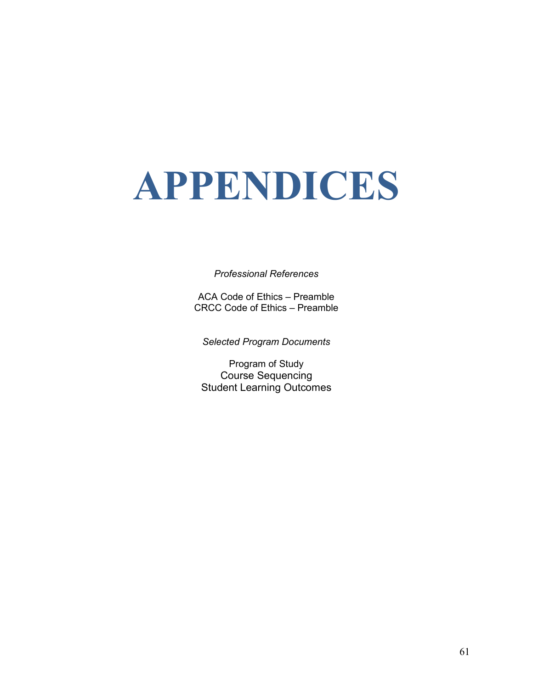# **APPENDICES**

#### *Professional References*

ACA Code of Ethics – Preamble CRCC Code of Ethics – Preamble

*Selected Program Documents*

Program of Study Course Sequencing Student Learning Outcomes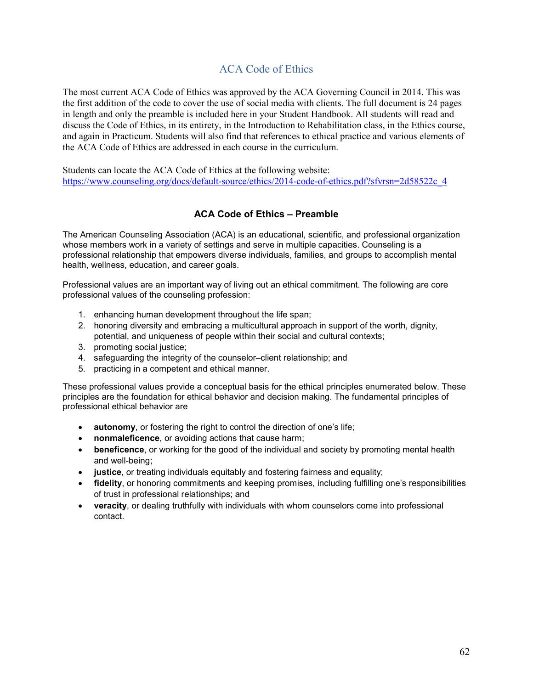# ACA Code of Ethics

The most current ACA Code of Ethics was approved by the ACA Governing Council in 2014. This was the first addition of the code to cover the use of social media with clients. The full document is 24 pages in length and only the preamble is included here in your Student Handbook. All students will read and discuss the Code of Ethics, in its entirety, in the Introduction to Rehabilitation class, in the Ethics course, and again in Practicum. Students will also find that references to ethical practice and various elements of the ACA Code of Ethics are addressed in each course in the curriculum.

Students can locate the ACA Code of Ethics at the following website: https://www.counseling.org/docs/default-source/ethics/2014-code-of-ethics.pdf?sfvrsn=2d58522c\_4

#### **ACA Code of Ethics – Preamble**

The American Counseling Association (ACA) is an educational, scientific, and professional organization whose members work in a variety of settings and serve in multiple capacities. Counseling is a professional relationship that empowers diverse individuals, families, and groups to accomplish mental health, wellness, education, and career goals.

Professional values are an important way of living out an ethical commitment. The following are core professional values of the counseling profession:

- 1. enhancing human development throughout the life span;
- 2. honoring diversity and embracing a multicultural approach in support of the worth, dignity, potential, and uniqueness of people within their social and cultural contexts;
- 3. promoting social justice;
- 4. safeguarding the integrity of the counselor–client relationship; and
- 5. practicing in a competent and ethical manner.

These professional values provide a conceptual basis for the ethical principles enumerated below. These principles are the foundation for ethical behavior and decision making. The fundamental principles of professional ethical behavior are

- **autonomy**, or fostering the right to control the direction of one's life;
- **nonmaleficence**, or avoiding actions that cause harm;
- **beneficence**, or working for the good of the individual and society by promoting mental health and well-being;
- **justice**, or treating individuals equitably and fostering fairness and equality;
- **fidelity**, or honoring commitments and keeping promises, including fulfilling one's responsibilities of trust in professional relationships; and
- **veracity**, or dealing truthfully with individuals with whom counselors come into professional contact.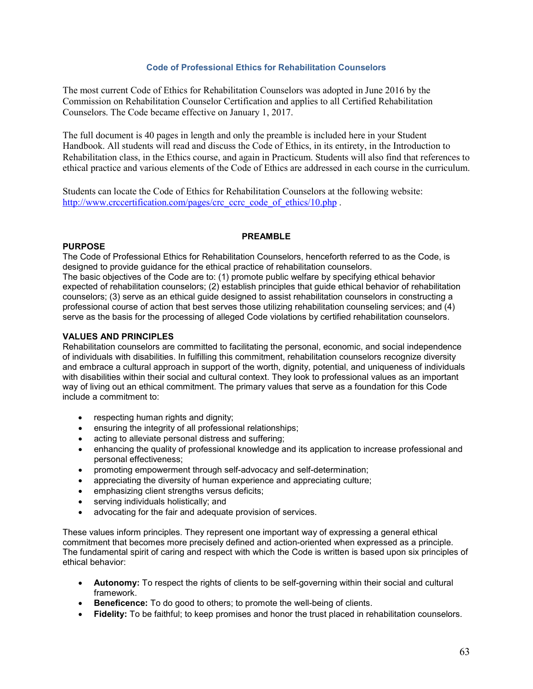#### **Code of Professional Ethics for Rehabilitation Counselors**

The most current Code of Ethics for Rehabilitation Counselors was adopted in June 2016 by the Commission on Rehabilitation Counselor Certification and applies to all Certified Rehabilitation Counselors. The Code became effective on January 1, 2017.

The full document is 40 pages in length and only the preamble is included here in your Student Handbook. All students will read and discuss the Code of Ethics, in its entirety, in the Introduction to Rehabilitation class, in the Ethics course, and again in Practicum. Students will also find that references to ethical practice and various elements of the Code of Ethics are addressed in each course in the curriculum.

Students can locate the Code of Ethics for Rehabilitation Counselors at the following website: [http://www.crccertification.com/pages/crc\\_ccrc\\_code\\_of\\_ethics/10.php](http://www.crccertification.com/pages/crc_ccrc_code_of_ethics/10.php).

#### **PREAMBLE**

#### **PURPOSE**

The Code of Professional Ethics for Rehabilitation Counselors, henceforth referred to as the Code, is designed to provide guidance for the ethical practice of rehabilitation counselors.

The basic objectives of the Code are to: (1) promote public welfare by specifying ethical behavior expected of rehabilitation counselors; (2) establish principles that guide ethical behavior of rehabilitation counselors; (3) serve as an ethical guide designed to assist rehabilitation counselors in constructing a professional course of action that best serves those utilizing rehabilitation counseling services; and (4) serve as the basis for the processing of alleged Code violations by certified rehabilitation counselors.

#### **VALUES AND PRINCIPLES**

Rehabilitation counselors are committed to facilitating the personal, economic, and social independence of individuals with disabilities. In fulfilling this commitment, rehabilitation counselors recognize diversity and embrace a cultural approach in support of the worth, dignity, potential, and uniqueness of individuals with disabilities within their social and cultural context. They look to professional values as an important way of living out an ethical commitment. The primary values that serve as a foundation for this Code include a commitment to:

- respecting human rights and dignity;
- ensuring the integrity of all professional relationships;
- acting to alleviate personal distress and suffering:
- enhancing the quality of professional knowledge and its application to increase professional and personal effectiveness;
- promoting empowerment through self-advocacy and self-determination;
- appreciating the diversity of human experience and appreciating culture;
- emphasizing client strengths versus deficits;
- serving individuals holistically; and
- advocating for the fair and adequate provision of services.

These values inform principles. They represent one important way of expressing a general ethical commitment that becomes more precisely defined and action-oriented when expressed as a principle. The fundamental spirit of caring and respect with which the Code is written is based upon six principles of ethical behavior:

- **Autonomy:** To respect the rights of clients to be self-governing within their social and cultural framework.
- **Beneficence:** To do good to others; to promote the well-being of clients.
- **Fidelity:** To be faithful; to keep promises and honor the trust placed in rehabilitation counselors.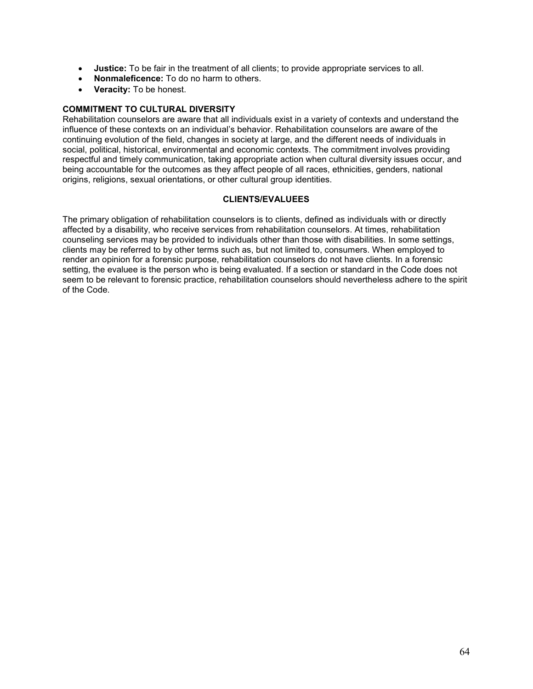- **Justice:** To be fair in the treatment of all clients; to provide appropriate services to all.
- **Nonmaleficence:** To do no harm to others.
- **Veracity:** To be honest.

#### **COMMITMENT TO CULTURAL DIVERSITY**

Rehabilitation counselors are aware that all individuals exist in a variety of contexts and understand the influence of these contexts on an individual's behavior. Rehabilitation counselors are aware of the continuing evolution of the field, changes in society at large, and the different needs of individuals in social, political, historical, environmental and economic contexts. The commitment involves providing respectful and timely communication, taking appropriate action when cultural diversity issues occur, and being accountable for the outcomes as they affect people of all races, ethnicities, genders, national origins, religions, sexual orientations, or other cultural group identities.

#### **CLIENTS/EVALUEES**

The primary obligation of rehabilitation counselors is to clients, defined as individuals with or directly affected by a disability, who receive services from rehabilitation counselors. At times, rehabilitation counseling services may be provided to individuals other than those with disabilities. In some settings, clients may be referred to by other terms such as, but not limited to, consumers. When employed to render an opinion for a forensic purpose, rehabilitation counselors do not have clients. In a forensic setting, the evaluee is the person who is being evaluated. If a section or standard in the Code does not seem to be relevant to forensic practice, rehabilitation counselors should nevertheless adhere to the spirit of the Code.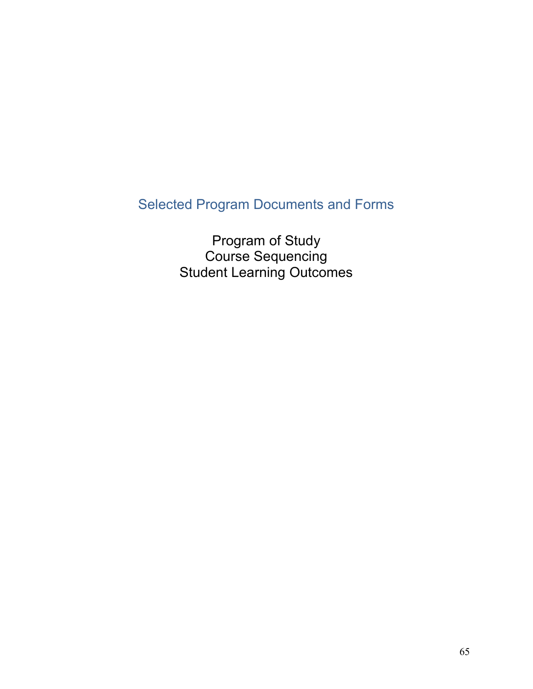# Selected Program Documents and Forms

Program of Study Course Sequencing Student Learning Outcomes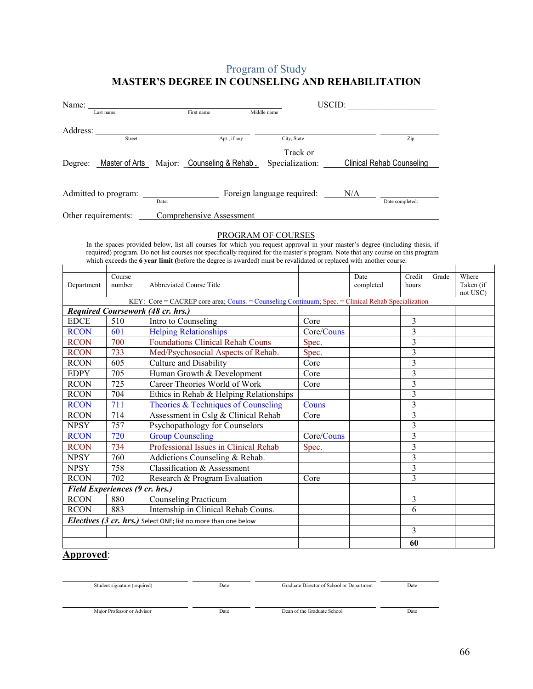# Program of Study **MASTER'S DEGREE IN COUNSELING AND REHABILITATION**

|                     | Name: $\_\_$ |                          |                                                   |             |                 | USCID: |                                  |  |  |
|---------------------|--------------|--------------------------|---------------------------------------------------|-------------|-----------------|--------|----------------------------------|--|--|
|                     | Last name    |                          | First name                                        | Middle name |                 |        |                                  |  |  |
| Address:            |              |                          |                                                   |             |                 |        |                                  |  |  |
|                     | Street       |                          | Apt., if any                                      |             | City, State     |        | Zip                              |  |  |
|                     |              |                          |                                                   |             | Track or        |        |                                  |  |  |
|                     |              |                          | Degree: Master of Arts Major: Counseling & Rehab. |             | Specialization: |        | <b>Clinical Rehab Counseling</b> |  |  |
|                     |              |                          |                                                   |             |                 |        |                                  |  |  |
|                     |              |                          | Foreign language required:                        |             | N/A             |        |                                  |  |  |
|                     |              | Date:                    |                                                   |             |                 |        | Date completed:                  |  |  |
| Other requirements: |              | Comprehensive Assessment |                                                   |             |                 |        |                                  |  |  |
|                     |              |                          |                                                   |             |                 |        |                                  |  |  |

#### PROGRAM OF COURSES

In the spaces provided below, list all courses for which you request approval in your master's degree (including thesis, if required) program. Do not list courses not specifically required for the master's program. Note that any course on this program which exceeds the **6 year limit (**before the degree is awarded) must be revalidated or replaced with another course.

| Department                                                                                         | Course<br>number | Abbreviated Course Title                |            | Date<br>completed | Credit<br>hours | Grade | Where<br>Taken (if<br>not USC) |  |  |  |
|----------------------------------------------------------------------------------------------------|------------------|-----------------------------------------|------------|-------------------|-----------------|-------|--------------------------------|--|--|--|
| KEY: Core = CACREP core area; Couns. = Counseling Continuum; Spec. = Clinical Rehab Specialization |                  |                                         |            |                   |                 |       |                                |  |  |  |
| Required Coursework (48 cr. hrs.)                                                                  |                  |                                         |            |                   |                 |       |                                |  |  |  |
| <b>EDCE</b>                                                                                        | 510              | Intro to Counseling                     | Core       |                   | 3               |       |                                |  |  |  |
| <b>RCON</b>                                                                                        | 601              | <b>Helping Relationships</b>            | Core/Couns |                   | 3               |       |                                |  |  |  |
| <b>RCON</b>                                                                                        | 700              | <b>Foundations Clinical Rehab Couns</b> | Spec.      |                   | 3               |       |                                |  |  |  |
| <b>RCON</b>                                                                                        | 733              | Med/Psychosocial Aspects of Rehab.      | Spec.      |                   | 3               |       |                                |  |  |  |
| <b>RCON</b>                                                                                        | 605              | <b>Culture and Disability</b>           | Core       |                   | 3               |       |                                |  |  |  |
| <b>EDPY</b>                                                                                        | 705              | Human Growth & Development              | Core       |                   | 3               |       |                                |  |  |  |
| <b>RCON</b>                                                                                        | 725              | Career Theories World of Work           | Core       |                   | $\overline{3}$  |       |                                |  |  |  |
| <b>RCON</b>                                                                                        | 704              | Ethics in Rehab & Helping Relationships |            |                   | 3               |       |                                |  |  |  |
| <b>RCON</b>                                                                                        | 711              | Theories & Techniques of Counseling     | Couns      |                   | 3               |       |                                |  |  |  |
| <b>RCON</b>                                                                                        | 714              | Assessment in Cslg & Clinical Rehab     | Core       |                   | 3               |       |                                |  |  |  |
| <b>NPSY</b>                                                                                        | 757              | Psychopathology for Counselors          |            |                   | 3               |       |                                |  |  |  |
| <b>RCON</b>                                                                                        | 720              | <b>Group Counseling</b>                 | Core/Couns |                   | 3               |       |                                |  |  |  |
| <b>RCON</b>                                                                                        | 734              | Professional Issues in Clinical Rehab   | Spec.      |                   | 3               |       |                                |  |  |  |
| <b>NPSY</b>                                                                                        | 760              | Addictions Counseling & Rehab.          |            |                   | 3               |       |                                |  |  |  |
| <b>NPSY</b>                                                                                        | 758              | Classification & Assessment             |            |                   | 3               |       |                                |  |  |  |
| <b>RCON</b>                                                                                        | 702              | Research & Program Evaluation           | Core       |                   | 3               |       |                                |  |  |  |
| Field Experiences (9 cr. hrs.)                                                                     |                  |                                         |            |                   |                 |       |                                |  |  |  |
| <b>RCON</b>                                                                                        | 880              | <b>Counseling Practicum</b>             |            |                   | 3               |       |                                |  |  |  |
| <b>RCON</b>                                                                                        | 883              | Internship in Clinical Rehab Couns.     |            |                   | 6               |       |                                |  |  |  |
| Electives (3 cr. hrs.) Select ONE; list no more than one below                                     |                  |                                         |            |                   |                 |       |                                |  |  |  |
|                                                                                                    |                  |                                         |            |                   | 3               |       |                                |  |  |  |
|                                                                                                    |                  |                                         |            |                   | 60              |       |                                |  |  |  |

# **Approved**:

Student signature (required) Date Graduate Director of School or Department Date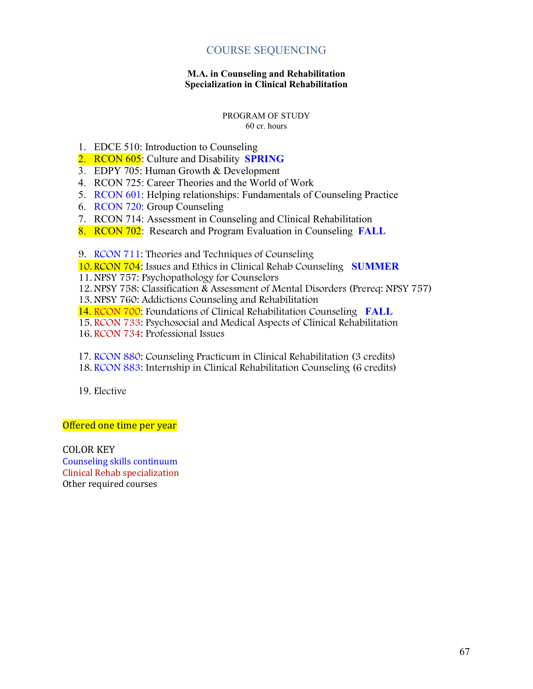# COURSE SEQUENCING

#### **M.A. in Counseling and Rehabilitation Specialization in Clinical Rehabilitation**

#### PROGRAM OF STUDY 60 cr. hours

- 1. EDCE 510: Introduction to Counseling
- 2. RCON 605: Culture and Disability **SPRING**
- 3. EDPY 705: Human Growth & Development
- 4. RCON 725: Career Theories and the World of Work
- 5. RCON 601: Helping relationships: Fundamentals of Counseling Practice
- 6. RCON 720: Group Counseling
- 7. RCON 714: Assessment in Counseling and Clinical Rehabilitation
- 8. RCON 702: Research and Program Evaluation in Counseling **FALL**
- 9. RCON 711: Theories and Techniques of Counseling

10. RCON 704: Issues and Ethics in Clinical Rehab Counseling **SUMMER**

- 11.NPSY 757: Psychopathology for Counselors
- 12.NPSY 758: Classification & Assessment of Mental Disorders (Prereq: NPSY 757)
- 13.NPSY 760: Addictions Counseling and Rehabilitation
- 14. RCON 700: Foundations of Clinical Rehabilitation Counseling **FALL**
- 15. RCON 733: Psychosocial and Medical Aspects of Clinical Rehabilitation
- 16. RCON 734: Professional Issues
- 17. RCON 880: Counseling Practicum in Clinical Rehabilitation (3 credits)
- 18. RCON 883: Internship in Clinical Rehabilitation Counseling (6 credits)
- 19. Elective

#### Offered one time per year

COLOR KEY Counseling skills continuum Clinical Rehab specialization Other required courses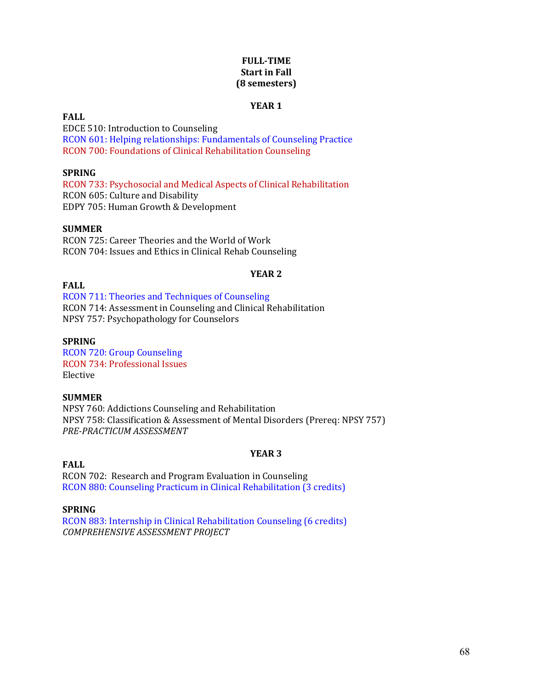#### **FULL-TIME Start in Fall (8 semesters)**

#### **YEAR 1**

#### **FALL**

EDCE 510: Introduction to Counseling RCON 601: Helping relationships: Fundamentals of Counseling Practice RCON 700: Foundations of Clinical Rehabilitation Counseling

#### **SPRING**

RCON 733: Psychosocial and Medical Aspects of Clinical Rehabilitation RCON 605: Culture and Disability EDPY 705: Human Growth & Development

#### **SUMMER**

RCON 725: Career Theories and the World of Work RCON 704: Issues and Ethics in Clinical Rehab Counseling

#### **YEAR 2**

# **FALL**

RCON 711: Theories and Techniques of Counseling RCON 714: Assessment in Counseling and Clinical Rehabilitation NPSY 757: Psychopathology for Counselors

#### **SPRING**

RCON 720: Group Counseling RCON 734: Professional Issues Elective

#### **SUMMER**

NPSY 760: Addictions Counseling and Rehabilitation NPSY 758: Classification & Assessment of Mental Disorders (Prereq: NPSY 757) *PRE-PRACTICUM ASSESSMENT*

#### **YEAR 3**

# **FALL**

RCON 702: Research and Program Evaluation in Counseling RCON 880: Counseling Practicum in Clinical Rehabilitation (3 credits)

#### **SPRING**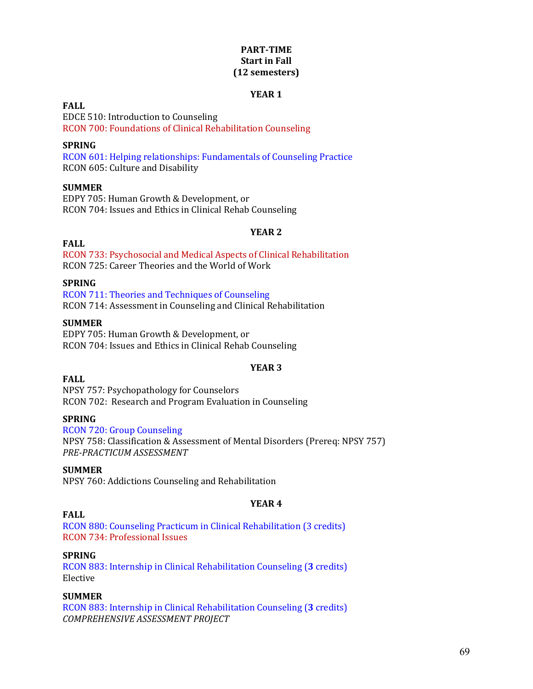#### **PART-TIME Start in Fall (12 semesters)**

#### **YEAR 1**

#### **FALL**

EDCE 510: Introduction to Counseling RCON 700: Foundations of Clinical Rehabilitation Counseling

#### **SPRING**

RCON 601: Helping relationships: Fundamentals of Counseling Practice RCON 605: Culture and Disability

#### **SUMMER**

EDPY 705: Human Growth & Development, or RCON 704: Issues and Ethics in Clinical Rehab Counseling

#### **YEAR 2**

#### **FALL**

RCON 733: Psychosocial and Medical Aspects of Clinical Rehabilitation RCON 725: Career Theories and the World of Work

#### **SPRING**

RCON 711: Theories and Techniques of Counseling RCON 714: Assessment in Counseling and Clinical Rehabilitation

#### **SUMMER**

EDPY 705: Human Growth & Development, or RCON 704: Issues and Ethics in Clinical Rehab Counseling

#### **YEAR 3**

#### **FALL**

NPSY 757: Psychopathology for Counselors RCON 702: Research and Program Evaluation in Counseling

#### **SPRING**

RCON 720: Group Counseling NPSY 758: Classification & Assessment of Mental Disorders (Prereq: NPSY 757) *PRE-PRACTICUM ASSESSMENT*

#### **SUMMER**

NPSY 760: Addictions Counseling and Rehabilitation

#### **YEAR 4**

#### **FALL**

RCON 880: Counseling Practicum in Clinical Rehabilitation (3 credits) RCON 734: Professional Issues

#### **SPRING**

RCON 883: Internship in Clinical Rehabilitation Counseling (**3** credits) Elective

#### **SUMMER**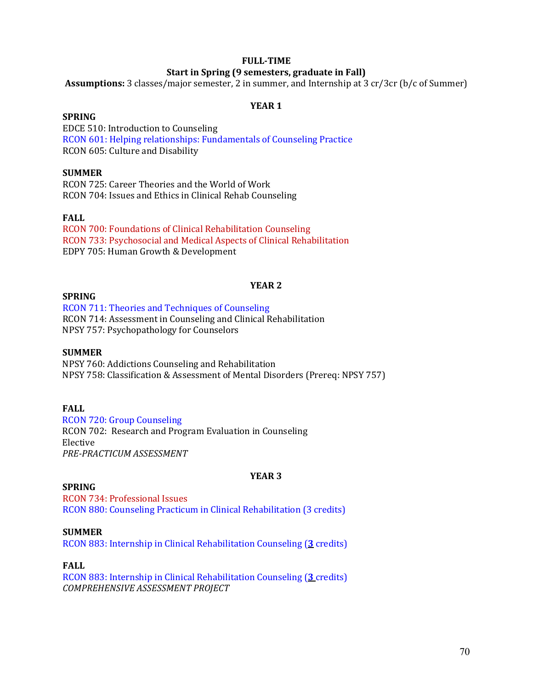#### **FULL-TIME**

#### **Start in Spring (9 semesters, graduate in Fall)**

**Assumptions:** 3 classes/major semester, 2 in summer, and Internship at 3 cr/3cr (b/c of Summer)

#### **YEAR 1**

#### **SPRING**

EDCE 510: Introduction to Counseling RCON 601: Helping relationships: Fundamentals of Counseling Practice RCON 605: Culture and Disability

#### **SUMMER**

RCON 725: Career Theories and the World of Work RCON 704: Issues and Ethics in Clinical Rehab Counseling

#### **FALL**

RCON 700: Foundations of Clinical Rehabilitation Counseling RCON 733: Psychosocial and Medical Aspects of Clinical Rehabilitation EDPY 705: Human Growth & Development

#### **YEAR 2**

#### **SPRING**

RCON 711: Theories and Techniques of Counseling RCON 714: Assessment in Counseling and Clinical Rehabilitation NPSY 757: Psychopathology for Counselors

#### **SUMMER**

NPSY 760: Addictions Counseling and Rehabilitation NPSY 758: Classification & Assessment of Mental Disorders (Prereq: NPSY 757)

#### **FALL**

RCON 720: Group Counseling RCON 702: Research and Program Evaluation in Counseling Elective *PRE-PRACTICUM ASSESSMENT*

#### **SPRING**

# **YEAR 3**

RCON 734: Professional Issues RCON 880: Counseling Practicum in Clinical Rehabilitation (3 credits)

#### **SUMMER**

RCON 883: Internship in Clinical Rehabilitation Counseling (**3** credits)

#### **FALL**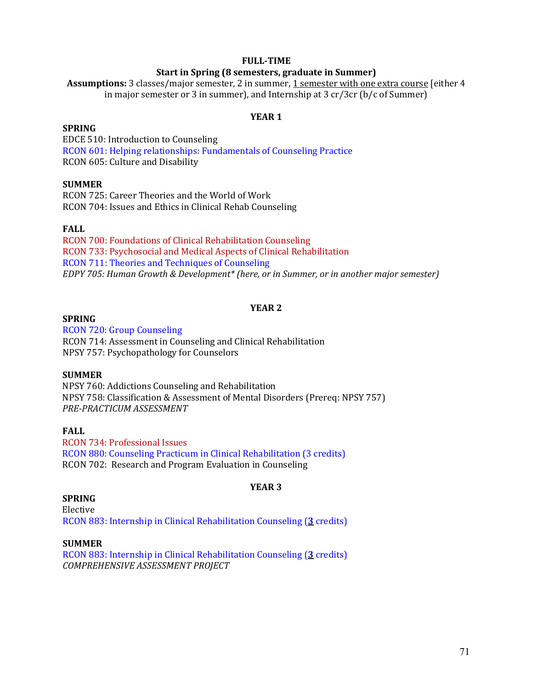#### **FULL-TIME**

#### **Start in Spring (8 semesters, graduate in Summer)**

**Assumptions:** 3 classes/major semester, 2 in summer, 1 semester with one extra course [either 4 in major semester or 3 in summer), and Internship at 3 cr/3cr (b/c of Summer)

#### **YEAR 1**

#### **SPRING**

EDCE 510: Introduction to Counseling RCON 601: Helping relationships: Fundamentals of Counseling Practice RCON 605: Culture and Disability

#### **SUMMER**

RCON 725: Career Theories and the World of Work RCON 704: Issues and Ethics in Clinical Rehab Counseling

#### **FALL**

RCON 700: Foundations of Clinical Rehabilitation Counseling RCON 733: Psychosocial and Medical Aspects of Clinical Rehabilitation RCON 711: Theories and Techniques of Counseling *EDPY 705: Human Growth & Development\* (here, or in Summer, or in another major semester)*

#### **YEAR 2**

#### **SPRING**

RCON 720: Group Counseling RCON 714: Assessment in Counseling and Clinical Rehabilitation NPSY 757: Psychopathology for Counselors

#### **SUMMER**

NPSY 760: Addictions Counseling and Rehabilitation NPSY 758: Classification & Assessment of Mental Disorders (Prereq: NPSY 757) *PRE-PRACTICUM ASSESSMENT*

#### **FALL**

RCON 734: Professional Issues RCON 880: Counseling Practicum in Clinical Rehabilitation (3 credits) RCON 702: Research and Program Evaluation in Counseling

#### **YEAR 3**

#### **SPRING**

Elective RCON 883: Internship in Clinical Rehabilitation Counseling (**3** credits)

#### **SUMMER**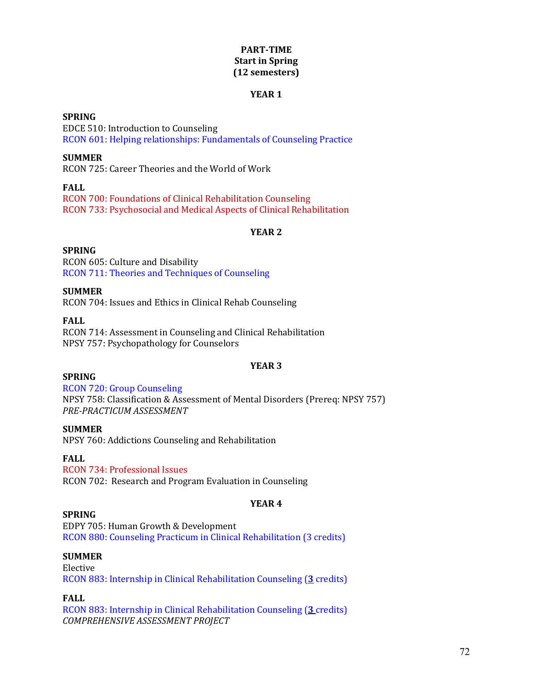#### **PART-TIME Start in Spring (12 semesters)**

#### **YEAR 1**

#### **SPRING**

EDCE 510: Introduction to Counseling RCON 601: Helping relationships: Fundamentals of Counseling Practice

#### **SUMMER**

RCON 725: Career Theories and the World of Work

#### **FALL**

RCON 700: Foundations of Clinical Rehabilitation Counseling RCON 733: Psychosocial and Medical Aspects of Clinical Rehabilitation

#### **YEAR 2**

#### **SPRING**

RCON 605: Culture and Disability RCON 711: Theories and Techniques of Counseling

#### **SUMMER**

RCON 704: Issues and Ethics in Clinical Rehab Counseling

**FALL** RCON 714: Assessment in Counseling and Clinical Rehabilitation NPSY 757: Psychopathology for Counselors

#### **YEAR 3**

#### **SPRING**

RCON 720: Group Counseling NPSY 758: Classification & Assessment of Mental Disorders (Prereq: NPSY 757) *PRE-PRACTICUM ASSESSMENT*

#### **SUMMER**

NPSY 760: Addictions Counseling and Rehabilitation

#### **FALL**

RCON 734: Professional Issues

RCON 702: Research and Program Evaluation in Counseling

#### **YEAR 4**

#### **SPRING**

EDPY 705: Human Growth & Development RCON 880: Counseling Practicum in Clinical Rehabilitation (3 credits)

#### **SUMMER**

Elective RCON 883: Internship in Clinical Rehabilitation Counseling (**3** credits)

#### **FALL**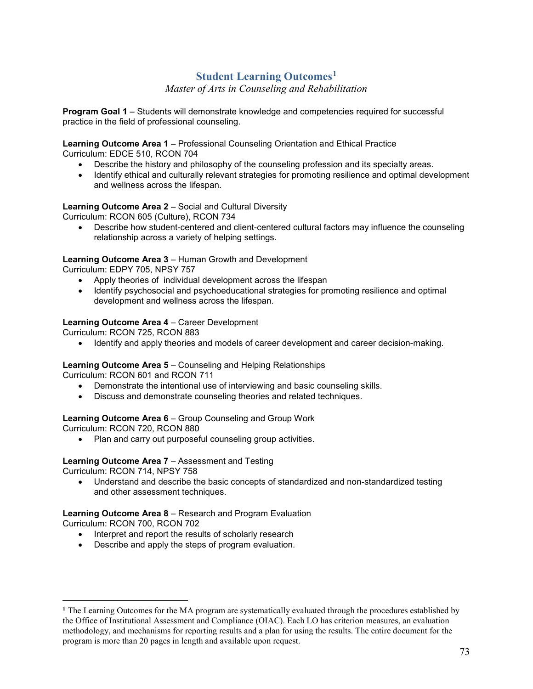# **Student Learning Outcomes[1](#page-72-0)**

*Master of Arts in Counseling and Rehabilitation*

**Program Goal 1** – Students will demonstrate knowledge and competencies required for successful practice in the field of professional counseling.

**Learning Outcome Area 1** – Professional Counseling Orientation and Ethical Practice Curriculum: EDCE 510, RCON 704

- Describe the history and philosophy of the counseling profession and its specialty areas.
- Identify ethical and culturally relevant strategies for promoting resilience and optimal development and wellness across the lifespan.

## **Learning Outcome Area 2** – Social and Cultural Diversity

Curriculum: RCON 605 (Culture), RCON 734

• Describe how student-centered and client-centered cultural factors may influence the counseling relationship across a variety of helping settings.

### **Learning Outcome Area 3** – Human Growth and Development

Curriculum: EDPY 705, NPSY 757

- Apply theories of individual development across the lifespan
- Identify psychosocial and psychoeducational strategies for promoting resilience and optimal development and wellness across the lifespan.

### **Learning Outcome Area 4** – Career Development

Curriculum: RCON 725, RCON 883

• Identify and apply theories and models of career development and career decision-making.

## **Learning Outcome Area 5** – Counseling and Helping Relationships

Curriculum: RCON 601 and RCON 711

- Demonstrate the intentional use of interviewing and basic counseling skills.
- Discuss and demonstrate counseling theories and related techniques.

## **Learning Outcome Area 6** – Group Counseling and Group Work

Curriculum: RCON 720, RCON 880

• Plan and carry out purposeful counseling group activities.

#### **Learning Outcome Area 7** – Assessment and Testing

Curriculum: RCON 714, NPSY 758

• Understand and describe the basic concepts of standardized and non-standardized testing and other assessment techniques.

#### **Learning Outcome Area 8** – Research and Program Evaluation

Curriculum: RCON 700, RCON 702

 $\overline{a}$ 

- Interpret and report the results of scholarly research
- Describe and apply the steps of program evaluation.

<span id="page-72-0"></span>**<sup>1</sup>** The Learning Outcomes for the MA program are systematically evaluated through the procedures established by the Office of Institutional Assessment and Compliance (OIAC). Each LO has criterion measures, an evaluation methodology, and mechanisms for reporting results and a plan for using the results. The entire document for the program is more than 20 pages in length and available upon request.